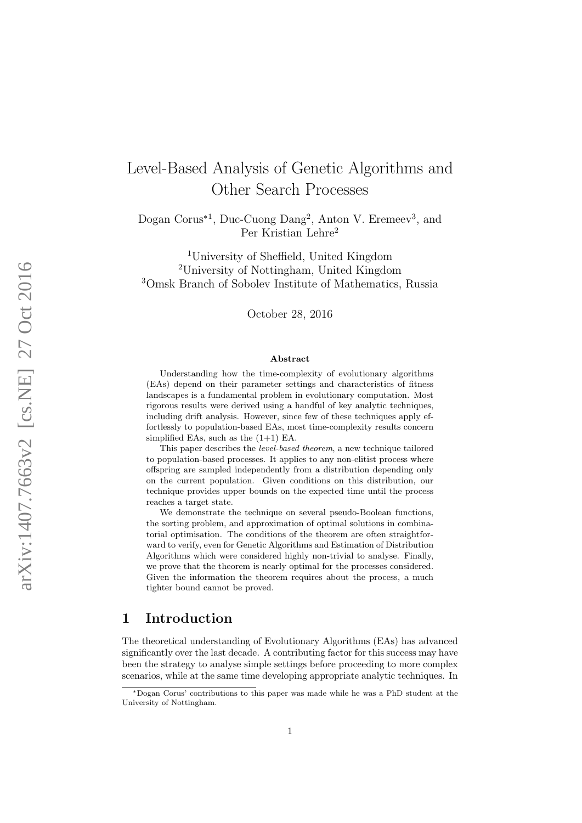# Level-Based Analysis of Genetic Algorithms and Other Search Processes

Dogan Corus<sup>\*1</sup>, Duc-Cuong Dang<sup>2</sup>, Anton V. Eremeev<sup>3</sup>, and Per Kristian Lehre 2

<sup>1</sup>University of Sheffield, United Kingdom <sup>2</sup>University of Nottingham, United Kingdom <sup>3</sup>Omsk Branch of Sobolev Institute of Mathematics, Russia

October 28, 2016

#### Abstract

Understanding how the time-complexity of evolutionary algorithms (EAs) depend on their parameter settings and characteristics of fitness landscapes is a fundamental problem in evolutionary computation. Most rigorous results were derived using a handful of key analytic techniques, including drift analysis. However, since few of these techniques apply effortlessly to population-based EAs, most time-complexity results concern simplified EAs, such as the  $(1+1)$  EA.

This paper describes the level-based theorem, a new technique tailored to population-based processes. It applies to any non-elitist process where offspring are sampled independently from a distribution depending only on the current population. Given conditions on this distribution, our technique provides upper bounds on the expected time until the process reaches a target state.

We demonstrate the technique on several pseudo-Boolean functions, the sorting problem, and approximation of optimal solutions in combinatorial optimisation. The conditions of the theorem are often straightforward to verify, even for Genetic Algorithms and Estimation of Distribution Algorithms which were considered highly non-trivial to analyse. Finally, we prove that the theorem is nearly optimal for the processes considered. Given the information the theorem requires about the process, a much tighter bound cannot be proved.

## 1 Introduction

The theoretical understanding of Evolutionary Algorithms (EAs) has advanced significantly over the last decade. A contributing factor for this success may have been the strategy to analyse simple settings before proceeding to more complex scenarios, while at the same time developing appropriate analytic techniques. In

<sup>∗</sup>Dogan Corus' contributions to this paper was made while he was a PhD student at the University of Nottingham.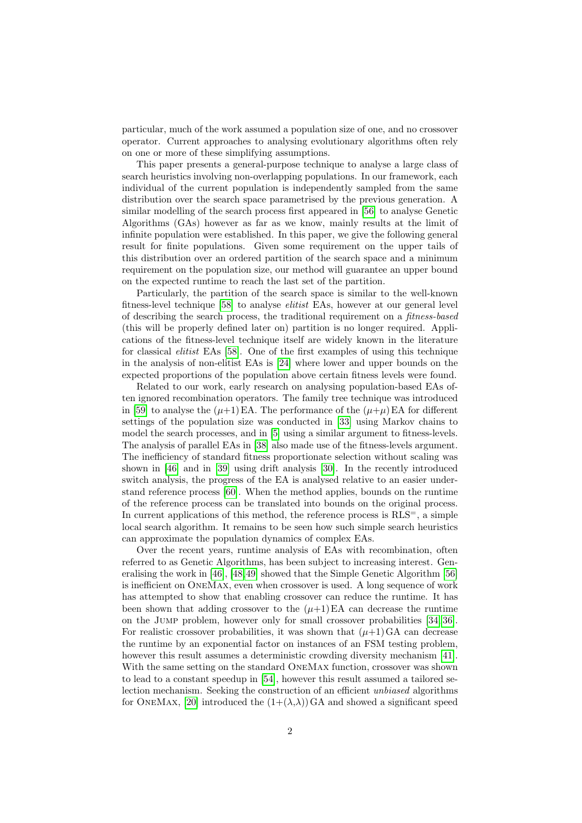particular, much of the work assumed a population size of one, and no crossover operator. Current approaches to analysing evolutionary algorithms often rely on one or more of these simplifying assumptions.

This paper presents a general-purpose technique to analyse a large class of search heuristics involving non-overlapping populations. In our framework, each individual of the current population is independently sampled from the same distribution over the search space parametrised by the previous generation. A similar modelling of the search process first appeared in [\[56\]](#page-47-0) to analyse Genetic Algorithms (GAs) however as far as we know, mainly results at the limit of infinite population were established. In this paper, we give the following general result for finite populations. Given some requirement on the upper tails of this distribution over an ordered partition of the search space and a minimum requirement on the population size, our method will guarantee an upper bound on the expected runtime to reach the last set of the partition.

Particularly, the partition of the search space is similar to the well-known fitness-level technique [\[58\]](#page-47-1) to analyse elitist EAs, however at our general level of describing the search process, the traditional requirement on a fitness-based (this will be properly defined later on) partition is no longer required. Applications of the fitness-level technique itself are widely known in the literature for classical elitist EAs [\[58\]](#page-47-1). One of the first examples of using this technique in the analysis of non-elitist EAs is [\[24\]](#page-45-0) where lower and upper bounds on the expected proportions of the population above certain fitness levels were found.

Related to our work, early research on analysing population-based EAs often ignored recombination operators. The family tree technique was introduced in [\[59\]](#page-47-2) to analyse the  $(\mu+1)E\mathbf{A}$ . The performance of the  $(\mu+\mu)E\mathbf{A}$  for different settings of the population size was conducted in [\[33\]](#page-45-1) using Markov chains to model the search processes, and in [\[5\]](#page-43-0) using a similar argument to fitness-levels. The analysis of parallel EAs in [\[38\]](#page-45-2) also made use of the fitness-levels argument. The inefficiency of standard fitness proportionate selection without scaling was shown in [\[46\]](#page-46-0) and in [\[39\]](#page-46-1) using drift analysis [\[30\]](#page-45-3). In the recently introduced switch analysis, the progress of the EA is analysed relative to an easier understand reference process [\[60\]](#page-47-3). When the method applies, bounds on the runtime of the reference process can be translated into bounds on the original process. In current applications of this method, the reference process is  $RLS^=$ , a simple local search algorithm. It remains to be seen how such simple search heuristics can approximate the population dynamics of complex EAs.

Over the recent years, runtime analysis of EAs with recombination, often referred to as Genetic Algorithms, has been subject to increasing interest. Generalising the work in [\[46\]](#page-46-0), [\[48,](#page-46-2)[49\]](#page-46-3) showed that the Simple Genetic Algorithm [\[56\]](#page-47-0) is inefficient on OneMax, even when crossover is used. A long sequence of work has attempted to show that enabling crossover can reduce the runtime. It has been shown that adding crossover to the  $(\mu+1)EA$  can decrease the runtime on the Jump problem, however only for small crossover probabilities [\[34,](#page-45-4) [36\]](#page-45-5). For realistic crossover probabilities, it was shown that  $(\mu+1)GA$  can decrease the runtime by an exponential factor on instances of an FSM testing problem, however this result assumes a deterministic crowding diversity mechanism [\[41\]](#page-46-4). With the same setting on the standard OneMax function, crossover was shown to lead to a constant speedup in [\[54\]](#page-46-5), however this result assumed a tailored selection mechanism. Seeking the construction of an efficient unbiased algorithms for ONEMAX, [\[20\]](#page-44-0) introduced the  $(1+(\lambda,\lambda))$  GA and showed a significant speed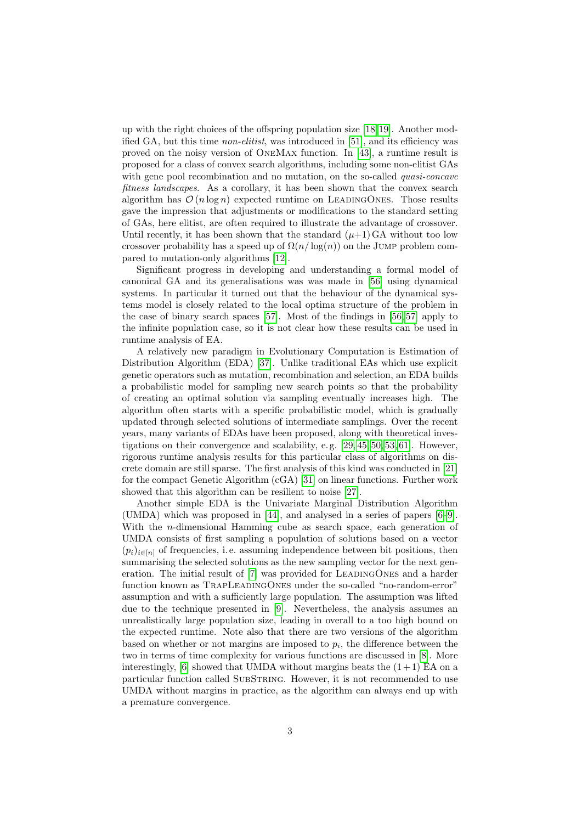up with the right choices of the offspring population size [\[18,](#page-44-1)[19\]](#page-44-2). Another modified GA, but this time *non-elitist*, was introduced in [\[51\]](#page-46-6), and its efficiency was proved on the noisy version of OneMax function. In [\[43\]](#page-46-7), a runtime result is proposed for a class of convex search algorithms, including some non-elitist GAs with gene pool recombination and no mutation, on the so-called *quasi-concave* fitness landscapes. As a corollary, it has been shown that the convex search algorithm has  $\mathcal{O}(n \log n)$  expected runtime on LEADINGONES. Those results gave the impression that adjustments or modifications to the standard setting of GAs, here elitist, are often required to illustrate the advantage of crossover. Until recently, it has been shown that the standard  $(\mu+1)GA$  without too low crossover probability has a speed up of  $\Omega(n/\log(n))$  on the JUMP problem compared to mutation-only algorithms [\[12\]](#page-44-3).

Significant progress in developing and understanding a formal model of canonical GA and its generalisations was was made in [\[56\]](#page-47-0) using dynamical systems. In particular it turned out that the behaviour of the dynamical systems model is closely related to the local optima structure of the problem in the case of binary search spaces [\[57\]](#page-47-4). Most of the findings in [\[56,](#page-47-0) [57\]](#page-47-4) apply to the infinite population case, so it is not clear how these results can be used in runtime analysis of EA.

A relatively new paradigm in Evolutionary Computation is Estimation of Distribution Algorithm (EDA) [\[37\]](#page-45-6). Unlike traditional EAs which use explicit genetic operators such as mutation, recombination and selection, an EDA builds a probabilistic model for sampling new search points so that the probability of creating an optimal solution via sampling eventually increases high. The algorithm often starts with a specific probabilistic model, which is gradually updated through selected solutions of intermediate samplings. Over the recent years, many variants of EDAs have been proposed, along with theoretical investigations on their convergence and scalability, e. g. [\[29,](#page-45-7) [45,](#page-46-8) [50,](#page-46-9) [53,](#page-46-10) [61\]](#page-47-5). However, rigorous runtime analysis results for this particular class of algorithms on discrete domain are still sparse. The first analysis of this kind was conducted in [\[21\]](#page-44-4) for the compact Genetic Algorithm (cGA) [\[31\]](#page-45-8) on linear functions. Further work showed that this algorithm can be resilient to noise [\[27\]](#page-45-9).

Another simple EDA is the Univariate Marginal Distribution Algorithm (UMDA) which was proposed in [\[44\]](#page-46-11), and analysed in a series of papers [\[6–](#page-43-1)[9\]](#page-44-5). With the *n*-dimensional Hamming cube as search space, each generation of UMDA consists of first sampling a population of solutions based on a vector  $(p_i)_{i\in[n]}$  of frequencies, i.e. assuming independence between bit positions, then summarising the selected solutions as the new sampling vector for the next generation. The initial result of [\[7\]](#page-43-2) was provided for LeadingOnes and a harder function known as TRAPLEADINGONES under the so-called "no-random-error" assumption and with a sufficiently large population. The assumption was lifted due to the technique presented in [\[9\]](#page-44-5). Nevertheless, the analysis assumes an unrealistically large population size, leading in overall to a too high bound on the expected runtime. Note also that there are two versions of the algorithm based on whether or not margins are imposed to  $p_i$ , the difference between the two in terms of time complexity for various functions are discussed in [\[8\]](#page-43-3). More interestingly, [\[6\]](#page-43-1) showed that UMDA without margins beats the  $(1+1)$  EA on a particular function called SUBSTRING. However, it is not recommended to use UMDA without margins in practice, as the algorithm can always end up with a premature convergence.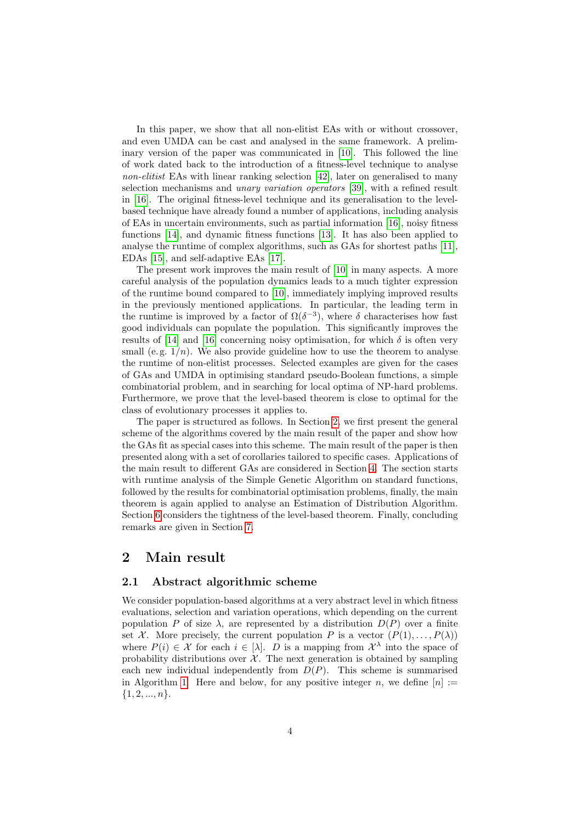In this paper, we show that all non-elitist EAs with or without crossover, and even UMDA can be cast and analysed in the same framework. A preliminary version of the paper was communicated in [\[10\]](#page-44-6). This followed the line of work dated back to the introduction of a fitness-level technique to analyse non-elitist EAs with linear ranking selection [\[42\]](#page-46-12), later on generalised to many selection mechanisms and unary variation operators [\[39\]](#page-46-1), with a refined result in [\[16\]](#page-44-7). The original fitness-level technique and its generalisation to the levelbased technique have already found a number of applications, including analysis of EAs in uncertain environments, such as partial information [\[16\]](#page-44-7), noisy fitness functions [\[14\]](#page-44-8), and dynamic fitness functions [\[13\]](#page-44-9). It has also been applied to analyse the runtime of complex algorithms, such as GAs for shortest paths [\[11\]](#page-44-10), EDAs [\[15\]](#page-44-11), and self-adaptive EAs [\[17\]](#page-44-12).

The present work improves the main result of [\[10\]](#page-44-6) in many aspects. A more careful analysis of the population dynamics leads to a much tighter expression of the runtime bound compared to [\[10\]](#page-44-6), immediately implying improved results in the previously mentioned applications. In particular, the leading term in the runtime is improved by a factor of  $\Omega(\delta^{-3})$ , where  $\delta$  characterises how fast good individuals can populate the population. This significantly improves the results of [\[14\]](#page-44-8) and [\[16\]](#page-44-7) concerning noisy optimisation, for which  $\delta$  is often very small (e.g.  $1/n$ ). We also provide guideline how to use the theorem to analyse the runtime of non-elitist processes. Selected examples are given for the cases of GAs and UMDA in optimising standard pseudo-Boolean functions, a simple combinatorial problem, and in searching for local optima of NP-hard problems. Furthermore, we prove that the level-based theorem is close to optimal for the class of evolutionary processes it applies to.

The paper is structured as follows. In Section [2,](#page-3-0) we first present the general scheme of the algorithms covered by the main result of the paper and show how the GAs fit as special cases into this scheme. The main result of the paper is then presented along with a set of corollaries tailored to specific cases. Applications of the main result to different GAs are considered in Section [4.](#page-18-0) The section starts with runtime analysis of the Simple Genetic Algorithm on standard functions, followed by the results for combinatorial optimisation problems, finally, the main theorem is again applied to analyse an Estimation of Distribution Algorithm. Section [6](#page-33-0) considers the tightness of the level-based theorem. Finally, concluding remarks are given in Section [7.](#page-36-0)

## <span id="page-3-0"></span>2 Main result

### 2.1 Abstract algorithmic scheme

We consider population-based algorithms at a very abstract level in which fitness evaluations, selection and variation operations, which depending on the current population P of size  $\lambda$ , are represented by a distribution  $D(P)$  over a finite set X. More precisely, the current population P is a vector  $(P(1), \ldots, P(\lambda))$ where  $P(i) \in \mathcal{X}$  for each  $i \in [\lambda]$ . D is a mapping from  $\mathcal{X}^{\lambda}$  into the space of probability distributions over  $\mathcal{X}$ . The next generation is obtained by sampling each new individual independently from  $D(P)$ . This scheme is summarised in Algorithm [1.](#page-4-0) Here and below, for any positive integer n, we define  $[n] :=$  $\{1, 2, ..., n\}.$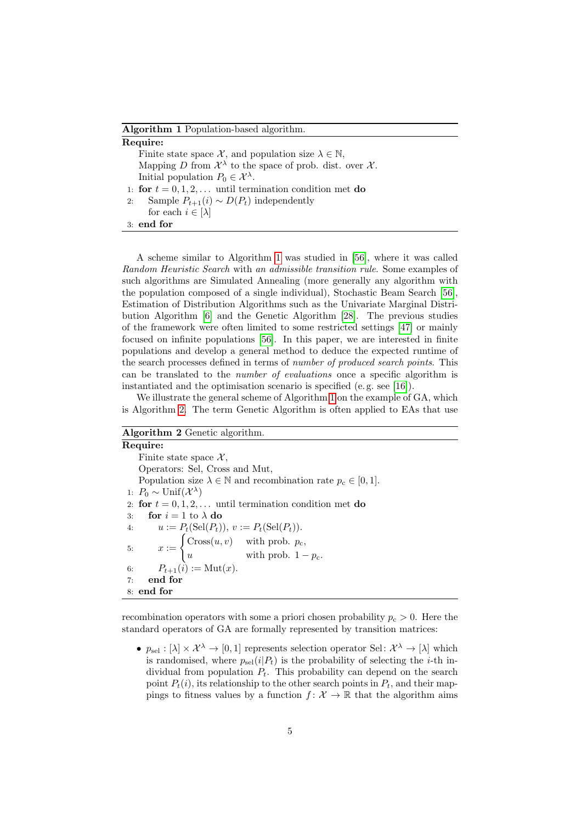#### <span id="page-4-5"></span>Algorithm 1 Population-based algorithm.

| Require:                                                                                |
|-----------------------------------------------------------------------------------------|
| Finite state space X, and population size $\lambda \in \mathbb{N}$ ,                    |
| Mapping D from $\mathcal{X}^{\lambda}$ to the space of prob. dist. over $\mathcal{X}$ . |
| Initial population $P_0 \in \mathcal{X}^{\lambda}$ .                                    |
| 1: for $t = 0, 1, 2, \ldots$ until termination condition met do                         |
| Sample $P_{t+1}(i) \sim D(P_t)$ independently<br>2:                                     |
| for each $i \in [\lambda]$                                                              |
| $3:$ end for                                                                            |

<span id="page-4-0"></span>A scheme similar to Algorithm [1](#page-4-0) was studied in [\[56\]](#page-47-0), where it was called Random Heuristic Search with an admissible transition rule. Some examples of such algorithms are Simulated Annealing (more generally any algorithm with the population composed of a single individual), Stochastic Beam Search [\[56\]](#page-47-0), Estimation of Distribution Algorithms such as the Univariate Marginal Distribution Algorithm [\[6\]](#page-43-1) and the Genetic Algorithm [\[28\]](#page-45-10). The previous studies of the framework were often limited to some restricted settings [\[47\]](#page-46-13) or mainly focused on infinite populations [\[56\]](#page-47-0). In this paper, we are interested in finite populations and develop a general method to deduce the expected runtime of the search processes defined in terms of *number of produced search points*. This can be translated to the number of evaluations once a specific algorithm is instantiated and the optimisation scenario is specified (e. g. see [\[16\]](#page-44-7)).

We illustrate the general scheme of Algorithm [1](#page-4-0) on the example of GA, which is Algorithm [2.](#page-4-1) The term Genetic Algorithm is often applied to EAs that use

## Algorithm 2 Genetic algorithm.

<span id="page-4-4"></span><span id="page-4-2"></span>Require: Finite state space  $\mathcal{X}$ , Operators: Sel, Cross and Mut, Population size  $\lambda \in \mathbb{N}$  and recombination rate  $p_c \in [0, 1]$ . 1:  $P_0 \sim \text{Unif}(\mathcal{X}^{\lambda})$ 2: for  $t = 0, 1, 2, \ldots$  until termination condition met do 3: for  $i = 1$  to  $\lambda$  do 4:  $u := P_t(\text{Sel}(P_t)), v := P_t(\text{Sel}(P_t)).$ 5:  $x := \begin{cases} \text{Cross}(u, v) & \text{with prob. } p_c, \\ 0 & \text{with} \end{cases}$ u with prob.  $1 - p_c$ . 6:  $P_{t+1}(i) := \text{Mut}(x)$ . 7: end for 8: end for

<span id="page-4-1"></span>recombination operators with some a priori chosen probability  $p_c > 0$ . Here the standard operators of GA are formally represented by transition matrices:

<span id="page-4-3"></span>•  $p_{\text{sel}} : [\lambda] \times \mathcal{X}^{\lambda} \to [0, 1]$  represents selection operator Sel:  $\mathcal{X}^{\lambda} \to [\lambda]$  which is randomised, where  $p_{\text{sel}}(i|P_t)$  is the probability of selecting the *i*-th individual from population  $P_t$ . This probability can depend on the search point  $P_t(i)$ , its relationship to the other search points in  $P_t$ , and their mappings to fitness values by a function  $f: \mathcal{X} \to \mathbb{R}$  that the algorithm aims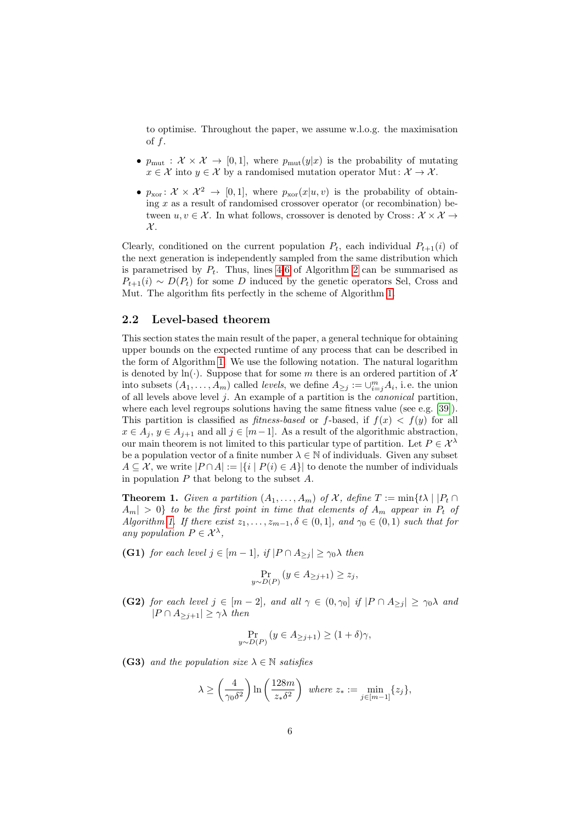to optimise. Throughout the paper, we assume w.l.o.g. the maximisation of  $f$ .

- $p_{\text{mut}} : \mathcal{X} \times \mathcal{X} \to [0,1],$  where  $p_{\text{mut}}(y|x)$  is the probability of mutating  $x \in \mathcal{X}$  into  $y \in \mathcal{X}$  by a randomised mutation operator Mut:  $\mathcal{X} \to \mathcal{X}$ .
- $p_{\text{xor}}: \mathcal{X} \times \mathcal{X}^2 \to [0, 1],$  where  $p_{\text{xor}}(x|u, v)$  is the probability of obtaining  $x$  as a result of randomised crossover operator (or recombination) between  $u, v \in \mathcal{X}$ . In what follows, crossover is denoted by Cross:  $\mathcal{X} \times \mathcal{X} \rightarrow$  $\mathcal{X}.$

Clearly, conditioned on the current population  $P_t$ , each individual  $P_{t+1}(i)$  of the next generation is independently sampled from the same distribution which is parametrised by  $P_t$ . Thus, lines [4](#page-4-2)[-6](#page-4-3) of Algorithm [2](#page-4-1) can be summarised as  $P_{t+1}(i) \sim D(P_t)$  for some D induced by the genetic operators Sel, Cross and Mut. The algorithm fits perfectly in the scheme of Algorithm [1.](#page-4-0)

#### 2.2 Level-based theorem

This section states the main result of the paper, a general technique for obtaining upper bounds on the expected runtime of any process that can be described in the form of Algorithm [1.](#page-4-0) We use the following notation. The natural logarithm is denoted by  $ln(·)$ . Suppose that for some m there is an ordered partition of X into subsets  $(A_1, \ldots, A_m)$  called *levels*, we define  $A_{\geq j} := \cup_{i=j}^m A_i$ , i.e. the union of all levels above level  $j$ . An example of a partition is the *canonical* partition, where each level regroups solutions having the same fitness value (see e.g.  $[39]$ ). This partition is classified as *fitness-based* or *f*-based, if  $f(x) < f(y)$  for all  $x \in A_j$ ,  $y \in A_{j+1}$  and all  $j \in [m-1]$ . As a result of the algorithmic abstraction, our main theorem is not limited to this particular type of partition. Let  $P \in \mathcal{X}^{\lambda}$ be a population vector of a finite number  $\lambda \in \mathbb{N}$  of individuals. Given any subset  $A \subseteq \mathcal{X}$ , we write  $|P \cap A| := |\{i \mid P(i) \in A\}|$  to denote the number of individuals in population  $P$  that belong to the subset  $A$ .

<span id="page-5-0"></span>**Theorem 1.** Given a partition  $(A_1, \ldots, A_m)$  of X, define  $T := \min\{t\lambda \mid |P_t \cap$  $A_m$  > 0} to be the first point in time that elements of  $A_m$  appear in  $P_t$  of Algorithm [1.](#page-4-0) If there exist  $z_1, \ldots, z_{m-1}, \delta \in (0,1]$ , and  $\gamma_0 \in (0,1)$  such that for any population  $P \in \mathcal{X}^{\lambda}$ ,

(G1) for each level  $j \in [m-1]$ , if  $|P \cap A_{\geq i}| \geq \gamma_0 \lambda$  then

$$
\Pr_{y \sim D(P)} (y \in A_{\geq j+1}) \geq z_j,
$$

(G2) for each level  $j \in [m-2]$ , and all  $\gamma \in (0, \gamma_0]$  if  $|P \cap A_{\geq j}| \geq \gamma_0 \lambda$  and  $|P \cap A_{\geq j+1}| \geq \gamma \lambda$  then

$$
\Pr_{y \sim D(P)} (y \in A_{\geq j+1}) \geq (1+\delta)\gamma,
$$

(G3) and the population size  $\lambda \in \mathbb{N}$  satisfies

$$
\lambda \ge \left(\frac{4}{\gamma_0 \delta^2}\right) \ln\left(\frac{128m}{z_* \delta^2}\right) \text{ where } z_* := \min_{j \in [m-1]} \{z_j\},
$$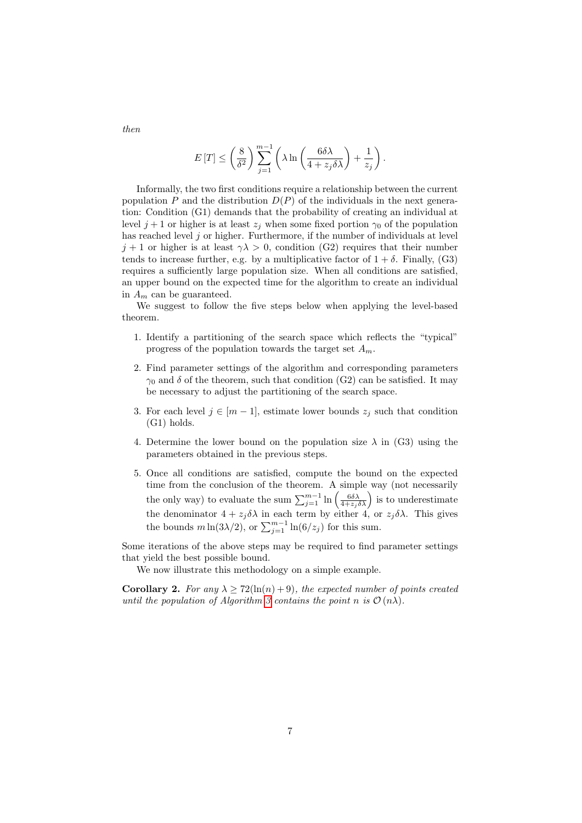$$
E[T] \leq \left(\frac{8}{\delta^2}\right) \sum_{j=1}^{m-1} \left(\lambda \ln\left(\frac{6\delta\lambda}{4+z_j\delta\lambda}\right) + \frac{1}{z_j}\right).
$$

Informally, the two first conditions require a relationship between the current population P and the distribution  $D(P)$  of the individuals in the next generation: Condition (G1) demands that the probability of creating an individual at level  $j+1$  or higher is at least  $z_j$  when some fixed portion  $\gamma_0$  of the population has reached level  $j$  or higher. Furthermore, if the number of individuals at level  $j+1$  or higher is at least  $\gamma \lambda > 0$ , condition (G2) requires that their number tends to increase further, e.g. by a multiplicative factor of  $1 + \delta$ . Finally, (G3) requires a sufficiently large population size. When all conditions are satisfied, an upper bound on the expected time for the algorithm to create an individual in  $A_m$  can be guaranteed.

We suggest to follow the five steps below when applying the level-based theorem.

- 1. Identify a partitioning of the search space which reflects the "typical" progress of the population towards the target set  $A_m$ .
- 2. Find parameter settings of the algorithm and corresponding parameters  $\gamma_0$  and  $\delta$  of the theorem, such that condition (G2) can be satisfied. It may be necessary to adjust the partitioning of the search space.
- 3. For each level  $j \in [m-1]$ , estimate lower bounds  $z_j$  such that condition (G1) holds.
- 4. Determine the lower bound on the population size  $\lambda$  in (G3) using the parameters obtained in the previous steps.
- 5. Once all conditions are satisfied, compute the bound on the expected time from the conclusion of the theorem. A simple way (not necessarily the only way) to evaluate the sum  $\sum_{j=1}^{m-1} \ln \left( \frac{6 \delta \lambda}{4 + z_j \delta \lambda} \right)$  is to underestimate the denominator  $4 + z_j \delta \lambda$  in each term by either 4, or  $z_j \delta \lambda$ . This gives the bounds  $m \ln(3\lambda/2)$ , or  $\sum_{j=1}^{m-1} \ln(6/z_j)$  for this sum.

Some iterations of the above steps may be required to find parameter settings that yield the best possible bound.

We now illustrate this methodology on a simple example.

**Corollary 2.** For any  $\lambda > 72(\ln(n) + 9)$ , the expected number of points created until the population of Algorithm [3](#page-7-0) contains the point n is  $\mathcal{O}(n\lambda)$ .

then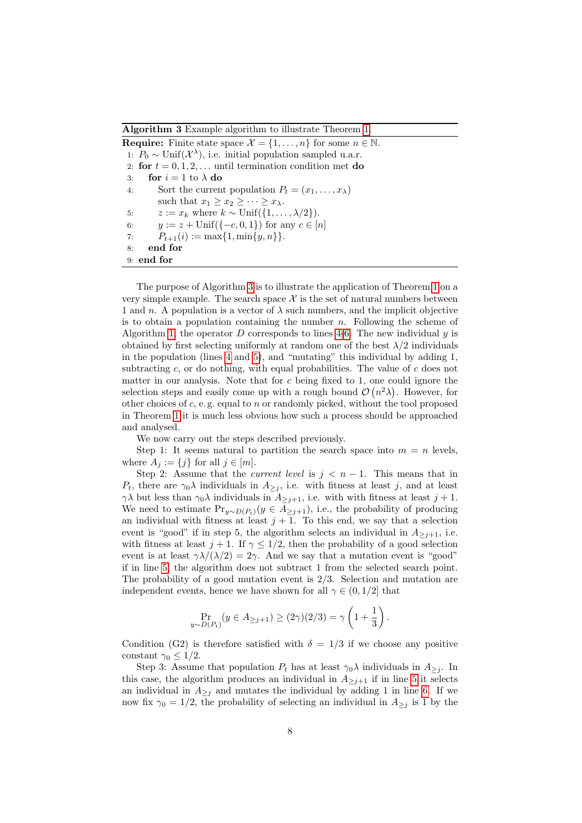Algorithm 3 Example algorithm to illustrate Theorem [1.](#page-5-0)

<span id="page-7-3"></span><span id="page-7-2"></span><span id="page-7-1"></span>**Require:** Finite state space  $\mathcal{X} = \{1, \ldots, n\}$  for some  $n \in \mathbb{N}$ . 1:  $P_0 \sim \text{Unif}(\mathcal{X}^{\lambda})$ , i.e. initial population sampled u.a.r. 2: for  $t = 0, 1, 2, \ldots$  until termination condition met do 3: for  $i = 1$  to  $\lambda$  do 4: Sort the current population  $P_t = (x_1, \ldots, x_\lambda)$ such that  $x_1 \geq x_2 \geq \cdots \geq x_{\lambda}$ . 5:  $z := x_k$  where  $k \sim \text{Unif}(\{1, \ldots, \lambda/2\}).$ 6:  $y := z + \text{Unif}({-c, 0, 1})$  for any  $c \in [n]$ 7:  $P_{t+1}(i) := \max\{1, \min\{y, n\}\}.$ 8: end for 9: end for

<span id="page-7-0"></span>The purpose of Algorithm [3](#page-7-0) is to illustrate the application of Theorem [1](#page-5-0) on a very simple example. The search space  $\mathcal X$  is the set of natural numbers between 1 and n. A population is a vector of  $\lambda$  such numbers, and the implicit objective is to obtain a population containing the number  $n$ . Following the scheme of Algorithm [1,](#page-4-0) the operator  $D$  corresponds to lines [4-](#page-7-1)[6.](#page-7-2) The new individual  $y$  is obtained by first selecting uniformly at random one of the best  $\lambda/2$  individuals in the population (lines [4](#page-7-1) and [5\)](#page-7-3), and "mutating" this individual by adding 1, subtracting  $c$ , or do nothing, with equal probabilities. The value of  $c$  does not matter in our analysis. Note that for c being fixed to 1, one could ignore the selection steps and easily come up with a rough bound  $\mathcal{O}(n^2\lambda)$ . However, for other choices of  $c$ , e.g. equal to  $n$  or randomly picked, without the tool proposed in Theorem [1](#page-5-0) it is much less obvious how such a process should be approached and analysed.

We now carry out the steps described previously.

Step 1: It seems natural to partition the search space into  $m = n$  levels, where  $A_j := \{j\}$  for all  $j \in [m]$ .

Step 2: Assume that the *current level* is  $j < n - 1$ . This means that in  $P_t$ , there are  $\gamma_0 \lambda$  individuals in  $A_{\geq j}$ , i.e. with fitness at least j, and at least  $\gamma\lambda$  but less than  $\gamma_0\lambda$  individuals in  $A_{\geq j+1}$ , i.e. with with fitness at least  $j+1$ . We need to estimate  $Pr_{y \sim D(P_t)}(y \in A_{\geq j+1}),$  i.e., the probability of producing an individual with fitness at least  $j + 1$ . To this end, we say that a selection event is "good" if in step 5, the algorithm selects an individual in  $A_{\geq j+1}$ , i.e. with fitness at least  $j + 1$ . If  $\gamma \leq 1/2$ , then the probability of a good selection event is at least  $\gamma \lambda/(\lambda/2) = 2\gamma$ . And we say that a mutation event is "good" if in line [5,](#page-7-3) the algorithm does not subtract 1 from the selected search point. The probability of a good mutation event is 2/3. Selection and mutation are independent events, hence we have shown for all  $\gamma \in (0, 1/2]$  that

$$
\Pr_{y \sim D(P_t)}(y \in A_{\geq j+1}) \geq (2\gamma)(2/3) = \gamma \left(1 + \frac{1}{3}\right).
$$

Condition (G2) is therefore satisfied with  $\delta = 1/3$  if we choose any positive constant  $\gamma_0 \leq 1/2$ .

Step 3: Assume that population  $P_t$  has at least  $\gamma_0 \lambda$  individuals in  $A_{\geq j}$ . In this case, the algorithm produces an individual in  $A_{\geq j+1}$  if in line [5](#page-7-3) it selects an individual in  $A_{\geq j}$  and mutates the individual by adding 1 in line [6.](#page-7-2) If we now fix  $\gamma_0 = 1/2$ , the probability of selecting an individual in  $A_{\geq j}$  is 1 by the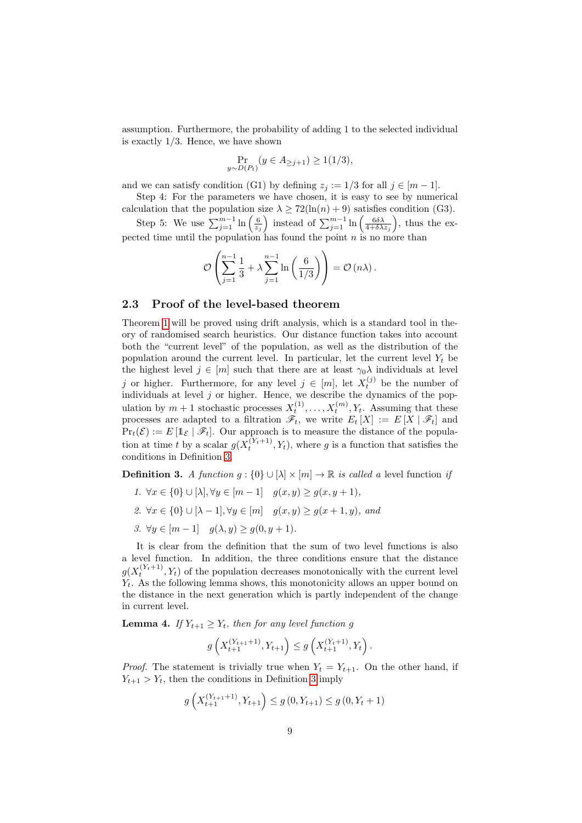assumption. Furthermore, the probability of adding 1 to the selected individual is exactly 1/3. Hence, we have shown

$$
\Pr_{\sim D(P_t)}(y \in A_{\geq j+1}) \geq 1(1/3),
$$

and we can satisfy condition (G1) by defining  $z_j := 1/3$  for all  $j \in [m-1]$ .

Step 4: For the parameters we have chosen, it is easy to see by numerical calculation that the population size  $\lambda \geq 72(\ln(n) + 9)$  satisfies condition (G3).

Step 5: We use  $\sum_{j=1}^{m-1} \ln\left(\frac{6}{z_j}\right)$  instead of  $\sum_{j=1}^{m-1} \ln\left(\frac{6\delta\lambda}{4+\delta\lambda z_j}\right)$ , thus the expected time until the population has found the point  $n$  is no more than

$$
\mathcal{O}\left(\sum_{j=1}^{n-1} \frac{1}{3} + \lambda \sum_{j=1}^{n-1} \ln\left(\frac{6}{1/3}\right)\right) = \mathcal{O}\left(n\lambda\right).
$$

### 2.3 Proof of the level-based theorem

 $\boldsymbol{u}$ 

Theorem [1](#page-5-0) will be proved using drift analysis, which is a standard tool in theory of randomised search heuristics. Our distance function takes into account both the "current level" of the population, as well as the distribution of the population around the current level. In particular, let the current level  $Y_t$  be the highest level  $j \in [m]$  such that there are at least  $\gamma_0 \lambda$  individuals at level j or higher. Furthermore, for any level  $j \in [m]$ , let  $X_t^{(j)}$  be the number of individuals at level  $j$  or higher. Hence, we describe the dynamics of the population by  $m+1$  stochastic processes  $X_t^{(1)}, \ldots, X_t^{(m)}, Y_t$ . Assuming that these processes are adapted to a filtration  $\mathscr{F}_t$ , we write  $E_t[X] := E[X | \mathscr{F}_t]$  and  $Pr_t(\mathcal{E}) := E[\mathbb{1}_{\mathcal{E}} | \mathcal{F}_t].$  Our approach is to measure the distance of the population at time t by a scalar  $g(X_t^{(Y_t+1)}, Y_t)$ , where g is a function that satisfies the conditions in Definition [3.](#page-8-0)

<span id="page-8-0"></span>**Definition 3.** A function  $g : \{0\} \cup [\lambda] \times [m] \rightarrow \mathbb{R}$  is called a level function if

- 1.  $\forall x \in \{0\} \cup [\lambda], \forall y \in [m-1] \quad g(x, y) \ge g(x, y+1),$
- 2.  $\forall x \in \{0\} \cup [\lambda 1], \forall y \in [m]$   $g(x, y) \ge g(x + 1, y)$ , and
- 3.  $\forall y \in [m-1]$   $g(\lambda, y) \ge g(0, y+1)$ .

It is clear from the definition that the sum of two level functions is also a level function. In addition, the three conditions ensure that the distance  $g(X_t^{(Y_t+1)}, Y_t)$  of the population decreases monotonically with the current level  $Y_t$ . As the following lemma shows, this monotonicity allows an upper bound on the distance in the next generation which is partly independent of the change in current level.

<span id="page-8-1"></span>**Lemma 4.** If  $Y_{t+1} \geq Y_t$ , then for any level function g

$$
g\left(X_{t+1}^{(Y_{t+1}+1)}, Y_{t+1}\right) \le g\left(X_{t+1}^{(Y_t+1)}, Y_t\right).
$$

*Proof.* The statement is trivially true when  $Y_t = Y_{t+1}$ . On the other hand, if  $Y_{t+1} > Y_t$ , then the conditions in Definition [3](#page-8-0) imply

$$
g\left(X_{t+1}^{(Y_{t+1}+1)}, Y_{t+1}\right) \le g\left(0, Y_{t+1}\right) \le g\left(0, Y_{t}+1\right)
$$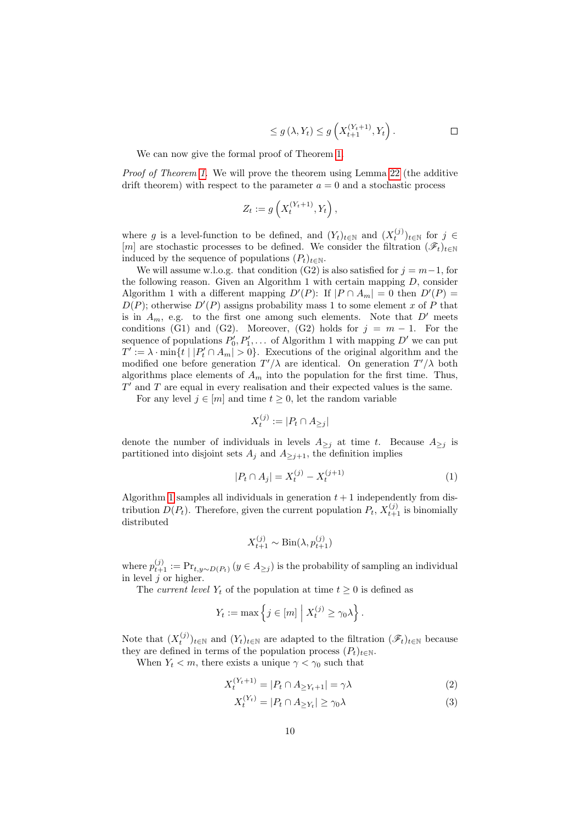$$
\leq g\left(\lambda, Y_t\right) \leq g\left(X_{t+1}^{(Y_t+1)}, Y_t\right). \qquad \qquad \Box
$$

We can now give the formal proof of Theorem [1.](#page-5-0)

Proof of Theorem [1.](#page-5-0) We will prove the theorem using Lemma [22](#page-38-0) (the additive drift theorem) with respect to the parameter  $a = 0$  and a stochastic process

$$
Z_t := g\left(X_t^{(Y_t+1)}, Y_t\right),\,
$$

where g is a level-function to be defined, and  $(Y_t)_{t \in \mathbb{N}}$  and  $(X_t^{(j)})_{t \in \mathbb{N}}$  for  $j \in$ [m] are stochastic processes to be defined. We consider the filtration  $(\mathscr{F}_t)_{t\in\mathbb{N}}$ induced by the sequence of populations  $(P_t)_{t \in \mathbb{N}}$ .

We will assume w.l.o.g. that condition (G2) is also satisfied for  $j = m-1$ , for the following reason. Given an Algorithm 1 with certain mapping  $D$ , consider Algorithm 1 with a different mapping  $D'(P)$ : If  $|P \cap A_m| = 0$  then  $D'(P) =$  $D(P)$ ; otherwise  $D'(P)$  assigns probability mass 1 to some element x of P that is in  $A_m$ , e.g. to the first one among such elements. Note that  $D'$  meets conditions (G1) and (G2). Moreover, (G2) holds for  $j = m - 1$ . For the sequence of populations  $P'_0, P'_1, \ldots$  of Algorithm 1 with mapping  $D'$  we can put  $T' := \lambda \cdot \min\{t \mid |P'_t \cap A_m| > 0\}.$  Executions of the original algorithm and the modified one before generation  $T'/\lambda$  are identical. On generation  $T'/\lambda$  both algorithms place elements of  $A_m$  into the population for the first time. Thus,  $T'$  and  $T$  are equal in every realisation and their expected values is the same.

For any level  $j \in [m]$  and time  $t \geq 0$ , let the random variable

<span id="page-9-0"></span>
$$
X_t^{(j)} := |P_t \cap A_{\geq j}|
$$

denote the number of individuals in levels  $A_{\geq j}$  at time t. Because  $A_{\geq j}$  is partitioned into disjoint sets  $A_j$  and  $A_{\geq j+1}$ , the definition implies

$$
|P_t \cap A_j| = X_t^{(j)} - X_t^{(j+1)} \tag{1}
$$

Algorithm [1](#page-4-0) samples all individuals in generation  $t + 1$  independently from distribution  $D(P_t)$ . Therefore, given the current population  $P_t$ ,  $X_{t+1}^{(j)}$  is binomially distributed

$$
X_{t+1}^{(j)} \sim \text{Bin}(\lambda, p_{t+1}^{(j)})
$$

where  $p_{t+1}^{(j)} := \Pr_{t,y \sim D(P_t)} (y \in A_{\ge j})$  is the probability of sampling an individual in level  $j$  or higher.

The current level  $Y_t$  of the population at time  $t \geq 0$  is defined as

$$
Y_t := \max\left\{j \in [m] \mid X_t^{(j)} \ge \gamma_0 \lambda\right\}.
$$

Note that  $(X_t^{(j)})_{t\in\mathbb{N}}$  and  $(Y_t)_{t\in\mathbb{N}}$  are adapted to the filtration  $(\mathscr{F}_t)_{t\in\mathbb{N}}$  because they are defined in terms of the population process  $(P_t)_{t \in \mathbb{N}}$ .

When  $Y_t < m$ , there exists a unique  $\gamma < \gamma_0$  such that

$$
X_t^{(Y_t+1)} = |P_t \cap A_{\geq Y_t+1}| = \gamma \lambda \tag{2}
$$

<span id="page-9-2"></span><span id="page-9-1"></span>
$$
X_t^{(Y_t)} = |P_t \cap A_{\geq Y_t}| \geq \gamma_0 \lambda \tag{3}
$$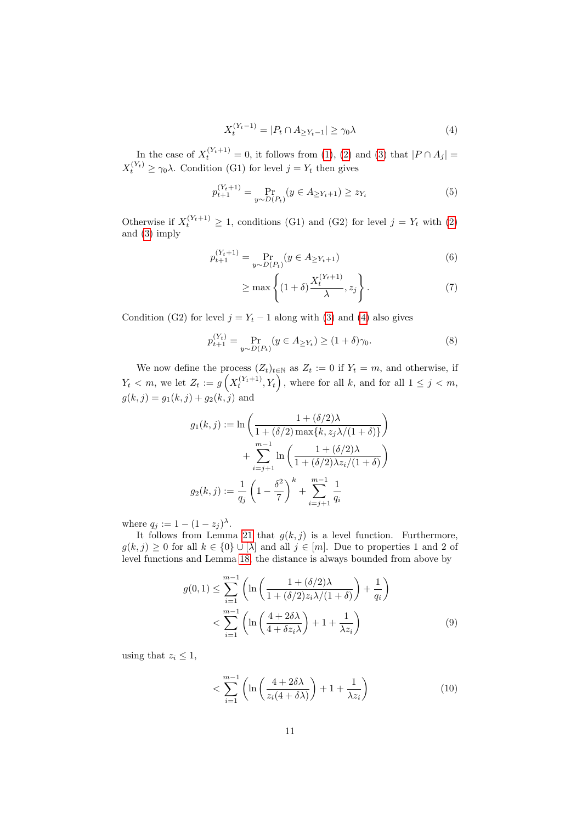<span id="page-10-0"></span>
$$
X_t^{(Y_t - 1)} = |P_t \cap A_{\geq Y_t - 1}| \geq \gamma_0 \lambda \tag{4}
$$

In the case of  $X_t^{(Y_t+1)} = 0$ , it follows from [\(1\)](#page-9-0), [\(2\)](#page-9-1) and [\(3\)](#page-9-2) that  $|P \cap A_j|$  =  $X_t^{(Y_t)} \geq \gamma_0 \lambda$ . Condition (G1) for level  $j = Y_t$  then gives

$$
p_{t+1}^{(Y_t+1)} = \Pr_{y \sim D(P_t)}(y \in A_{\geq Y_t+1}) \geq z_{Y_t}
$$
\n(5)

Otherwise if  $X_t^{(Y_t+1)} \geq 1$ , conditions (G1) and (G2) for level  $j = Y_t$  with [\(2\)](#page-9-1) and [\(3\)](#page-9-2) imply

$$
p_{t+1}^{(Y_t+1)} = \Pr_{y \sim D(P_t)}(y \in A_{\geq Y_t+1})
$$
\n(6)

<span id="page-10-3"></span><span id="page-10-2"></span><span id="page-10-1"></span>
$$
\geq \max\left\{ (1+\delta) \frac{X_t^{(Y_t+1)}}{\lambda}, z_j \right\}.
$$
 (7)

Condition (G2) for level  $j = Y_t - 1$  along with [\(3\)](#page-9-2) and [\(4\)](#page-10-0) also gives

$$
p_{t+1}^{(Y_t)} = \Pr_{y \sim D(P_t)}(y \in A_{\geq Y_t}) \geq (1 + \delta)\gamma_0.
$$
 (8)

We now define the process  $(Z_t)_{t\in\mathbb{N}}$  as  $Z_t := 0$  if  $Y_t = m$ , and otherwise, if  $Y_t \lt m$ , we let  $Z_t := g\left(X_t^{(Y_t+1)}, Y_t\right)$ , where for all  $k$ , and for all  $1 \leq j \leq m$ ,  $g(k, j) = g_1(k, j) + g_2(k, j)$  and

$$
g_1(k, j) := \ln \left( \frac{1 + (\delta/2)\lambda}{1 + (\delta/2) \max\{k, z_j \lambda/(1 + \delta)\}} \right) + \sum_{i=j+1}^{m-1} \ln \left( \frac{1 + (\delta/2)\lambda}{1 + (\delta/2)\lambda z_i/(1 + \delta)} \right)
$$

$$
g_2(k, j) := \frac{1}{q_j} \left( 1 - \frac{\delta^2}{7} \right)^k + \sum_{i=j+1}^{m-1} \frac{1}{q_i}
$$

where  $q_j := 1 - (1 - z_j)^{\lambda}$ .

It follows from Lemma [21](#page-37-0) that  $g(k, j)$  is a level function. Furthermore,  $g(k, j) \geq 0$  for all  $k \in \{0\} \cup [\lambda]$  and all  $j \in [m]$ . Due to properties 1 and 2 of level functions and Lemma [18,](#page-37-1) the distance is always bounded from above by

$$
g(0,1) \leq \sum_{i=1}^{m-1} \left( \ln \left( \frac{1 + (\delta/2)\lambda}{1 + (\delta/2)z_i \lambda/(1+\delta)} \right) + \frac{1}{q_i} \right)
$$
  
< 
$$
< \sum_{i=1}^{m-1} \left( \ln \left( \frac{4 + 2\delta\lambda}{4 + \delta z_i \lambda} \right) + 1 + \frac{1}{\lambda z_i} \right)
$$
(9)

using that  $z_i \leq 1$ ,

<span id="page-10-4"></span>
$$
\langle \sum_{i=1}^{m-1} \left( \ln \left( \frac{4 + 2\delta\lambda}{z_i(4 + \delta\lambda)} \right) + 1 + \frac{1}{\lambda z_i} \right) \tag{10}
$$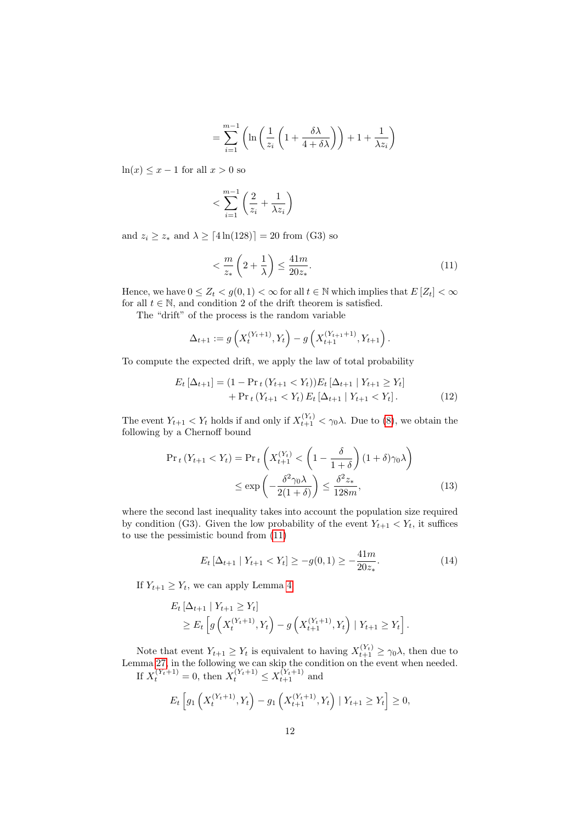$$
= \sum_{i=1}^{m-1} \left( \ln \left( \frac{1}{z_i} \left( 1 + \frac{\delta \lambda}{4 + \delta \lambda} \right) \right) + 1 + \frac{1}{\lambda z_i} \right)
$$

 $ln(x) \leq x - 1$  for all  $x > 0$  so

$$
< \sum_{i=1}^{m-1} \left( \frac{2}{z_i} + \frac{1}{\lambda z_i} \right)
$$

and  $z_i \geq z_*$  and  $\lambda \geq \lceil 4\ln(128) \rceil = 20$  from (G3) so

<span id="page-11-0"></span>
$$
\langle \frac{m}{z_*} \left( 2 + \frac{1}{\lambda} \right) \le \frac{41m}{20z_*}.
$$
\n<sup>(11)</sup>

Hence, we have  $0 \leq Z_t < g(0,1) < \infty$  for all  $t \in \mathbb{N}$  which implies that  $E[Z_t] < \infty$ for all  $t \in \mathbb{N}$ , and condition 2 of the drift theorem is satisfied.

The "drift" of the process is the random variable

<span id="page-11-1"></span>
$$
\Delta_{t+1} := g\left(X_t^{(Y_t+1)}, Y_t\right) - g\left(X_{t+1}^{(Y_{t+1}+1)}, Y_{t+1}\right).
$$

To compute the expected drift, we apply the law of total probability

$$
E_t \left[ \Delta_{t+1} \right] = (1 - \Pr_t (Y_{t+1} < Y_t)) E_t \left[ \Delta_{t+1} \mid Y_{t+1} \ge Y_t \right] \\
 \quad + \Pr_t (Y_{t+1} < Y_t) E_t \left[ \Delta_{t+1} \mid Y_{t+1} < Y_t \right]. \tag{12}
$$

The event  $Y_{t+1} < Y_t$  holds if and only if  $X_{t+1}^{(Y_t)} < \gamma_0 \lambda$ . Due to [\(8\)](#page-10-1), we obtain the following by a Chernoff bound

$$
\Pr_t(Y_{t+1} < Y_t) = \Pr_t\left(X_{t+1}^{(Y_t)} < \left(1 - \frac{\delta}{1 + \delta}\right)(1 + \delta)\gamma_0\lambda\right) \\
\leq \exp\left(-\frac{\delta^2\gamma_0\lambda}{2(1 + \delta)}\right) \leq \frac{\delta^2 z_*}{128m},\tag{13}
$$

where the second last inequality takes into account the population size required by condition (G3). Given the low probability of the event  $Y_{t+1} < Y_t$ , it suffices to use the pessimistic bound from [\(11\)](#page-11-0)

<span id="page-11-3"></span><span id="page-11-2"></span>
$$
E_t \left[ \Delta_{t+1} \mid Y_{t+1} < Y_t \right] \ge -g(0,1) \ge -\frac{41m}{20z_*}.\tag{14}
$$

If  $Y_{t+1} \geq Y_t$ , we can apply Lemma [4](#page-8-1)

$$
E_t\left[\Delta_{t+1} | Y_{t+1} \ge Y_t\right] \ge E_t\left[g\left(X_t^{(Y_t+1)}, Y_t\right) - g\left(X_{t+1}^{(Y_t+1)}, Y_t\right) | Y_{t+1} \ge Y_t\right].
$$

Note that event  $Y_{t+1} \geq Y_t$  is equivalent to having  $X_{t+1}^{(Y_t)} \geq \gamma_0 \lambda$ , then due to Lemma [27,](#page-41-0) in the following we can skip the condition on the event when needed. If  $X_t^{(Y_t+1)} = 0$ , then  $X_t^{(Y_t+1)} \le X_{t+1}^{(Y_t+1)}$  and

$$
E_t\left[g_1\left(X_t^{(Y_t+1)}, Y_t\right) - g_1\left(X_{t+1}^{(Y_t+1)}, Y_t\right) \mid Y_{t+1} \ge Y_t\right] \ge 0,
$$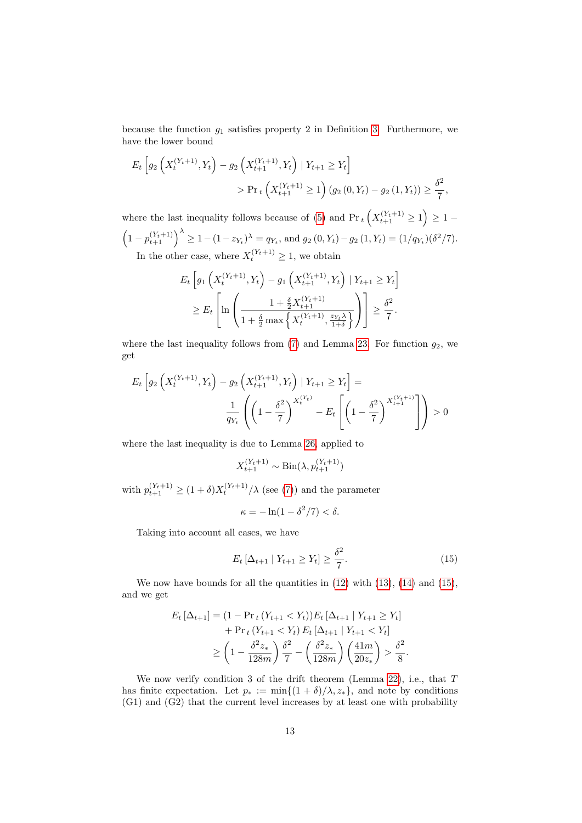because the function  $g_1$  satisfies property 2 in Definition [3.](#page-8-0) Furthermore, we have the lower bound

$$
E_t \left[ g_2 \left( X_t^{(Y_t+1)}, Y_t \right) - g_2 \left( X_{t+1}^{(Y_t+1)}, Y_t \right) \mid Y_{t+1} \ge Y_t \right]
$$
  
>  $\Pr_t \left( X_{t+1}^{(Y_t+1)} \ge 1 \right) (g_2 (0, Y_t) - g_2 (1, Y_t)) \ge \frac{\delta^2}{7},$ 

where the last inequality follows because of [\(5\)](#page-10-2) and  $Pr_t(X_{t+1}^{(Y_t+1)} \geq 1) \geq 1 \left(1-p_{t+1}^{(Y_t+1)}\right)^{\lambda} \geq 1-(1-z_{Y_t})^{\lambda} = q_{Y_t}$ , and  $g_2(0, Y_t) - g_2(1, Y_t) = (1/q_{Y_t})(\delta^2/7)$ . In the other case, where  $X_t^{(Y_t+1)} \geq 1$ , we obtain

$$
E_t\left[g_1\left(X_t^{(Y_t+1)}, Y_t\right) - g_1\left(X_{t+1}^{(Y_t+1)}, Y_t\right) \mid Y_{t+1} \ge Y_t\right] \\
\ge E_t\left[\ln\left(\frac{1 + \frac{\delta}{2}X_{t+1}^{(Y_t+1)}}{1 + \frac{\delta}{2}\max\left\{X_t^{(Y_t+1)}, \frac{z_{Y_t}\lambda}{1 + \delta}\right\}}\right)\right] \ge \frac{\delta^2}{7}.
$$

where the last inequality follows from [\(7\)](#page-10-3) and Lemma [23.](#page-39-0) For function  $g_2$ , we get

$$
E_t \left[ g_2 \left( X_t^{(Y_t+1)}, Y_t \right) - g_2 \left( X_{t+1}^{(Y_t+1)}, Y_t \right) \mid Y_{t+1} \ge Y_t \right] =
$$
  

$$
\frac{1}{q_{Y_t}} \left( \left( 1 - \frac{\delta^2}{7} \right)^{X_t^{(Y_t)}} - E_t \left[ \left( 1 - \frac{\delta^2}{7} \right)^{X_{t+1}^{(Y_t+1)}} \right] \right) > 0
$$

where the last inequality is due to Lemma [26,](#page-41-1) applied to

$$
X_{t+1}^{(Y_t+1)} \sim \text{Bin}(\lambda, p_{t+1}^{(Y_t+1)})
$$

with  $p_{t+1}^{(Y_t+1)} \geq (1+\delta)X_t^{(Y_t+1)}/\lambda$  (see [\(7\)](#page-10-3)) and the parameter

<span id="page-12-0"></span>
$$
\kappa = -\ln(1 - \delta^2/7) < \delta.
$$

Taking into account all cases, we have

$$
E_t \left[ \Delta_{t+1} \mid Y_{t+1} \ge Y_t \right] \ge \frac{\delta^2}{7}.
$$
\n(15)

We now have bounds for all the quantities in  $(12)$  with  $(13)$ ,  $(14)$  and  $(15)$ , and we get

$$
E_t \left[ \Delta_{t+1} \right] = (1 - \Pr_t (Y_{t+1} < Y_t)) E_t \left[ \Delta_{t+1} \mid Y_{t+1} \ge Y_t \right] \\
+ \Pr_t (Y_{t+1} < Y_t) E_t \left[ \Delta_{t+1} \mid Y_{t+1} < Y_t \right] \\
\ge \left( 1 - \frac{\delta^2 z_*}{128m} \right) \frac{\delta^2}{7} - \left( \frac{\delta^2 z_*}{128m} \right) \left( \frac{41m}{20z_*} \right) > \frac{\delta^2}{8}.
$$

We now verify condition 3 of the drift theorem (Lemma [22\)](#page-38-0), i.e., that T has finite expectation. Let  $p_* := \min\{(1+\delta)/\lambda, z_*\}$ , and note by conditions (G1) and (G2) that the current level increases by at least one with probability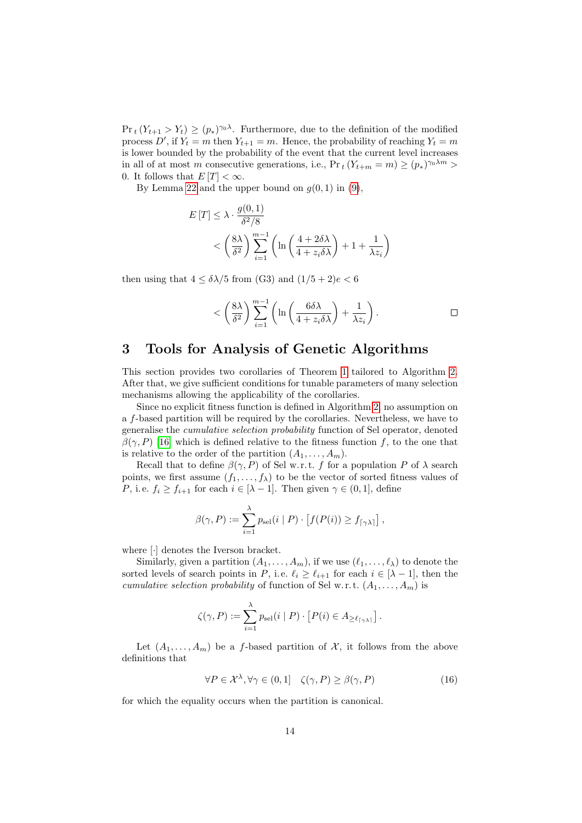$Pr_t(Y_{t+1} > Y_t) \ge (p_*)^{\gamma_0 \lambda}$ . Furthermore, due to the definition of the modified process D', if  $Y_t = m$  then  $Y_{t+1} = m$ . Hence, the probability of reaching  $Y_t = m$ is lower bounded by the probability of the event that the current level increases in all of at most m consecutive generations, i.e.,  $Pr_t(Y_{t+m} = m) \ge (p_*)^{\gamma_0 \lambda m} >$ 0. It follows that  $E[T] < \infty$ .

By Lemma [22](#page-38-0) and the upper bound on  $g(0, 1)$  in  $(9)$ ,

$$
E[T] \le \lambda \cdot \frac{g(0,1)}{\delta^2/8}
$$
  
< 
$$
\left(\frac{8\lambda}{\delta^2}\right) \sum_{i=1}^{m-1} \left( \ln\left(\frac{4+2\delta\lambda}{4+z_i\delta\lambda}\right) + 1 + \frac{1}{\lambda z_i} \right)
$$

then using that  $4 \leq \delta \lambda/5$  from (G3) and  $(1/5+2)e < 6$ 

$$
<\left(\frac{8\lambda}{\delta^2}\right)\sum_{i=1}^{m-1}\left(\ln\left(\frac{6\delta\lambda}{4+z_i\delta\lambda}\right)+\frac{1}{\lambda z_i}\right).
$$

## 3 Tools for Analysis of Genetic Algorithms

This section provides two corollaries of Theorem [1](#page-5-0) tailored to Algorithm [2.](#page-4-1) After that, we give sufficient conditions for tunable parameters of many selection mechanisms allowing the applicability of the corollaries.

Since no explicit fitness function is defined in Algorithm [2,](#page-4-1) no assumption on a f-based partition will be required by the corollaries. Nevertheless, we have to generalise the cumulative selection probability function of Sel operator, denoted  $\beta(\gamma, P)$  [\[16\]](#page-44-7) which is defined relative to the fitness function f, to the one that is relative to the order of the partition  $(A_1, \ldots, A_m)$ .

Recall that to define  $\beta(\gamma, P)$  of Sel w.r.t. f for a population P of  $\lambda$  search points, we first assume  $(f_1, \ldots, f_\lambda)$  to be the vector of sorted fitness values of P, i.e.  $f_i \ge f_{i+1}$  for each  $i \in [\lambda - 1]$ . Then given  $\gamma \in (0, 1]$ , define

$$
\beta(\gamma, P) := \sum_{i=1}^{\lambda} p_{\text{sel}}(i \mid P) \cdot \left[ f(P(i)) \ge f_{\lceil \gamma \lambda \rceil} \right],
$$

where [·] denotes the Iverson bracket.

Similarly, given a partition  $(A_1, \ldots, A_m)$ , if we use  $(\ell_1, \ldots, \ell_\lambda)$  to denote the sorted levels of search points in P, i.e.  $\ell_i \geq \ell_{i+1}$  for each  $i \in [\lambda - 1]$ , then the cumulative selection probability of function of Sel w.r.t.  $(A_1, \ldots, A_m)$  is

$$
\zeta(\gamma,P) := \sum_{i=1}^{\lambda} p_{\text{sel}}(i \mid P) \cdot \left[ P(i) \in A_{\geq \ell_{\lceil \gamma \lambda \rceil}} \right].
$$

Let  $(A_1, \ldots, A_m)$  be a f-based partition of X, it follows from the above definitions that

<span id="page-13-0"></span>
$$
\forall P \in \mathcal{X}^{\lambda}, \forall \gamma \in (0,1] \quad \zeta(\gamma, P) \ge \beta(\gamma, P) \tag{16}
$$

for which the equality occurs when the partition is canonical.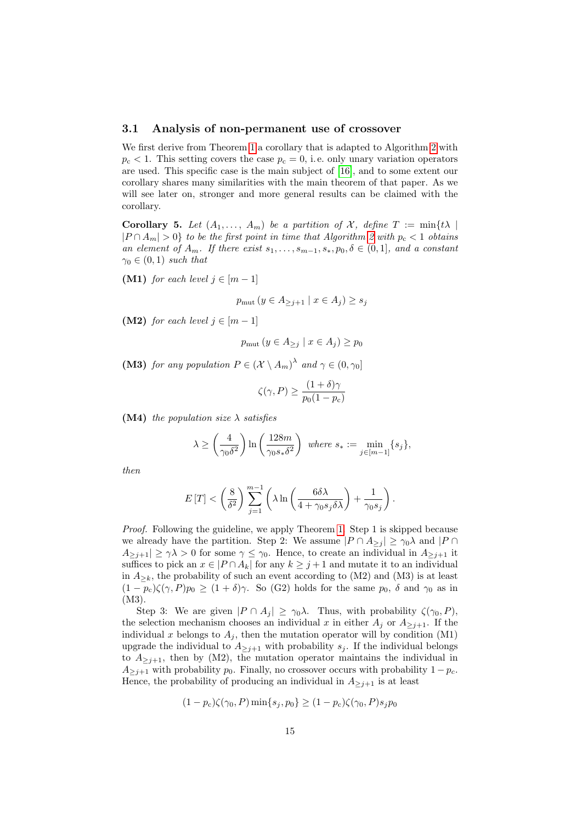#### 3.1 Analysis of non-permanent use of crossover

We first derive from Theorem [1](#page-5-0) a corollary that is adapted to Algorithm [2](#page-4-1) with  $p_c < 1$ . This setting covers the case  $p_c = 0$ , i.e. only unary variation operators are used. This specific case is the main subject of [\[16\]](#page-44-7), and to some extent our corollary shares many similarities with the main theorem of that paper. As we will see later on, stronger and more general results can be claimed with the corollary.

<span id="page-14-0"></span>Corollary 5. Let  $(A_1, \ldots, A_m)$  be a partition of X, define  $T := min\{t\lambda \mid$  $|P \cap A_m| > 0$  to be the first point in time that Algorithm [2](#page-4-1) with  $p_c < 1$  obtains an element of  $A_m$ . If there exist  $s_1, \ldots, s_{m-1}, s_*, p_0, \delta \in (0,1]$ , and a constant  $\gamma_0 \in (0,1)$  such that

(M1) for each level  $j \in [m-1]$ 

$$
p_{\text{mut}}\left(y \in A_{\geq j+1} \mid x \in A_j\right) \geq s_j
$$

(M2) for each level  $j \in [m-1]$ 

$$
p_{\text{mut}}\left(y \in A_{\geq j} \mid x \in A_j\right) \geq p_0
$$

(M3) for any population  $P \in (\mathcal{X} \setminus A_m)^{\lambda}$  and  $\gamma \in (0, \gamma_0]$ 

$$
\zeta(\gamma, P) \ge \frac{(1+\delta)\gamma}{p_0(1-p_{\rm c})}
$$

(M4) the population size  $\lambda$  satisfies

$$
\lambda \ge \left(\frac{4}{\gamma_0 \delta^2}\right) \ln\left(\frac{128m}{\gamma_0 s_* \delta^2}\right) \text{ where } s_* := \min_{j \in [m-1]} \{s_j\},\
$$

then

$$
E[T] < \left(\frac{8}{\delta^2}\right) \sum_{j=1}^{m-1} \left(\lambda \ln\left(\frac{6\delta\lambda}{4+\gamma_0 s_j \delta\lambda}\right) + \frac{1}{\gamma_0 s_j}\right).
$$

Proof. Following the guideline, we apply Theorem [1.](#page-5-0) Step 1 is skipped because we already have the partition. Step 2: We assume  $|P \cap A_{\geq j}| \geq \gamma_0 \lambda$  and  $|P \cap A_{\geq j}|$  $A_{\geq j+1}|\geq \gamma\lambda>0$  for some  $\gamma\leq \gamma_0$ . Hence, to create an individual in  $A_{\geq j+1}$  it suffices to pick an  $x \in |P \cap A_k|$  for any  $k \geq j+1$  and mutate it to an individual in  $A_{\geq k}$ , the probability of such an event according to (M2) and (M3) is at least  $(1-p_c)\zeta(\gamma, P)p_0 \ge (1+\delta)\gamma$ . So (G2) holds for the same  $p_0$ ,  $\delta$  and  $\gamma_0$  as in (M3).

Step 3: We are given  $|P \cap A_j| \geq \gamma_0 \lambda$ . Thus, with probability  $\zeta(\gamma_0, P)$ , the selection mechanism chooses an individual x in either  $A_i$  or  $A_{\geq i+1}$ . If the individual x belongs to  $A_j$ , then the mutation operator will by condition (M1) upgrade the individual to  $A_{\geq j+1}$  with probability  $s_j$ . If the individual belongs to  $A_{\geq j+1}$ , then by (M2), the mutation operator maintains the individual in  $A_{\geq j+1}$  with probability  $p_0$ . Finally, no crossover occurs with probability  $1 - p_c$ . Hence, the probability of producing an individual in  $A_{\geq j+1}$  is at least

$$
(1 - p_c)\zeta(\gamma_0, P) \min\{s_j, p_0\} \ge (1 - p_c)\zeta(\gamma_0, P)s_j p_0
$$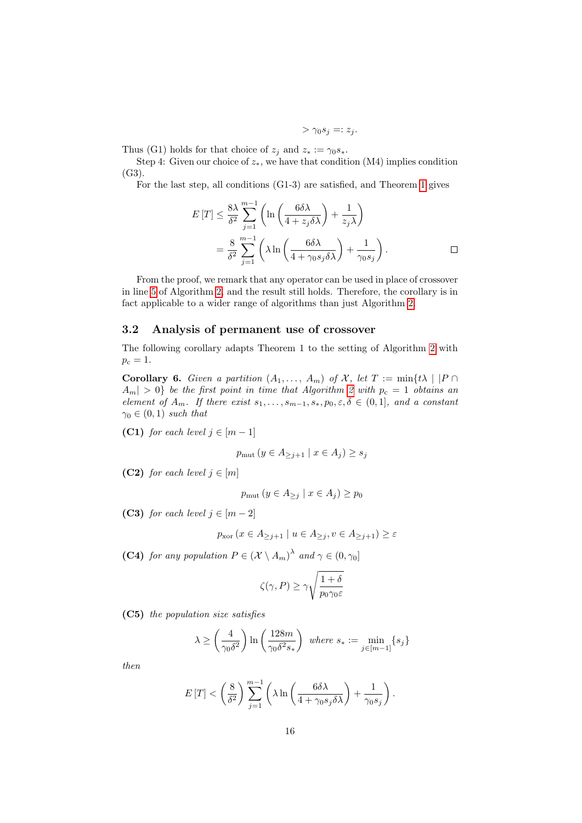$$
> \gamma_0 s_j =: z_j.
$$

Thus (G1) holds for that choice of  $z_i$  and  $z_* := \gamma_0 s_*$ .

Step 4: Given our choice of  $z_*$ , we have that condition (M4) implies condition (G3).

For the last step, all conditions (G1-3) are satisfied, and Theorem [1](#page-5-0) gives

$$
E[T] \leq \frac{8\lambda}{\delta^2} \sum_{j=1}^{m-1} \left( \ln \left( \frac{6\delta\lambda}{4 + z_j \delta\lambda} \right) + \frac{1}{z_j \lambda} \right)
$$
  
=  $\frac{8}{\delta^2} \sum_{j=1}^{m-1} \left( \lambda \ln \left( \frac{6\delta\lambda}{4 + \gamma_0 s_j \delta\lambda} \right) + \frac{1}{\gamma_0 s_j} \right).$ 

From the proof, we remark that any operator can be used in place of crossover in line [5](#page-4-4) of Algorithm [2,](#page-4-1) and the result still holds. Therefore, the corollary is in fact applicable to a wider range of algorithms than just Algorithm [2.](#page-4-1)

### 3.2 Analysis of permanent use of crossover

The following corollary adapts Theorem 1 to the setting of Algorithm [2](#page-4-1) with  $p_c = 1.$ 

<span id="page-15-0"></span>Corollary 6. Given a partition  $(A_1, \ldots, A_m)$  of X, let  $T := min\{t\lambda \mid |P \cap$  $|A_m| > 0$  be the first point in time that Algorithm [2](#page-4-1) with  $p_c = 1$  obtains an element of  $A_m$ . If there exist  $s_1, \ldots, s_{m-1}, s_*, p_0, \varepsilon, \delta \in (0,1]$ , and a constant  $\gamma_0 \in (0,1)$  such that

(C1) for each level  $j \in [m-1]$ 

$$
p_{\text{mut}}\left(y \in A_{\geq j+1} \mid x \in A_j\right) \geq s_j
$$

(C2) for each level  $j \in [m]$ 

$$
p_{\text{mut}}\left(y \in A_{\geq j} \mid x \in A_j\right) \geq p_0
$$

(C3) for each level  $j \in [m-2]$ 

$$
p_{\text{xor}}\left(x \in A_{\geq j+1} \mid u \in A_{\geq j}, v \in A_{\geq j+1}\right) \geq \varepsilon
$$

(C4) for any population  $P \in (\mathcal{X} \setminus A_m)^{\lambda}$  and  $\gamma \in (0, \gamma_0]$ 

$$
\zeta(\gamma,P) \geq \gamma \sqrt{\frac{1+\delta}{p_0 \gamma_0 \varepsilon}}
$$

(C5) the population size satisfies

$$
\lambda \ge \left(\frac{4}{\gamma_0 \delta^2}\right) \ln\left(\frac{128m}{\gamma_0 \delta^2 s_*}\right) \text{ where } s_* := \min_{j \in [m-1]} \{s_j\}
$$

then

$$
E[T] < \left(\frac{8}{\delta^2}\right) \sum_{j=1}^{m-1} \left(\lambda \ln \left(\frac{6\delta\lambda}{4 + \gamma_0 s_j \delta\lambda}\right) + \frac{1}{\gamma_0 s_j}\right).
$$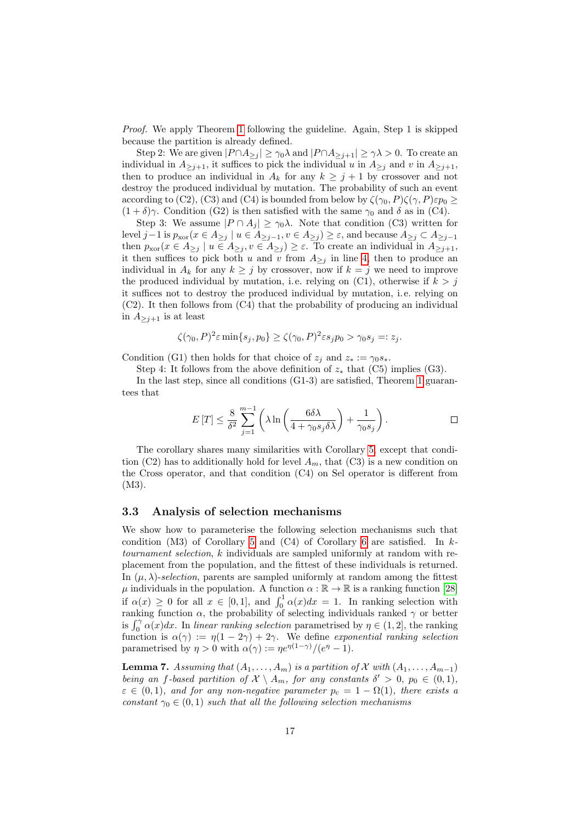Proof. We apply Theorem [1](#page-5-0) following the guideline. Again, Step 1 is skipped because the partition is already defined.

Step 2: We are given  $|P \cap A_{\geq j}| \geq \gamma_0 \lambda$  and  $|P \cap A_{\geq j+1}| \geq \gamma \lambda > 0$ . To create an individual in  $A_{\geq j+1}$ , it suffices to pick the individual u in  $A_{\geq j}$  and v in  $A_{\geq j+1}$ , then to produce an individual in  $A_k$  for any  $k \geq j+1$  by crossover and not destroy the produced individual by mutation. The probability of such an event according to (C2), (C3) and (C4) is bounded from below by  $\zeta(\gamma_0, P)\zeta(\gamma, P)\varepsilon p_0 \geq$  $(1 + \delta)\gamma$ . Condition (G2) is then satisfied with the same  $\gamma_0$  and  $\delta$  as in (C4).

Step 3: We assume  $|P \cap A_j| \geq \gamma_0 \lambda$ . Note that condition (C3) written for level j −1 is  $p_{\text{xor}}(x \in A_{\geq j} \mid u \in A_{\geq j-1}, v \in A_{\geq j}) \geq \varepsilon$ , and because  $A_{\geq j} \subset A_{\geq j-1}$ then  $p_{\text{xor}}(x \in A_{\geq j} \mid u \in A_{\geq j}, v \in A_{\geq j}) \geq \varepsilon$ . To create an individual in  $A_{\geq j+1}$ , it then suffices to pick both u and v from  $A_{\ge j}$  in line [4,](#page-4-2) then to produce an individual in  $A_k$  for any  $k \geq j$  by crossover, now if  $k = j$  we need to improve the produced individual by mutation, i.e. relying on  $(C1)$ , otherwise if  $k > j$ it suffices not to destroy the produced individual by mutation, i. e. relying on (C2). It then follows from (C4) that the probability of producing an individual in  $A_{\geq j+1}$  is at least

$$
\zeta(\gamma_0, P)^2 \varepsilon \min\{s_j, p_0\} \ge \zeta(\gamma_0, P)^2 \varepsilon s_j p_0 > \gamma_0 s_j =: z_j.
$$

Condition (G1) then holds for that choice of  $z_i$  and  $z_* := \gamma_0 s_*$ .

Step 4: It follows from the above definition of  $z_*$  that (C5) implies (G3).

In the last step, since all conditions (G1-3) are satisfied, Theorem [1](#page-5-0) guarantees that

$$
E[T] \leq \frac{8}{\delta^2} \sum_{j=1}^{m-1} \left( \lambda \ln \left( \frac{6\delta\lambda}{4 + \gamma_0 s_j \delta\lambda} \right) + \frac{1}{\gamma_0 s_j} \right).
$$

The corollary shares many similarities with Corollary [5,](#page-14-0) except that condition (C2) has to additionally hold for level  $A_m$ , that (C3) is a new condition on the Cross operator, and that condition (C4) on Sel operator is different from (M3).

#### 3.3 Analysis of selection mechanisms

We show how to parameterise the following selection mechanisms such that condition  $(M3)$  of Corollary [5](#page-14-0) and  $(C4)$  of Corollary [6](#page-15-0) are satisfied. In ktournament selection, k individuals are sampled uniformly at random with replacement from the population, and the fittest of these individuals is returned. In  $(\mu, \lambda)$ -selection, parents are sampled uniformly at random among the fittest  $\mu$  individuals in the population. A function  $\alpha : \mathbb{R} \to \mathbb{R}$  is a ranking function [\[28\]](#page-45-10) if  $\alpha(x) \geq 0$  for all  $x \in [0,1]$ , and  $\int_0^1 \alpha(x) dx = 1$ . In ranking selection with ranking function  $\alpha$ , the probability of selecting individuals ranked  $\gamma$  or better is  $\int_0^{\gamma} \alpha(x) dx$ . In linear ranking selection parametrised by  $\eta \in (1, 2]$ , the ranking function is  $\alpha(\gamma) := \eta(1 - 2\gamma) + 2\gamma$ . We define exponential ranking selection parametrised by  $\eta > 0$  with  $\alpha(\gamma) := \eta e^{\eta(1-\gamma)}/(e^{\eta} - 1)$ .

<span id="page-16-0"></span>**Lemma 7.** Assuming that  $(A_1, \ldots, A_m)$  is a partition of X with  $(A_1, \ldots, A_{m-1})$ being an f-based partition of  $\mathcal{X} \setminus A_m$ , for any constants  $\delta' > 0$ ,  $p_0 \in (0,1)$ ,  $\varepsilon \in (0,1)$ , and for any non-negative parameter  $p_c = 1 - \Omega(1)$ , there exists a constant  $\gamma_0 \in (0,1)$  such that all the following selection mechanisms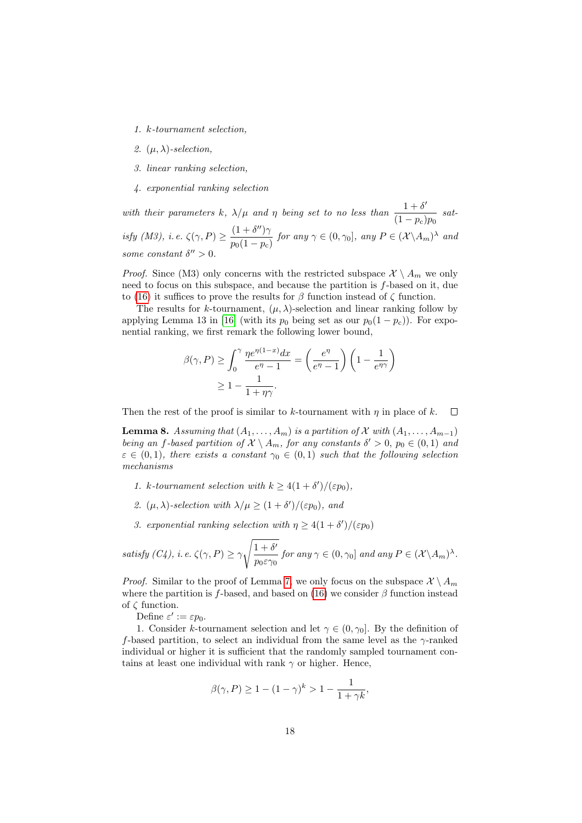- 1. k-tournament selection,
- 2.  $(\mu, \lambda)$ -selection,
- 3. linear ranking selection,
- 4. exponential ranking selection

with their parameters k,  $\lambda/\mu$  and  $\eta$  being set to no less than  $\frac{1+\delta'}{4}$  $\frac{1}{(1-p_{\rm c})p_0}$  satisfy (M3), i.e.  $\zeta(\gamma, P) \geq \frac{(1 + \delta'')\gamma}{\zeta(1 + \delta'')}$  $\frac{(1+o^2)}{p_0(1-p_c)}$  for any  $\gamma \in (0, \gamma_0]$ , any  $P \in (\mathcal{X} \backslash A_m)^\lambda$  and some constant  $\delta'' > 0$ .

*Proof.* Since (M3) only concerns with the restricted subspace  $\mathcal{X} \setminus A_m$  we only need to focus on this subspace, and because the partition is f-based on it, due to [\(16\)](#page-13-0) it suffices to prove the results for  $\beta$  function instead of  $\zeta$  function.

The results for k-tournament,  $(\mu, \lambda)$ -selection and linear ranking follow by applying Lemma 13 in [\[16\]](#page-44-7) (with its  $p_0$  being set as our  $p_0(1 - p_c)$ ). For exponential ranking, we first remark the following lower bound,

$$
\beta(\gamma, P) \ge \int_0^{\gamma} \frac{\eta e^{\eta(1-x)} dx}{e^{\eta} - 1} = \left(\frac{e^{\eta}}{e^{\eta} - 1}\right) \left(1 - \frac{1}{e^{\eta \gamma}}\right)
$$

$$
\ge 1 - \frac{1}{1 + \eta \gamma}.
$$

Then the rest of the proof is similar to k-tournament with  $\eta$  in place of k.  $\Box$ 

<span id="page-17-0"></span>**Lemma 8.** Assuming that  $(A_1, \ldots, A_m)$  is a partition of X with  $(A_1, \ldots, A_{m-1})$ being an f-based partition of  $\mathcal{X} \setminus A_m$ , for any constants  $\delta' > 0$ ,  $p_0 \in (0,1)$  and  $\varepsilon \in (0,1)$ , there exists a constant  $\gamma_0 \in (0,1)$  such that the following selection mechanisms

- 1. k-tournament selection with  $k \geq 4(1+\delta')/(\varepsilon p_0)$ ,
- 2.  $(\mu, \lambda)$ -selection with  $\lambda/\mu \geq (1+\delta')/(\varepsilon p_0)$ , and
- 3. exponential ranking selection with  $\eta \geq 4(1+\delta')/(\varepsilon p_0)$

satisfy (C4), i.e. 
$$
\zeta(\gamma, P) \ge \gamma \sqrt{\frac{1+\delta'}{p_0 \varepsilon \gamma_0}}
$$
 for any  $\gamma \in (0, \gamma_0]$  and any  $P \in (\mathcal{X} \setminus A_m)^{\lambda}$ .

*Proof.* Similar to the proof of Lemma [7,](#page-16-0) we only focus on the subspace  $\mathcal{X} \setminus A_m$ where the partition is f-based, and based on [\(16\)](#page-13-0) we consider  $\beta$  function instead of ζ function.

Define  $\varepsilon' := \varepsilon p_0$ .

1. Consider k-tournament selection and let  $\gamma \in (0, \gamma_0]$ . By the definition of f-based partition, to select an individual from the same level as the  $\gamma$ -ranked individual or higher it is sufficient that the randomly sampled tournament contains at least one individual with rank  $\gamma$  or higher. Hence,

$$
\beta(\gamma, P) \ge 1 - (1 - \gamma)^k > 1 - \frac{1}{1 + \gamma k},
$$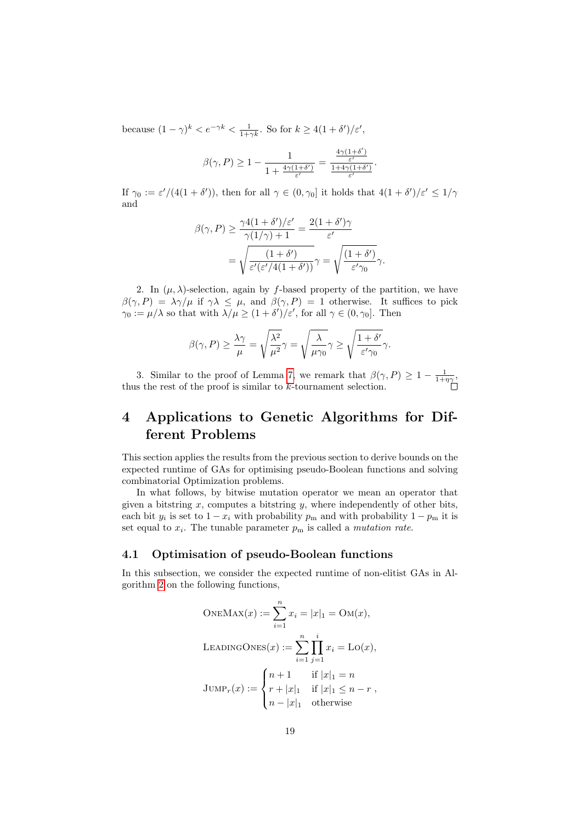because  $(1 - \gamma)^k < e^{-\gamma k} < \frac{1}{1 + \gamma k}$ . So for  $k \geq 4(1 + \delta')/\varepsilon'$ ,

$$
\beta(\gamma, P) \ge 1 - \frac{1}{1 + \frac{4\gamma(1+\delta')}{\varepsilon'}} = \frac{\frac{4\gamma(1+\delta')}{\varepsilon'}}{\frac{1+4\gamma(1+\delta')}{\varepsilon'}}.
$$

If  $\gamma_0 := \varepsilon'/(4(1+\delta'))$ , then for all  $\gamma \in (0, \gamma_0]$  it holds that  $4(1+\delta')/\varepsilon' \leq 1/\gamma$ and

$$
\beta(\gamma, P) \ge \frac{\gamma 4(1+\delta')/\varepsilon'}{\gamma(1/\gamma) + 1} = \frac{2(1+\delta')\gamma}{\varepsilon'}
$$

$$
= \sqrt{\frac{(1+\delta')}{\varepsilon'(\varepsilon'/4(1+\delta'))}}\gamma = \sqrt{\frac{(1+\delta')}{\varepsilon'\gamma_0}}\gamma.
$$

2. In  $(\mu, \lambda)$ -selection, again by f-based property of the partition, we have  $\beta(\gamma, P) = \lambda \gamma / \mu$  if  $\gamma \lambda \leq \mu$ , and  $\beta(\gamma, P) = 1$  otherwise. It suffices to pick  $\gamma_0 := \mu/\lambda$  so that with  $\lambda/\mu \ge (1 + \delta')/\varepsilon'$ , for all  $\gamma \in (0, \gamma_0]$ . Then

$$
\beta(\gamma, P) \ge \frac{\lambda \gamma}{\mu} = \sqrt{\frac{\lambda^2}{\mu^2}} \gamma = \sqrt{\frac{\lambda}{\mu \gamma_0}} \gamma \ge \sqrt{\frac{1 + \delta'}{\varepsilon' \gamma_0}} \gamma.
$$

3. Similar to the proof of Lemma [7,](#page-16-0) we remark that  $\beta(\gamma, P) \geq 1 - \frac{1}{1+\eta\gamma}$ , thus the rest of the proof is similar to k-tournament selection.

## <span id="page-18-0"></span>4 Applications to Genetic Algorithms for Different Problems

This section applies the results from the previous section to derive bounds on the expected runtime of GAs for optimising pseudo-Boolean functions and solving combinatorial Optimization problems.

In what follows, by bitwise mutation operator we mean an operator that given a bitstring  $x$ , computes a bitstring  $y$ , where independently of other bits, each bit  $y_i$  is set to  $1 - x_i$  with probability  $p_m$  and with probability  $1 - p_m$  it is set equal to  $x_i$ . The tunable parameter  $p_m$  is called a *mutation rate*.

### 4.1 Optimisation of pseudo-Boolean functions

In this subsection, we consider the expected runtime of non-elitist GAs in Algorithm [2](#page-4-1) on the following functions,

OneMax
$$
(x) := \sum_{i=1}^{n} x_i = |x|_1 = \text{OM}(x),
$$

\nLEADINGONES $(x) := \sum_{i=1}^{n} \prod_{j=1}^{i} x_i = \text{LO}(x),$ 

\nJUMP<sub>r</sub> $(x) := \begin{cases} n+1 & \text{if } |x|_1 = n \\ r+|x|_1 & \text{if } |x|_1 \leq n-r \\ n-|x|_1 & \text{otherwise} \end{cases}$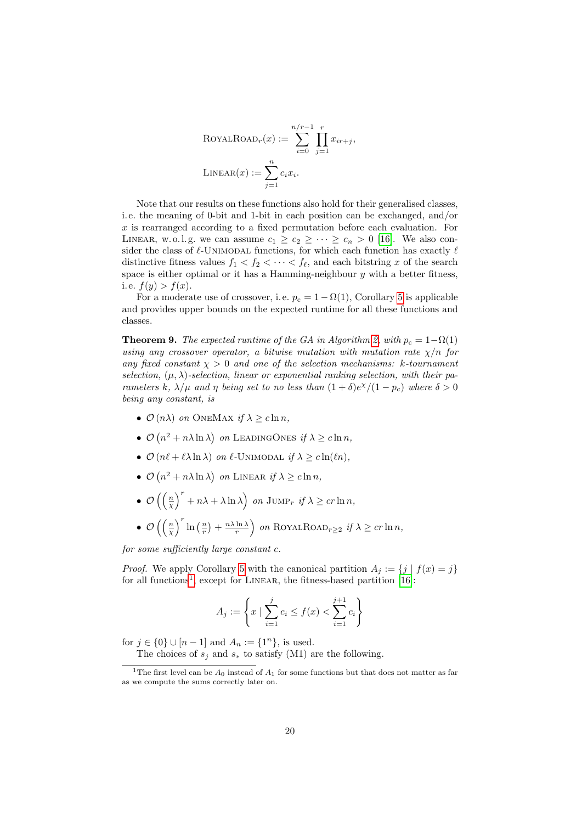$$
ROYALROADr(x) := \sum_{i=0}^{n/r-1} \prod_{j=1}^{r} x_{ir+j},
$$
  
LINEAR(x) := 
$$
\sum_{j=1}^{n} c_i x_i.
$$

Note that our results on these functions also hold for their generalised classes, i. e. the meaning of 0-bit and 1-bit in each position can be exchanged, and/or  $x$  is rearranged according to a fixed permutation before each evaluation. For LINEAR, w. o. l. g. we can assume  $c_1 \geq c_2 \geq \cdots \geq c_n > 0$  [\[16\]](#page-44-7). We also consider the class of  $\ell$ -UNIMODAL functions, for which each function has exactly  $\ell$ distinctive fitness values  $f_1 < f_2 < \cdots < f_{\ell}$ , and each bitstring x of the search space is either optimal or it has a Hamming-neighbour  $y$  with a better fitness, i.e.  $f(y) > f(x)$ .

For a moderate use of crossover, i.e.  $p_c = 1 - \Omega(1)$ , Corollary [5](#page-14-0) is applicable and provides upper bounds on the expected runtime for all these functions and classes.

<span id="page-19-1"></span>**Theorem 9.** The expected runtime of the GA in Algorithm [2,](#page-4-1) with  $p_c = 1 - \Omega(1)$ using any crossover operator, a bitwise mutation with mutation rate  $\chi/n$  for any fixed constant  $\chi > 0$  and one of the selection mechanisms: k-tournament selection,  $(\mu, \lambda)$ -selection, linear or exponential ranking selection, with their parameters k,  $\lambda/\mu$  and  $\eta$  being set to no less than  $(1+\delta)e^{\chi}/(1-p_c)$  where  $\delta > 0$ being any constant, is

- $\mathcal{O}(n\lambda)$  on ONEMAX if  $\lambda > c \ln n$ ,
- $\mathcal{O}(n^2 + n\lambda \ln \lambda)$  on LEADINGONES if  $\lambda \geq c \ln n$ ,
- $\mathcal{O}(n\ell + \ell \lambda \ln \lambda)$  on  $\ell$ -Unimodal if  $\lambda \geq c \ln(\ell n)$ ,
- $\mathcal{O}(n^2 + n\lambda \ln \lambda)$  on LINEAR if  $\lambda \geq c \ln n$ ,
- $\mathcal{O}\left(\left(\frac{n}{\chi}\right)^r + n\lambda + \lambda \ln \lambda\right)$  on  $\text{JUMP}_r$  if  $\lambda \geq c r \ln n$ , •  $\mathcal{O}\left(\left(\frac{n}{\chi}\right)^r \ln\left(\frac{n}{r}\right) + \frac{n\lambda \ln \lambda}{r}\right)$  on ROYALROAD<sub>r</sub>>2 if  $\lambda \geq c r \ln n$ ,

for some sufficiently large constant c.

*Proof.* We apply Corollary [5](#page-14-0) with the canonical partition  $A_j := \{j | f(x) = j\}$ for all functions<sup>[1](#page-19-0)</sup>, except for LINEAR, the fitness-based partition  $[16]$ :

$$
A_j := \left\{ x \mid \sum_{i=1}^j c_i \le f(x) < \sum_{i=1}^{j+1} c_i \right\}
$$

for  $j \in \{0\} \cup [n-1]$  and  $A_n := \{1^n\}$ , is used. The choices of  $s_j$  and  $s_*$  to satisfy (M1) are the following.

<span id="page-19-0"></span><sup>&</sup>lt;sup>1</sup>The first level can be  $A_0$  instead of  $A_1$  for some functions but that does not matter as far

as we compute the sums correctly later on.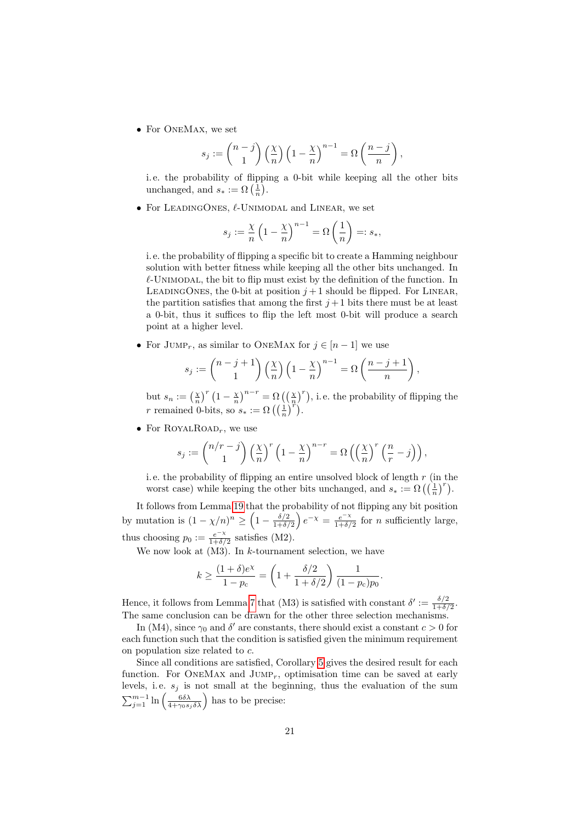• For ONEMAX, we set

$$
s_j := \binom{n-j}{1} \left(\frac{\chi}{n}\right) \left(1 - \frac{\chi}{n}\right)^{n-1} = \Omega\left(\frac{n-j}{n}\right),
$$

i. e. the probability of flipping a 0-bit while keeping all the other bits unchanged, and  $s_* := \Omega\left(\frac{1}{n}\right)$ .

• For LEADINGONES,  $\ell$ -UNIMODAL and LINEAR, we set

$$
s_j := \frac{\chi}{n} \left( 1 - \frac{\chi}{n} \right)^{n-1} = \Omega \left( \frac{1}{n} \right) =: s_*,
$$

i. e. the probability of flipping a specific bit to create a Hamming neighbour solution with better fitness while keeping all the other bits unchanged. In  $\ell$ -UNIMODAL, the bit to flip must exist by the definition of the function. In LEADINGONES, the 0-bit at position  $j+1$  should be flipped. For LINEAR, the partition satisfies that among the first  $j+1$  bits there must be at least a 0-bit, thus it suffices to flip the left most 0-bit will produce a search point at a higher level.

• For JUMP<sub>r</sub>, as similar to ONEMAX for  $j \in [n-1]$  we use

$$
s_j := \binom{n-j+1}{1} \left(\frac{\chi}{n}\right) \left(1 - \frac{\chi}{n}\right)^{n-1} = \Omega\left(\frac{n-j+1}{n}\right),\,
$$

but  $s_n := \left(\frac{\chi}{n}\right)^r \left(1 - \frac{\chi}{n}\right)^{n-r} = \Omega\left(\left(\frac{\chi}{n}\right)^r\right)$ , i.e. the probability of flipping the r remained 0-bits, so  $s_* := \Omega\left(\left(\frac{1}{n}\right)^n\right)$ .

• For ROYALROAD<sub>r</sub>, we use

$$
s_j := \binom{n/r-j}{1} \left(\frac{\chi}{n}\right)^r \left(1 - \frac{\chi}{n}\right)^{n-r} = \Omega\left(\left(\frac{\chi}{n}\right)^r \left(\frac{n}{r} - j\right)\right),
$$

i.e. the probability of flipping an entire unsolved block of length  $r$  (in the worst case) while keeping the other bits unchanged, and  $s_* := \Omega\left(\left(\frac{1}{n}\right)^r\right)$ .

It follows from Lemma [19](#page-37-2) that the probability of not flipping any bit position by mutation is  $(1 - \chi/n)^n \geq \left(1 - \frac{\delta/2}{1 + \delta}\right)$  $\frac{\delta/2}{1+\delta/2}\Bigg\}\,e^{-\chi} = \frac{e^{-\chi}}{1+\delta/2}$  $\frac{e^{-\lambda}}{1+\delta/2}$  for *n* sufficiently large, thus choosing  $p_0 := \frac{e^{-\chi}}{1+\delta}$  $\frac{e^{-\lambda}}{1+\delta/2}$  satisfies (M2).

We now look at  $(M3)$ . In k-tournament selection, we have

$$
k \ge \frac{(1+\delta)e^{\chi}}{1-p_{\text{c}}} = \left(1 + \frac{\delta/2}{1+\delta/2}\right) \frac{1}{(1-p_{\text{c}})p_0}.
$$

Hence, it follows from Lemma [7](#page-16-0) that (M3) is satisfied with constant  $\delta' := \frac{\delta/2}{1+\delta}$  $\frac{\delta/2}{1+\delta/2}$ . The same conclusion can be drawn for the other three selection mechanisms.

In (M4), since  $\gamma_0$  and  $\delta'$  are constants, there should exist a constant  $c > 0$  for each function such that the condition is satisfied given the minimum requirement on population size related to c.

Since all conditions are satisfied, Corollary [5](#page-14-0) gives the desired result for each function. For ONEMAX and  $JUMP<sub>r</sub>$ , optimisation time can be saved at early levels, i.e.  $s_j$  is not small at the beginning, thus the evaluation of the sum  $\sum_{j=1}^{m-1} \ln \left( \frac{6 \delta \lambda}{4 + \gamma_0 s_j \delta \lambda} \right)$  has to be precise: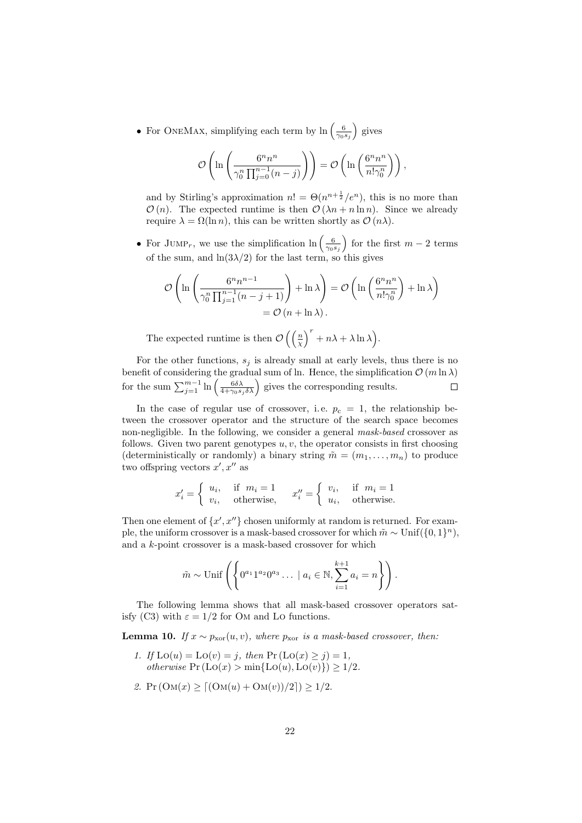• For ONEMAX, simplifying each term by  $\ln\left(\frac{6}{\gamma_0 s_j}\right)$  gives

$$
\mathcal{O}\left(\ln\left(\frac{6^n n^n}{\gamma_0^n \prod_{j=0}^{n-1} (n-j)}\right)\right) = \mathcal{O}\left(\ln\left(\frac{6^n n^n}{n! \gamma_0^n}\right)\right),\,
$$

and by Stirling's approximation  $n! = \Theta(n^{n+\frac{1}{2}}/e^n)$ , this is no more than  $\mathcal{O}(n)$ . The expected runtime is then  $\mathcal{O}(\lambda n + n \ln n)$ . Since we already require  $\lambda = \Omega(\ln n)$ , this can be written shortly as  $\mathcal{O}(n\lambda)$ .

• For JUMP<sub>r</sub>, we use the simplification  $\ln\left(\frac{6}{\gamma_0 s_j}\right)$  for the first  $m-2$  terms of the sum, and  $\ln(3\lambda/2)$  for the last term, so this gives

$$
\mathcal{O}\left(\ln\left(\frac{6^n n^{n-1}}{\gamma_0^n \prod_{j=1}^{n-1} (n-j+1)}\right) + \ln \lambda\right) = \mathcal{O}\left(\ln\left(\frac{6^n n^n}{n! \gamma_0^n}\right) + \ln \lambda\right) = \mathcal{O}\left(n + \ln \lambda\right).
$$

The expected runtime is then  $\mathcal{O}\left(\left(\frac{n}{\chi}\right)^r + n\lambda + \lambda \ln \lambda\right)$ .

For the other functions,  $s_j$  is already small at early levels, thus there is no benefit of considering the gradual sum of ln. Hence, the simplification  $\mathcal{O}(m \ln \lambda)$ for the sum  $\sum_{j=1}^{m-1} \ln \left( \frac{6 \delta \lambda}{4 + \gamma_0 s_j \delta \lambda} \right)$  gives the corresponding results.  $\Box$ 

In the case of regular use of crossover, i.e.  $p_c = 1$ , the relationship between the crossover operator and the structure of the search space becomes non-negligible. In the following, we consider a general mask-based crossover as follows. Given two parent genotypes  $u, v$ , the operator consists in first choosing (deterministically or randomly) a binary string  $\tilde{m} = (m_1, \ldots, m_n)$  to produce two offspring vectors  $x', x''$  as

$$
x'_{i} = \begin{cases} u_{i}, & \text{if } m_{i} = 1 \\ v_{i}, & \text{otherwise,} \end{cases} \qquad x''_{i} = \begin{cases} v_{i}, & \text{if } m_{i} = 1 \\ u_{i}, & \text{otherwise.} \end{cases}
$$

Then one element of  $\{x', x''\}$  chosen uniformly at random is returned. For example, the uniform crossover is a mask-based crossover for which  $\tilde{m} \sim \text{Unif}(\{0, 1\}^n)$ , and a k-point crossover is a mask-based crossover for which

$$
\tilde{m} \sim \text{Unif}\left(\left\{0^{a_1}1^{a_2}0^{a_3}\ldots \mid a_i \in \mathbb{N}, \sum_{i=1}^{k+1} a_i = n\right\}\right).
$$

The following lemma shows that all mask-based crossover operators satisfy (C3) with  $\varepsilon = 1/2$  for OM and Lo functions.

<span id="page-21-0"></span>**Lemma 10.** If  $x \sim p_{\text{xor}}(u, v)$ , where  $p_{\text{xor}}$  is a mask-based crossover, then:

- 1. If  $\text{Lo}(u) = \text{Lo}(v) = j$ , then  $\Pr(\text{Lo}(x) \geq j) = 1$ , otherwise  $Pr (Lo(x) > min{Lo(u), Lo(v)}) \ge 1/2$ .
- 2.  $Pr(\text{OM}(x) > [(OM(u) + OM(v))/2]) > 1/2.$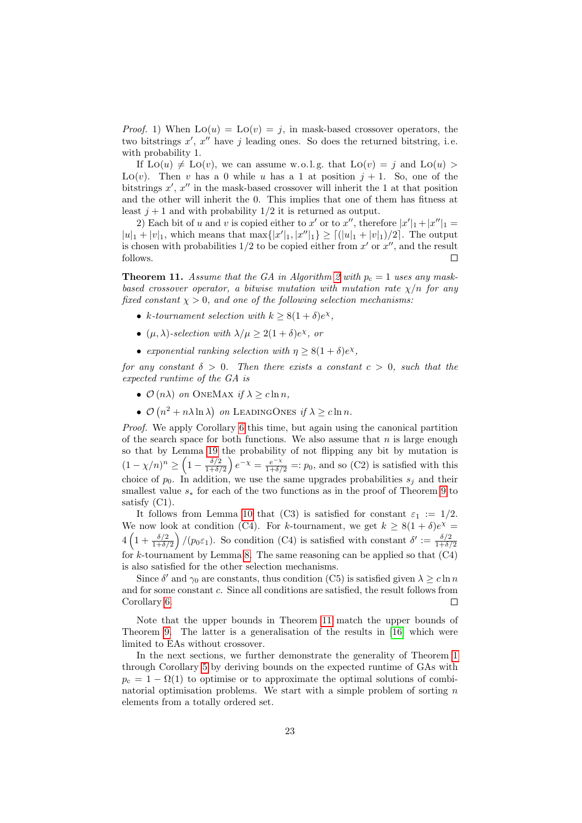*Proof.* 1) When  $Lo(u) = Lo(v) = j$ , in mask-based crossover operators, the two bitstrings  $x'$ ,  $x''$  have j leading ones. So does the returned bitstring, i.e. with probability 1.

If  $Lo(u) \neq Lo(v)$ , we can assume w.o.l.g. that  $Lo(v) = j$  and  $Lo(u) >$ Lo(v). Then v has a 0 while u has a 1 at position  $j + 1$ . So, one of the bitstrings  $x'$ ,  $x''$  in the mask-based crossover will inherit the 1 at that position and the other will inherit the 0. This implies that one of them has fitness at least  $j + 1$  and with probability  $1/2$  it is returned as output.

2) Each bit of u and v is copied either to x' or to x'', therefore  $|x'|_1 + |x''|_1 =$  $|u|_1 + |v|_1$ , which means that  $\max\{|x'|_1, |x''|_1\} \ge |(|u|_1 + |v|_1)/2|$ . The output is chosen with probabilities  $1/2$  to be copied either from  $x'$  or  $x''$ , and the result follows.  $\Box$ 

<span id="page-22-0"></span>**Theorem 11.** Assume that the GA in Algorithm [2](#page-4-1) with  $p_c = 1$  uses any maskbased crossover operator, a bitwise mutation with mutation rate  $\chi/n$  for any fixed constant  $\chi > 0$ , and one of the following selection mechanisms:

- k-tournament selection with  $k \geq 8(1+\delta)e^{\chi}$ ,
- $(\mu, \lambda)$ -selection with  $\lambda/\mu \geq 2(1+\delta)e^{\chi}$ , or
- exponential ranking selection with  $\eta \geq 8(1+\delta)e^{\chi}$ ,

for any constant  $\delta > 0$ . Then there exists a constant  $c > 0$ , such that the expected runtime of the GA is

- $\mathcal{O}(n\lambda)$  on ONEMAX if  $\lambda > c \ln n$ ,
- $\mathcal{O}(n^2 + n\lambda \ln \lambda)$  on LEADINGONES if  $\lambda \geq c \ln n$ .

Proof. We apply Corollary [6](#page-15-0) this time, but again using the canonical partition of the search space for both functions. We also assume that  $n$  is large enough so that by Lemma [19](#page-37-2) the probability of not flipping any bit by mutation is  $(1-\chi/n)^n \geq \left(1-\frac{\delta/2}{1+\delta}\right)$  $\frac{\delta/2}{1+\delta/2}$   $e^{-\chi} = \frac{e^{-\chi}}{1+\delta/2} =: p_0$ , and so (C2) is satisfied with this choice of  $p_0$ . In addition, we use the same upgrades probabilities  $s_j$  and their smallest value  $s_*$  for each of the two functions as in the proof of Theorem [9](#page-19-1) to satisfy (C1).

It follows from Lemma [10](#page-21-0) that (C3) is satisfied for constant  $\varepsilon_1 := 1/2$ . We now look at condition (C4). For k-tournament, we get  $k \geq 8(1+\delta)e^{\chi} =$  $4\left(1+\frac{\delta/2}{1+\delta/2}\right)/(p_0\varepsilon_1)$ . So condition (C4) is satisfied with constant  $\delta' := \frac{\delta/2}{1+\delta/2}$  $1+\delta/2$ for k-tournament by Lemma [8.](#page-17-0) The same reasoning can be applied so that  $(C4)$ is also satisfied for the other selection mechanisms.

Since  $\delta'$  and  $\gamma_0$  are constants, thus condition (C5) is satisfied given  $\lambda \geq c \ln n$ and for some constant c. Since all conditions are satisfied, the result follows from Corollary [6.](#page-15-0) Г

Note that the upper bounds in Theorem [11](#page-22-0) match the upper bounds of Theorem [9.](#page-19-1) The latter is a generalisation of the results in [\[16\]](#page-44-7) which were limited to EAs without crossover.

In the next sections, we further demonstrate the generality of Theorem [1](#page-5-0) through Corollary [5](#page-14-0) by deriving bounds on the expected runtime of GAs with  $p_c = 1 - \Omega(1)$  to optimise or to approximate the optimal solutions of combinatorial optimisation problems. We start with a simple problem of sorting  $n$ elements from a totally ordered set.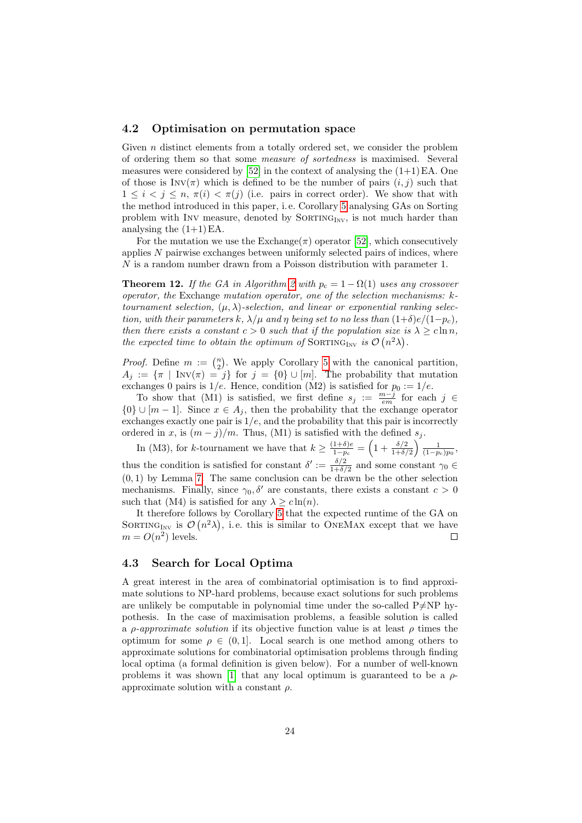#### 4.2 Optimisation on permutation space

Given  $n$  distinct elements from a totally ordered set, we consider the problem of ordering them so that some measure of sortedness is maximised. Several measures were considered by  $[52]$  in the context of analysing the  $(1+1)$  EA. One of those is  $Inv(\pi)$  which is defined to be the number of pairs  $(i, j)$  such that  $1 \leq i \leq j \leq n$ ,  $\pi(i) \leq \pi(j)$  (i.e. pairs in correct order). We show that with the method introduced in this paper, i. e. Corollary [5](#page-14-0) analysing GAs on Sorting problem with INV measure, denoted by  $SORTING_{INV}$ , is not much harder than analysing the  $(1+1)$  EA.

For the mutation we use the Exchange( $\pi$ ) operator [\[52\]](#page-46-14), which consecutively applies N pairwise exchanges between uniformly selected pairs of indices, where  $N$  is a random number drawn from a Poisson distribution with parameter 1.

**Theorem 12.** If the GA in Algorithm [2](#page-4-1) with  $p_c = 1 - \Omega(1)$  uses any crossover operator, the Exchange mutation operator, one of the selection mechanisms: ktournament selection,  $(\mu, \lambda)$ -selection, and linear or exponential ranking selection, with their parameters k,  $\lambda/\mu$  and  $\eta$  being set to no less than  $(1+\delta)e/(1-p_c)$ , then there exists a constant  $c > 0$  such that if the population size is  $\lambda \geq c \ln n$ , the expected time to obtain the optimum of SORTING<sub>INV</sub> is  $\mathcal{O}(n^2\lambda)$ .

*Proof.* Define  $m := \binom{n}{2}$ . We apply Corollary [5](#page-14-0) with the canonical partition,  $A_j := \{\pi \mid \text{Inv}(\pi) = j\}$  for  $j = \{0\} \cup [m]$ . The probability that mutation exchanges 0 pairs is  $1/e$ . Hence, condition (M2) is satisfied for  $p_0 := 1/e$ .

To show that (M1) is satisfied, we first define  $s_j := \frac{m-j}{em}$  for each  $j \in$  ${0} \cup [m-1]$ . Since  $x \in A_j$ , then the probability that the exchange operator exchanges exactly one pair is  $1/e$ , and the probability that this pair is incorrectly ordered in x, is  $(m - j)/m$ . Thus, (M1) is satisfied with the defined  $s_j$ .

In (M3), for k-tournament we have that  $k \geq \frac{(1+\delta)e}{1-n}$  $\frac{(1+\delta)e}{1-p_{\text{c}}} = \left(1+\frac{\delta/2}{1+\delta/2}\right)\frac{1}{(1-p_{\text{c}})p_0},$ thus the condition is satisfied for constant  $\delta' := \frac{\delta/2}{1+\delta}$  $\frac{\delta/2}{1+\delta/2}$  and some constant  $\gamma_0 \in$  $(0, 1)$  by Lemma [7.](#page-16-0) The same conclusion can be drawn be the other selection mechanisms. Finally, since  $\gamma_0$ ,  $\delta'$  are constants, there exists a constant  $c > 0$ such that (M4) is satisfied for any  $\lambda \geq c \ln(n)$ .

It therefore follows by Corollary [5](#page-14-0) that the expected runtime of the GA on SORTING<sub>INV</sub> is  $\mathcal{O}(n^2\lambda)$ , i.e. this is similar to ONEMAX except that we have  $m = O(n^2)$  levels.  $\Box$ 

### 4.3 Search for Local Optima

A great interest in the area of combinatorial optimisation is to find approximate solutions to NP-hard problems, because exact solutions for such problems are unlikely be computable in polynomial time under the so-called  $P\neq NP$  hypothesis. In the case of maximisation problems, a feasible solution is called a *ρ-approximate solution* if its objective function value is at least  $\rho$  times the optimum for some  $\rho \in (0,1]$ . Local search is one method among others to approximate solutions for combinatorial optimisation problems through finding local optima (a formal definition is given below). For a number of well-known problems it was shown [\[1\]](#page-43-4) that any local optimum is guaranteed to be a  $\rho$ approximate solution with a constant  $\rho$ .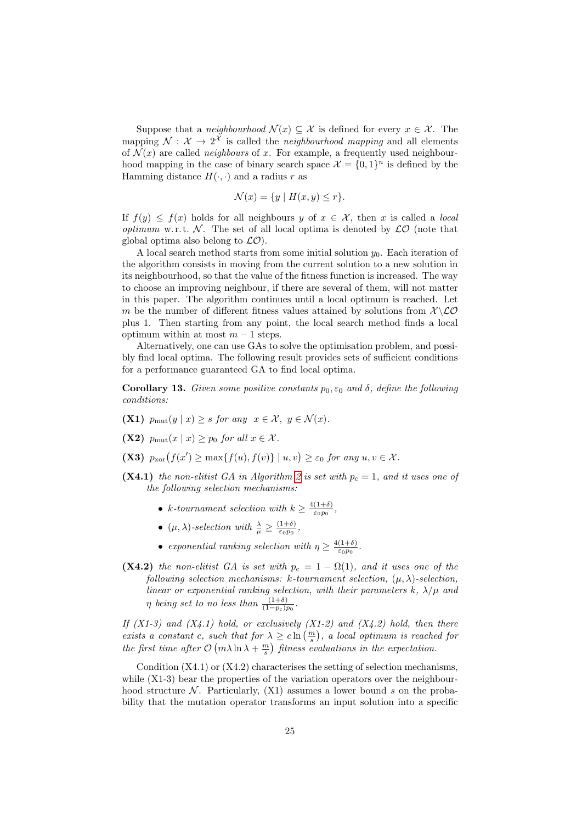Suppose that a *neighbourhood*  $\mathcal{N}(x) \subseteq \mathcal{X}$  is defined for every  $x \in \mathcal{X}$ . The mapping  $\mathcal{N}: \mathcal{X} \to 2^{\mathcal{X}}$  is called the *neighbourhood mapping* and all elements of  $\mathcal{N}(x)$  are called *neighbours* of x. For example, a frequently used neighbourhood mapping in the case of binary search space  $\mathcal{X} = \{0,1\}^n$  is defined by the Hamming distance  $H(\cdot, \cdot)$  and a radius r as

$$
\mathcal{N}(x) = \{ y \mid H(x, y) \le r \}.
$$

If  $f(y) \leq f(x)$  holds for all neighbours y of  $x \in \mathcal{X}$ , then x is called a local optimum w.r.t.  $\mathcal N$ . The set of all local optima is denoted by  $\mathcal LO$  (note that global optima also belong to  $\mathcal{LO}$ ).

A local search method starts from some initial solution  $y_0$ . Each iteration of the algorithm consists in moving from the current solution to a new solution in its neighbourhood, so that the value of the fitness function is increased. The way to choose an improving neighbour, if there are several of them, will not matter in this paper. The algorithm continues until a local optimum is reached. Let m be the number of different fitness values attained by solutions from  $\mathcal{X}\setminus\mathcal{LO}$ plus 1. Then starting from any point, the local search method finds a local optimum within at most  $m - 1$  steps.

Alternatively, one can use GAs to solve the optimisation problem, and possibly find local optima. The following result provides sets of sufficient conditions for a performance guaranteed GA to find local optima.

<span id="page-24-0"></span>**Corollary 13.** Given some positive constants  $p_0, \varepsilon_0$  and  $\delta$ , define the following conditions:

- (X1)  $p_{\text{mut}}(y | x) \geq s$  for any  $x \in \mathcal{X}, y \in \mathcal{N}(x)$ .
- (X2)  $p_{\text{mut}}(x \mid x) \geq p_0$  for all  $x \in \mathcal{X}$ .
- (X3)  $p_{\text{xor}}(f(x') \ge \max\{f(u), f(v)\} \mid u, v) \ge \varepsilon_0$  for any  $u, v \in \mathcal{X}$ .
- (X4.1) the non-elitist GA in Algorithm [2](#page-4-1) is set with  $p_c = 1$ , and it uses one of the following selection mechanisms:
	- k-tournament selection with  $k \geq \frac{4(1+\delta)}{\epsilon_0 m}$  $\frac{(1+0)}{\varepsilon_0 p_0},$
	- $(\mu, \lambda)$ -selection with  $\frac{\lambda}{\mu} \geq \frac{(1+\delta)}{\epsilon_0 p_0}$  $\frac{1+o}{\varepsilon_0p_0},$
	- exponential ranking selection with  $\eta \geq \frac{4(1+\delta)}{\epsilon_0 m}$  $\frac{(1+o)}{\varepsilon_0 p_0}$ .
- (X4.2) the non-elitist GA is set with  $p_c = 1 \Omega(1)$ , and it uses one of the following selection mechanisms: k-tournament selection,  $(\mu, \lambda)$ -selection, linear or exponential ranking selection, with their parameters k,  $\lambda/\mu$  and  $\eta$  being set to no less than  $\frac{(1+\delta)}{(1-p_c)p_0}$ .

If  $(X1-3)$  and  $(X4.1)$  hold, or exclusively  $(X1-2)$  and  $(X4.2)$  hold, then there exists a constant c, such that for  $\lambda \geq c \ln\left(\frac{m}{s}\right)$ , a local optimum is reached for the first time after  $\mathcal{O}(m\lambda \ln \lambda + \frac{m}{s})$  fitness evaluations in the expectation.

Condition  $(X4.1)$  or  $(X4.2)$  characterises the setting of selection mechanisms, while  $(X1-3)$  bear the properties of the variation operators over the neighbourhood structure N. Particularly,  $(X1)$  assumes a lower bound s on the probability that the mutation operator transforms an input solution into a specific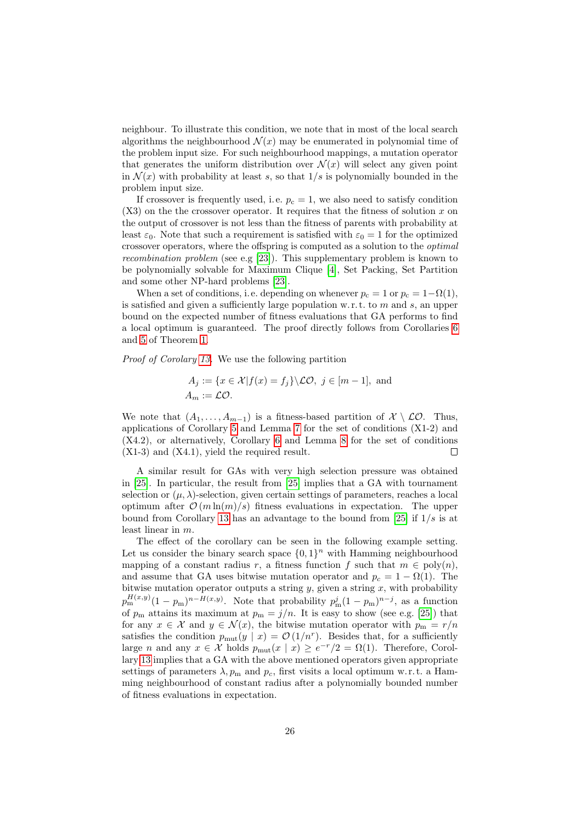neighbour. To illustrate this condition, we note that in most of the local search algorithms the neighbourhood  $\mathcal{N}(x)$  may be enumerated in polynomial time of the problem input size. For such neighbourhood mappings, a mutation operator that generates the uniform distribution over  $\mathcal{N}(x)$  will select any given point in  $\mathcal{N}(x)$  with probability at least s, so that  $1/s$  is polynomially bounded in the problem input size.

If crossover is frequently used, i.e.  $p_c = 1$ , we also need to satisfy condition  $(X3)$  on the the crossover operator. It requires that the fitness of solution x on the output of crossover is not less than the fitness of parents with probability at least  $\varepsilon_0$ . Note that such a requirement is satisfied with  $\varepsilon_0 = 1$  for the optimized crossover operators, where the offspring is computed as a solution to the optimal recombination problem (see e.g [\[23\]](#page-44-13)). This supplementary problem is known to be polynomially solvable for Maximum Clique [\[4\]](#page-43-5), Set Packing, Set Partition and some other NP-hard problems [\[23\]](#page-44-13).

When a set of conditions, i.e. depending on whenever  $p_c = 1$  or  $p_c = 1 - \Omega(1)$ , is satisfied and given a sufficiently large population w.r.t. to  $m$  and  $s$ , an upper bound on the expected number of fitness evaluations that GA performs to find a local optimum is guaranteed. The proof directly follows from Corollaries [6](#page-15-0) and [5](#page-14-0) of Theorem [1.](#page-5-0)

Proof of Corolary [13.](#page-24-0) We use the following partition

$$
A_j := \{ x \in \mathcal{X} | f(x) = f_j \} \backslash \mathcal{LO}, \ j \in [m-1], \text{ and}
$$

$$
A_m := \mathcal{LO}.
$$

We note that  $(A_1, \ldots, A_{m-1})$  is a fitness-based partition of  $\mathcal{X} \setminus \mathcal{LO}$ . Thus, applications of Corollary [5](#page-14-0) and Lemma [7](#page-16-0) for the set of conditions (X1-2) and (X4.2), or alternatively, Corollary [6](#page-15-0) and Lemma [8](#page-17-0) for the set of conditions (X1-3) and (X4.1), yield the required result.  $\Box$ 

A similar result for GAs with very high selection pressure was obtained in [\[25\]](#page-45-11). In particular, the result from [\[25\]](#page-45-11) implies that a GA with tournament selection or  $(\mu, \lambda)$ -selection, given certain settings of parameters, reaches a local optimum after  $\mathcal{O}(m \ln(m)/s)$  fitness evaluations in expectation. The upper bound from Corollary [13](#page-24-0) has an advantage to the bound from [\[25\]](#page-45-11) if  $1/s$  is at least linear in m.

The effect of the corollary can be seen in the following example setting. Let us consider the binary search space  $\{0,1\}^n$  with Hamming neighbourhood mapping of a constant radius r, a fitness function f such that  $m \in \text{poly}(n)$ , and assume that GA uses bitwise mutation operator and  $p_c = 1 - \Omega(1)$ . The bitwise mutation operator outputs a string  $y$ , given a string  $x$ , with probability  $p_{\rm m}^{H(x,y)}(1-p_{\rm m})^{n-H(x,y)}$ . Note that probability  $p_{\rm m}^{j}(1-p_{\rm m})^{n-j}$ , as a function of  $p_m$  attains its maximum at  $p_m = j/n$ . It is easy to show (see e.g. [\[25\]](#page-45-11)) that for any  $x \in \mathcal{X}$  and  $y \in \mathcal{N}(x)$ , the bitwise mutation operator with  $p_m = r/n$ satisfies the condition  $p_{\text{mut}}(y \mid x) = \mathcal{O}(1/n^r)$ . Besides that, for a sufficiently large *n* and any  $x \in \mathcal{X}$  holds  $p_{\text{mut}}(x \mid x) \geq e^{-r/2} = \Omega(1)$ . Therefore, Corollary [13](#page-24-0) implies that a GA with the above mentioned operators given appropriate settings of parameters  $\lambda$ ,  $p_m$  and  $p_c$ , first visits a local optimum w.r.t. a Hamming neighbourhood of constant radius after a polynomially bounded number of fitness evaluations in expectation.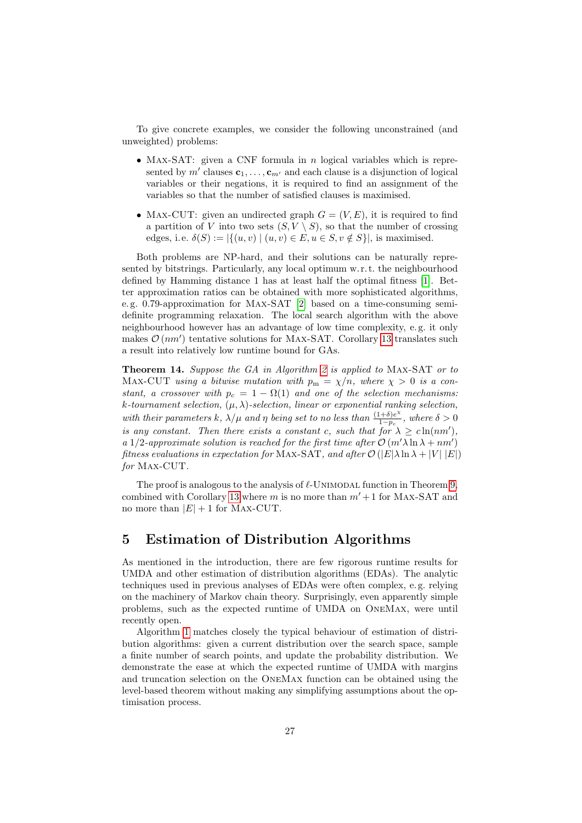To give concrete examples, we consider the following unconstrained (and unweighted) problems:

- MAX-SAT: given a CNF formula in  $n$  logical variables which is represented by  $m'$  clauses  $\mathbf{c}_1, \ldots, \mathbf{c}_{m'}$  and each clause is a disjunction of logical variables or their negations, it is required to find an assignment of the variables so that the number of satisfied clauses is maximised.
- MAX-CUT: given an undirected graph  $G = (V, E)$ , it is required to find a partition of V into two sets  $(S, V \setminus S)$ , so that the number of crossing edges, i.e.  $\delta(S) := |\{(u, v) \mid (u, v) \in E, u \in S, v \notin S\}|$ , is maximised.

Both problems are NP-hard, and their solutions can be naturally represented by bitstrings. Particularly, any local optimum w. r. t. the neighbourhood defined by Hamming distance 1 has at least half the optimal fitness [\[1\]](#page-43-4). Better approximation ratios can be obtained with more sophisticated algorithms, e. g. 0.79-approximation for Max-SAT [\[2\]](#page-43-6) based on a time-consuming semidefinite programming relaxation. The local search algorithm with the above neighbourhood however has an advantage of low time complexity, e. g. it only makes  $\mathcal{O}(nm')$  tentative solutions for MAX-SAT. Corollary [13](#page-24-0) translates such a result into relatively low runtime bound for GAs.

Theorem 14. Suppose the GA in Algorithm [2](#page-4-1) is applied to MAX-SAT or to MAX-CUT using a bitwise mutation with  $p_m = \chi/n$ , where  $\chi > 0$  is a constant, a crossover with  $p_c = 1 - \Omega(1)$  and one of the selection mechanisms: k-tournament selection,  $(\mu, \lambda)$ -selection, linear or exponential ranking selection, with their parameters k,  $\lambda/\mu$  and  $\eta$  being set to no less than  $\frac{(1+\delta)e^{\lambda}}{1-n}$  $\frac{(1+\delta)e^{\alpha}}{1-p_c}$ , where  $\delta > 0$ is any constant. Then there exists a constant c, such that for  $\lambda \geq c \ln(n m')$ , a 1/2-approximate solution is reached for the first time after  $\mathcal{O}(m'\lambda\ln\lambda + nm')$ fitness evaluations in expectation for MAX-SAT, and after  $\mathcal{O}(|E|\lambda\ln\lambda+|V||E|)$ for Max-CUT.

The proof is analogous to the analysis of  $\ell$ -UNIMODAL function in Theorem [9,](#page-19-1) combined with Corollary [13](#page-24-0) where m is no more than  $m' + 1$  for MAX-SAT and no more than  $|E| + 1$  for MAX-CUT.

## 5 Estimation of Distribution Algorithms

As mentioned in the introduction, there are few rigorous runtime results for UMDA and other estimation of distribution algorithms (EDAs). The analytic techniques used in previous analyses of EDAs were often complex, e. g. relying on the machinery of Markov chain theory. Surprisingly, even apparently simple problems, such as the expected runtime of UMDA on OneMax, were until recently open.

Algorithm [1](#page-4-0) matches closely the typical behaviour of estimation of distribution algorithms: given a current distribution over the search space, sample a finite number of search points, and update the probability distribution. We demonstrate the ease at which the expected runtime of UMDA with margins and truncation selection on the OneMax function can be obtained using the level-based theorem without making any simplifying assumptions about the optimisation process.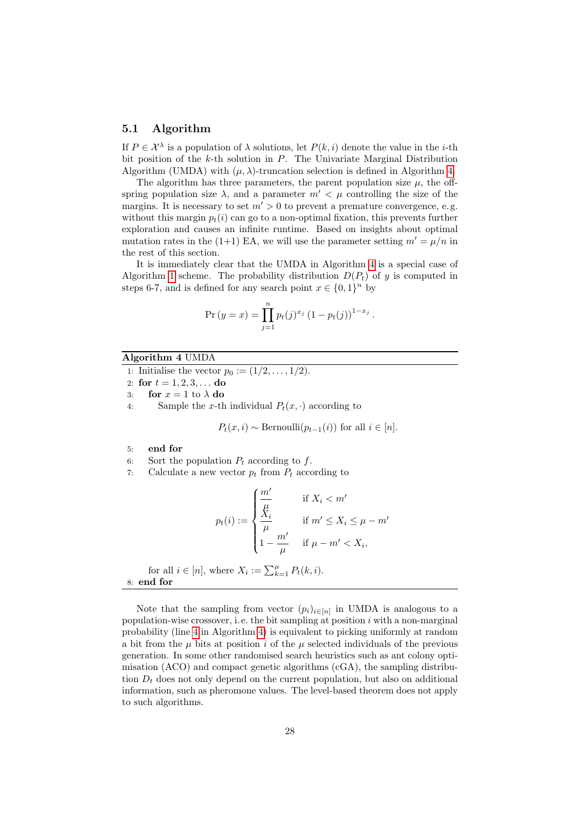### <span id="page-27-2"></span>5.1 Algorithm

If  $P \in \mathcal{X}^{\lambda}$  is a population of  $\lambda$  solutions, let  $P(k, i)$  denote the value in the *i*-th bit position of the  $k$ -th solution in  $P$ . The Univariate Marginal Distribution Algorithm (UMDA) with  $(\mu, \lambda)$ -truncation selection is defined in Algorithm [4.](#page-27-0)

The algorithm has three parameters, the parent population size  $\mu$ , the offspring population size  $\lambda$ , and a parameter  $m' < \mu$  controlling the size of the margins. It is necessary to set  $m' > 0$  to prevent a premature convergence, e.g. without this margin  $p_t(i)$  can go to a non-optimal fixation, this prevents further exploration and causes an infinite runtime. Based on insights about optimal mutation rates in the (1+1) EA, we will use the parameter setting  $m' = \mu/n$  in the rest of this section.

It is immediately clear that the UMDA in Algorithm [4](#page-27-0) is a special case of Algorithm [1](#page-4-0) scheme. The probability distribution  $D(P_t)$  of y is computed in steps 6-7, and is defined for any search point  $x \in \{0,1\}^n$  by

$$
Pr (y = x) = \prod_{j=1}^{n} p_t(j)^{x_j} (1 - p_t(j))^{1 - x_j}.
$$

#### Algorithm 4 UMDA

1: Initialise the vector  $p_0 := (1/2, ..., 1/2)$ .

- 2: for  $t = 1, 2, 3, \ldots$  do
- 3: for  $x = 1$  to  $\lambda$  do
- <span id="page-27-1"></span>4: Sample the x-th individual  $P_t(x, \cdot)$  according to

 $P_t(x, i) \sim \text{Bernoulli}(p_{t-1}(i))$  for all  $i \in [n]$ .

- 5: end for
- 6: Sort the population  $P_t$  according to f.
- 7: Calculate a new vector  $p_t$  from  $P_t$  according to

$$
p_t(i) := \begin{cases} \frac{m'}{\mu} & \text{if } X_i < m' \\ \frac{k}{\mu} & \text{if } m' \le X_i \le \mu - m' \\ 1 - \frac{m'}{\mu} & \text{if } \mu - m' < X_i, \end{cases}
$$
\n
$$
\text{for all } i \in [n], \text{ where } X_i := \sum_{k=1}^{\mu} P_t(k, i).
$$

<span id="page-27-0"></span>8: end for

Note that the sampling from vector  $(p_i)_{i \in [n]}$  in UMDA is analogous to a population-wise crossover, i.e. the bit sampling at position  $i$  with a non-marginal probability (line [4](#page-27-1) in Algorithm [4\)](#page-27-0) is equivalent to picking uniformly at random a bit from the  $\mu$  bits at position i of the  $\mu$  selected individuals of the previous generation. In some other randomised search heuristics such as ant colony optimisation (ACO) and compact genetic algorithms (cGA), the sampling distribution  $D_t$  does not only depend on the current population, but also on additional information, such as pheromone values. The level-based theorem does not apply to such algorithms.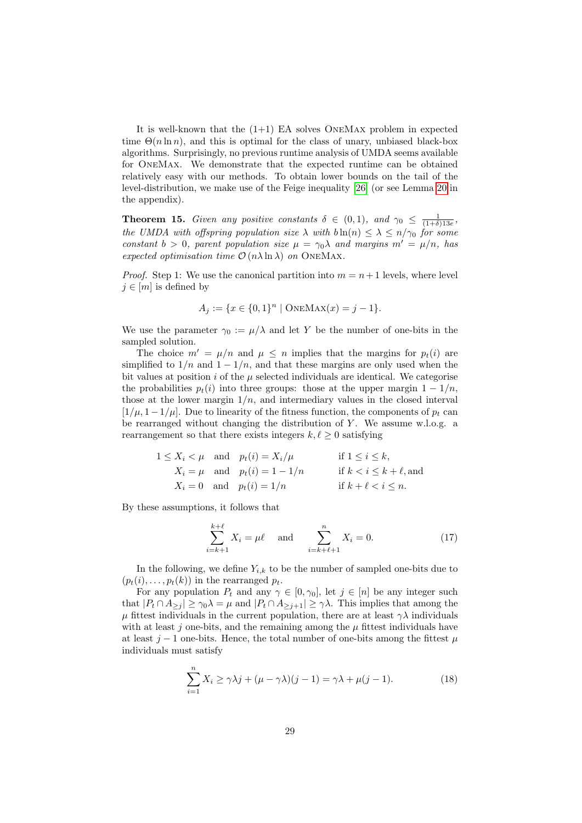It is well-known that the  $(1+1)$  EA solves ONEMAX problem in expected time  $\Theta(n \ln n)$ , and this is optimal for the class of unary, unbiased black-box algorithms. Surprisingly, no previous runtime analysis of UMDA seems available for OneMax. We demonstrate that the expected runtime can be obtained relatively easy with our methods. To obtain lower bounds on the tail of the level-distribution, we make use of the Feige inequality [\[26\]](#page-45-12) (or see Lemma [20](#page-37-3) in the appendix).

**Theorem 15.** Given any positive constants  $\delta \in (0,1)$ , and  $\gamma_0 \leq \frac{1}{(1+\delta)13e}$ , the UMDA with offspring population size  $\lambda$  with  $b \ln(n) \leq \lambda \leq n/\gamma_0$  for some constant  $b > 0$ , parent population size  $\mu = \gamma_0 \lambda$  and margins  $m' = \mu/n$ , has expected optimisation time  $\mathcal{O}(n\lambda \ln \lambda)$  on ONEMAX.

*Proof.* Step 1: We use the canonical partition into  $m = n + 1$  levels, where level  $j \in [m]$  is defined by

$$
A_j := \{ x \in \{0,1\}^n \mid \text{ONEMAX}(x) = j - 1 \}.
$$

We use the parameter  $\gamma_0 := \mu/\lambda$  and let Y be the number of one-bits in the sampled solution.

The choice  $m' = \mu/n$  and  $\mu \leq n$  implies that the margins for  $p_t(i)$  are simplified to  $1/n$  and  $1 - 1/n$ , and that these margins are only used when the bit values at position  $i$  of the  $\mu$  selected individuals are identical. We categorise the probabilities  $p_t(i)$  into three groups: those at the upper margin  $1 - 1/n$ , those at the lower margin  $1/n$ , and intermediary values in the closed interval  $[1/\mu, 1-1/\mu]$ . Due to linearity of the fitness function, the components of  $p_t$  can be rearranged without changing the distribution of  $Y$ . We assume w.l.o.g. a rearrangement so that there exists integers  $k, \ell \geq 0$  satisfying

$$
1 \le X_i < \mu \quad \text{and} \quad p_t(i) = X_i/\mu \qquad \text{if } 1 \le i \le k,
$$
\n
$$
X_i = \mu \quad \text{and} \quad p_t(i) = 1 - 1/n \qquad \text{if } k < i \le k + \ell, \text{and}
$$
\n
$$
X_i = 0 \quad \text{and} \quad p_t(i) = 1/n \qquad \text{if } k + \ell < i \le n.
$$

By these assumptions, it follows that

<span id="page-28-0"></span>
$$
\sum_{i=k+1}^{k+\ell} X_i = \mu \ell \quad \text{and} \quad \sum_{i=k+\ell+1}^n X_i = 0.
$$
 (17)

In the following, we define  $Y_{i,k}$  to be the number of sampled one-bits due to  $(p_t(i), \ldots, p_t(k))$  in the rearranged  $p_t$ .

For any population  $P_t$  and any  $\gamma \in [0, \gamma_0]$ , let  $j \in [n]$  be any integer such that  $|P_t \cap A_{\geq i}| \geq \gamma_0 \lambda = \mu$  and  $|P_t \cap A_{\geq i+1}| \geq \gamma \lambda$ . This implies that among the  $\mu$  fittest individuals in the current population, there are at least  $\gamma \lambda$  individuals with at least  $j$  one-bits, and the remaining among the  $\mu$  fittest individuals have at least j − 1 one-bits. Hence, the total number of one-bits among the fittest  $\mu$ individuals must satisfy

<span id="page-28-1"></span>
$$
\sum_{i=1}^{n} X_i \ge \gamma \lambda j + (\mu - \gamma \lambda)(j - 1) = \gamma \lambda + \mu(j - 1).
$$
 (18)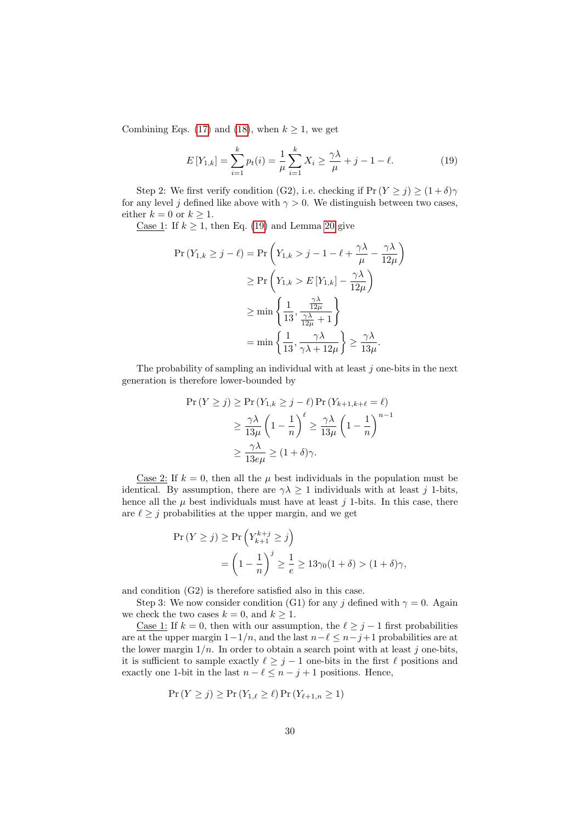Combining Eqs. [\(17\)](#page-28-0) and [\(18\)](#page-28-1), when  $k \geq 1$ , we get

<span id="page-29-0"></span>
$$
E[Y_{1,k}] = \sum_{i=1}^{k} p_t(i) = \frac{1}{\mu} \sum_{i=1}^{k} X_i \ge \frac{\gamma \lambda}{\mu} + j - 1 - \ell.
$$
 (19)

Step 2: We first verify condition (G2), i.e. checking if  $Pr(Y \ge j) \ge (1 + \delta)\gamma$ for any level j defined like above with  $\gamma > 0$ . We distinguish between two cases, either  $k = 0$  or  $k \geq 1$ .

Case 1: If  $k \geq 1$ , then Eq. [\(19\)](#page-29-0) and Lemma [20](#page-37-3) give

$$
\Pr(Y_{1,k} \ge j - \ell) = \Pr\left(Y_{1,k} > j - 1 - \ell + \frac{\gamma \lambda}{\mu} - \frac{\gamma \lambda}{12\mu}\right)
$$
  
\n
$$
\ge \Pr\left(Y_{1,k} > E[Y_{1,k}] - \frac{\gamma \lambda}{12\mu}\right)
$$
  
\n
$$
\ge \min\left\{\frac{1}{13}, \frac{\frac{\gamma \lambda}{12\mu}}{\frac{\gamma \lambda}{12\mu} + 1}\right\}
$$
  
\n
$$
= \min\left\{\frac{1}{13}, \frac{\gamma \lambda}{\gamma \lambda + 12\mu}\right\} \ge \frac{\gamma \lambda}{13\mu}.
$$

The probability of sampling an individual with at least  $j$  one-bits in the next generation is therefore lower-bounded by

$$
\Pr(Y \ge j) \ge \Pr(Y_{1,k} \ge j - \ell) \Pr(Y_{k+1,k+\ell} = \ell)
$$
  
 
$$
\ge \frac{\gamma \lambda}{13\mu} \left(1 - \frac{1}{n}\right)^{\ell} \ge \frac{\gamma \lambda}{13\mu} \left(1 - \frac{1}{n}\right)^{n-1}
$$
  
 
$$
\ge \frac{\gamma \lambda}{13e\mu} \ge (1 + \delta)\gamma.
$$

Case 2: If  $k = 0$ , then all the  $\mu$  best individuals in the population must be identical. By assumption, there are  $\gamma \lambda \geq 1$  individuals with at least j 1-bits, hence all the  $\mu$  best individuals must have at least j 1-bits. In this case, there are  $\ell \geq j$  probabilities at the upper margin, and we get

$$
\Pr(Y \ge j) \ge \Pr\left(Y_{k+1}^{k+j} \ge j\right)
$$
  
=  $\left(1 - \frac{1}{n}\right)^j \ge \frac{1}{e} \ge 13\gamma_0(1+\delta) > (1+\delta)\gamma,$ 

and condition (G2) is therefore satisfied also in this case.

Step 3: We now consider condition (G1) for any j defined with  $\gamma = 0$ . Again we check the two cases  $k = 0$ , and  $k \ge 1$ .

<u>Case 1:</u> If  $k = 0$ , then with our assumption, the  $\ell \geq j - 1$  first probabilities are at the upper margin  $1-1/n$ , and the last  $n-\ell \leq n-j+1$  probabilities are at the lower margin  $1/n$ . In order to obtain a search point with at least j one-bits, it is sufficient to sample exactly  $\ell \geq j - 1$  one-bits in the first  $\ell$  positions and exactly one 1-bit in the last  $n - \ell \leq n - j + 1$  positions. Hence,

$$
\Pr(Y \ge j) \ge \Pr(Y_{1,\ell} \ge \ell) \Pr(Y_{\ell+1,n} \ge 1)
$$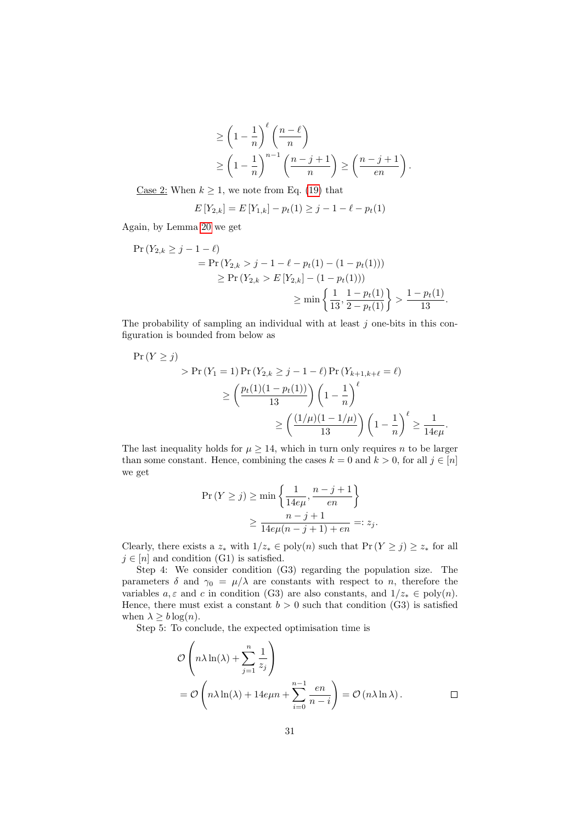$$
\geq \left(1 - \frac{1}{n}\right)^{\ell} \left(\frac{n-\ell}{n}\right)
$$
  
\n
$$
\geq \left(1 - \frac{1}{n}\right)^{n-1} \left(\frac{n-j+1}{n}\right) \geq \left(\frac{n-j+1}{en}\right).
$$

<u>Case 2:</u> When  $k \geq 1$ , we note from Eq. [\(19\)](#page-29-0) that

$$
E[Y_{2,k}] = E[Y_{1,k}] - p_t(1) \ge j - 1 - \ell - p_t(1)
$$

Again, by Lemma [20](#page-37-3) we get

$$
\begin{aligned} \Pr\left(Y_{2,k} \geq j-1-\ell\right) \\ &= \Pr\left(Y_{2,k} > j-1-\ell - p_t(1) - (1 - p_t(1))\right) \\ &\geq \Pr\left(Y_{2,k} > E\left[Y_{2,k}\right] - (1 - p_t(1))\right) \\ &\geq \min\left\{\frac{1}{13}, \frac{1 - p_t(1)}{2 - p_t(1)}\right\} > \frac{1 - p_t(1)}{13} .\end{aligned}
$$

The probability of sampling an individual with at least  $j$  one-bits in this configuration is bounded from below as

$$
\Pr(Y \ge j)
$$
\n
$$
> \Pr(Y_1 = 1) \Pr(Y_{2,k} \ge j - 1 - \ell) \Pr(Y_{k+1,k+\ell} = \ell)
$$
\n
$$
\ge \left(\frac{p_t(1)(1 - p_t(1))}{13}\right) \left(1 - \frac{1}{n}\right)^{\ell}
$$
\n
$$
\ge \left(\frac{(1/\mu)(1 - 1/\mu)}{13}\right) \left(1 - \frac{1}{n}\right)^{\ell} \ge \frac{1}{14e\mu}.
$$

The last inequality holds for  $\mu \geq 14$ , which in turn only requires n to be larger than some constant. Hence, combining the cases  $k = 0$  and  $k > 0$ , for all  $j \in [n]$ we get

$$
\Pr(Y \ge j) \ge \min\left\{\frac{1}{14e\mu}, \frac{n-j+1}{en}\right\}
$$

$$
\ge \frac{n-j+1}{14e\mu(n-j+1)+en} =: z_j.
$$

Clearly, there exists a  $z_*$  with  $1/z_* \in \text{poly}(n)$  such that  $\Pr(Y \geq j) \geq z_*$  for all  $j \in [n]$  and condition (G1) is satisfied.

Step 4: We consider condition (G3) regarding the population size. The parameters  $\delta$  and  $\gamma_0 = \mu/\lambda$  are constants with respect to n, therefore the variables  $a, \varepsilon$  and c in condition (G3) are also constants, and  $1/z_* \in \text{poly}(n)$ . Hence, there must exist a constant  $b > 0$  such that condition (G3) is satisfied when  $\lambda \geq b \log(n)$ .

Step 5: To conclude, the expected optimisation time is

$$
\mathcal{O}\left(n\lambda\ln(\lambda) + \sum_{j=1}^{n} \frac{1}{z_j}\right)
$$
  
=  $\mathcal{O}\left(n\lambda\ln(\lambda) + 14e\mu n + \sum_{i=0}^{n-1} \frac{en}{n-i}\right) = \mathcal{O}\left(n\lambda\ln\lambda\right).$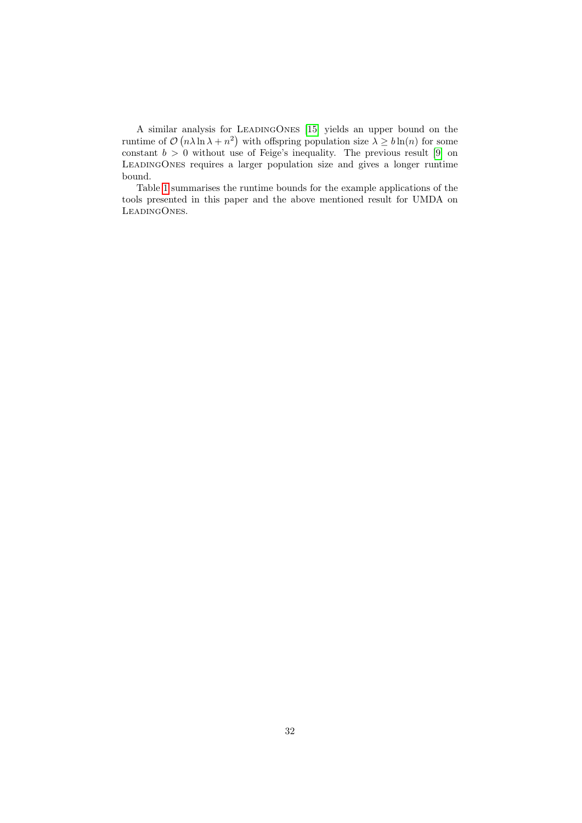A similar analysis for LeadingOnes [\[15\]](#page-44-11) yields an upper bound on the runtime of  $\mathcal{O}(n\lambda\ln\lambda+n^2)$  with offspring population size  $\lambda\geq b\ln(n)$  for some constant  $b > 0$  without use of Feige's inequality. The previous result [\[9\]](#page-44-5) on LeadingOnes requires a larger population size and gives a longer runtime bound.

Table [1](#page-32-0) summarises the runtime bounds for the example applications of the tools presented in this paper and the above mentioned result for UMDA on LeadingOnes.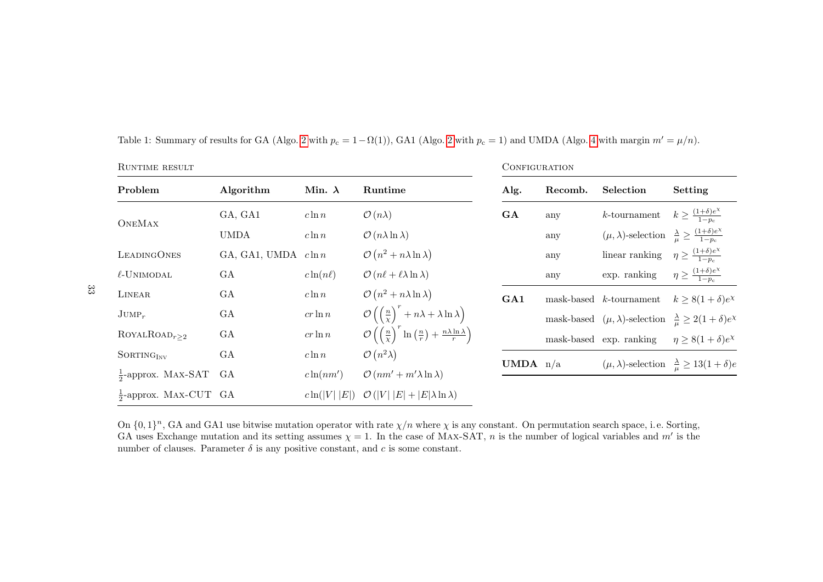| RUNTIME RESULT                    |               |                   |                                                                                                                      | CONFIGURATION     |         |                                                                                         |                                                                      |
|-----------------------------------|---------------|-------------------|----------------------------------------------------------------------------------------------------------------------|-------------------|---------|-----------------------------------------------------------------------------------------|----------------------------------------------------------------------|
| Problem                           | Algorithm     | Min. $\lambda$    | Runtime                                                                                                              | Alg.              | Recomb. | Selection                                                                               | Setting                                                              |
| <b>ONEMAX</b>                     | GA, GA1       | $c \ln n$         | $\mathcal{O}(n\lambda)$                                                                                              | GA                | any     | $k$ -tournament                                                                         | $k \geq \frac{(1+\delta)e^{\chi}}{1-n}$                              |
|                                   | <b>UMDA</b>   | $c \ln n$         | $\mathcal{O}(n\lambda\ln\lambda)$                                                                                    |                   | any     | $(\mu, \lambda)$ -selection $\frac{\lambda}{\mu} \geq \frac{(1+\delta)e^{\chi}}{1-p_c}$ |                                                                      |
| <b>LEADINGONES</b>                | GA, GA1, UMDA | $c \ln n$         | $\mathcal{O}(n^2 + n \lambda \ln \lambda)$                                                                           |                   | any     | linear ranking $\eta \geq \frac{(1+\delta)e^{\chi}}{1-n}$                               |                                                                      |
| $\ell$ -UNIMODAL                  | GA            | $c\ln(n\ell)$     | $\mathcal{O}(n\ell + \ell \lambda \ln \lambda)$                                                                      |                   | any     | exp. ranking                                                                            | $\eta \geq \frac{(1+\delta)e^{\chi}}{1-n_{\alpha}}$                  |
| LINEAR                            | GA            | $c \ln n$         | $\mathcal{O}(n^2 + n\lambda \ln \lambda)$                                                                            | GA1               |         | $mask$ -based $k$ -tournament                                                           | $k \geq 8(1+\delta)e^{\chi}$                                         |
| $\text{JUMP}_r$                   | GA            | $cr\ln n$         | $\mathcal{O}\left(\left(\frac{n}{\chi}\right)^{7}+n\lambda+\lambda\ln\lambda\right)$                                 |                   |         | mask-based $(\mu, \lambda)$ -selection $\frac{\lambda}{\mu} \geq 2(1+\delta)e^{\chi}$   |                                                                      |
| $ROYALROAD_{r>2}$                 | GA            | $cr\ln n$         | $\mathcal{O}\left(\left(\frac{n}{\gamma}\right)^r \ln\left(\frac{n}{r}\right) + \frac{n\lambda\ln\lambda}{r}\right)$ |                   |         | mask-based exp. ranking                                                                 | $\eta \geq 8(1+\delta)e^{\chi}$                                      |
| SORTING <sub>INV</sub>            | GA            | $c \ln n$         | $\mathcal{O}(n^2\lambda)$                                                                                            | <b>UMDA</b> $n/a$ |         |                                                                                         | $(\mu, \lambda)$ -selection $\frac{\lambda}{\mu} \geq 13(1+\delta)e$ |
| $\frac{1}{2}$ -approx. MAX-SAT    | GA            | $c\ln(nm')$       | $\mathcal{O}(nm' + m' \lambda \ln \lambda)$                                                                          |                   |         |                                                                                         |                                                                      |
| $\frac{1}{2}$ -approx. MAX-CUT GA |               | $c\ln( V )$<br> E | $\mathcal{O}( V  E  +  E \lambda \ln \lambda)$                                                                       |                   |         |                                                                                         |                                                                      |

Table 1: Summary of results for GA (Algo. [2](#page-4-5) with  $p_c = 1 - \Omega(1)$ ), GA1 (Algo. 2 with  $p_c = 1$ ) and UMDA (Algo. [4](#page-27-2) with margin  $m' = \mu/n$ ).

<span id="page-32-0"></span>On  $\{0,1\}^n$ , GA and GA1 use bitwise mutation operator with rate  $\chi/n$  where  $\chi$  is any constant. On permutation search space, i.e. Sorting, GA uses Exchange mutation and its setting assumes  $\chi = 1$ . In the case of MAX-SAT, *n* is the number of logical variables and *m'* is the number of clauses. Parameter  $\delta$  is any positive constant, and  $c$  is some constant.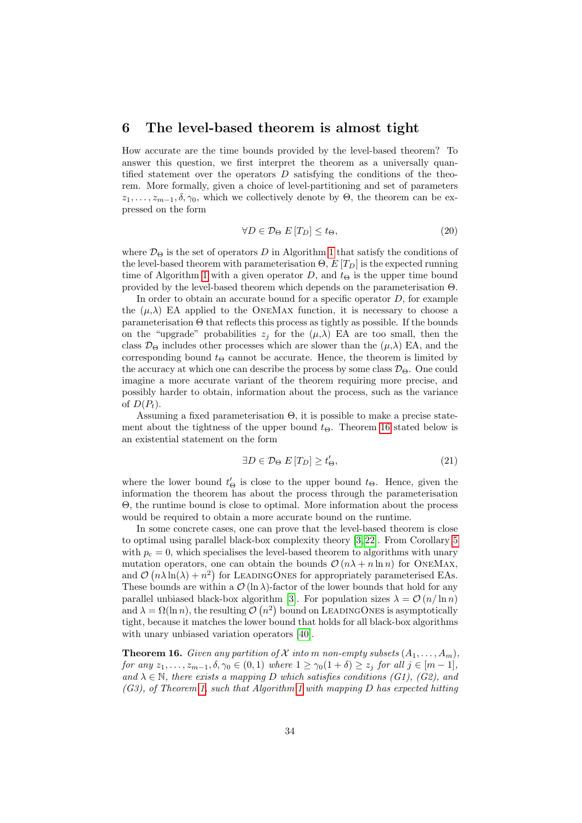### <span id="page-33-0"></span>6 The level-based theorem is almost tight

How accurate are the time bounds provided by the level-based theorem? To answer this question, we first interpret the theorem as a universally quantified statement over the operators  $D$  satisfying the conditions of the theorem. More formally, given a choice of level-partitioning and set of parameters  $z_1, \ldots, z_{m-1}, \delta, \gamma_0$ , which we collectively denote by  $\Theta$ , the theorem can be expressed on the form

$$
\forall D \in \mathcal{D}_{\Theta} \ E[T_D] \le t_{\Theta},\tag{20}
$$

where  $\mathcal{D}_{\Theta}$  is the set of operators D in Algorithm [1](#page-4-0) that satisfy the conditions of the level-based theorem with parameterisation  $\Theta$ ,  $E[T_D]$  is the expected running time of Algorithm [1](#page-4-0) with a given operator D, and  $t_{\Theta}$  is the upper time bound provided by the level-based theorem which depends on the parameterisation Θ.

In order to obtain an accurate bound for a specific operator  $D$ , for example the  $(\mu, \lambda)$  EA applied to the ONEMAX function, it is necessary to choose a parameterisation Θ that reflects this process as tightly as possible. If the bounds on the "upgrade" probabilities  $z_j$  for the  $(\mu, \lambda)$  EA are too small, then the class  $\mathcal{D}_{\Theta}$  includes other processes which are slower than the  $(\mu, \lambda)$  EA, and the corresponding bound  $t_{\Theta}$  cannot be accurate. Hence, the theorem is limited by the accuracy at which one can describe the process by some class  $\mathcal{D}_{\Theta}$ . One could imagine a more accurate variant of the theorem requiring more precise, and possibly harder to obtain, information about the process, such as the variance of  $D(P_t)$ .

Assuming a fixed parameterisation Θ, it is possible to make a precise statement about the tightness of the upper bound  $t_{\Theta}$ . Theorem [16](#page-33-1) stated below is an existential statement on the form

$$
\exists D \in \mathcal{D}_{\Theta} \ E \left[ T_D \right] \ge t_{\Theta}',\tag{21}
$$

where the lower bound  $t_{\Theta}'$  is close to the upper bound  $t_{\Theta}$ . Hence, given the information the theorem has about the process through the parameterisation Θ, the runtime bound is close to optimal. More information about the process would be required to obtain a more accurate bound on the runtime.

In some concrete cases, one can prove that the level-based theorem is close to optimal using parallel black-box complexity theory [\[3,](#page-43-7) [22\]](#page-44-14). From Corollary [5](#page-14-0) with  $p_c = 0$ , which specialises the level-based theorem to algorithms with unary mutation operators, one can obtain the bounds  $\mathcal{O}(n\lambda + n \ln n)$  for ONEMAX, and  $\mathcal{O}(n\lambda \ln(\lambda) + n^2)$  for LEADINGONES for appropriately parameterised EAs. These bounds are within a  $\mathcal{O}(\ln \lambda)$ -factor of the lower bounds that hold for any parallel unbiased black-box algorithm [\[3\]](#page-43-7). For population sizes  $\lambda = \mathcal{O}(n/\ln n)$ and  $\lambda = \Omega(\ln n)$ , the resulting  $\mathcal{O}(n^2)$  bound on LEADINGONES is asymptotically tight, because it matches the lower bound that holds for all black-box algorithms with unary unbiased variation operators [\[40\]](#page-46-15).

<span id="page-33-1"></span>**Theorem 16.** Given any partition of X into m non-empty subsets  $(A_1, \ldots, A_m)$ , for any  $z_1, \ldots, z_{m-1}, \delta, \gamma_0 \in (0,1)$  where  $1 \geq \gamma_0(1+\delta) \geq z_j$  for all  $j \in [m-1]$ , and  $\lambda \in \mathbb{N}$ , there exists a mapping D which satisfies conditions (G1), (G2), and  $(G3)$ , of Theorem [1,](#page-5-0) such that Algorithm [1](#page-4-0) with mapping D has expected hitting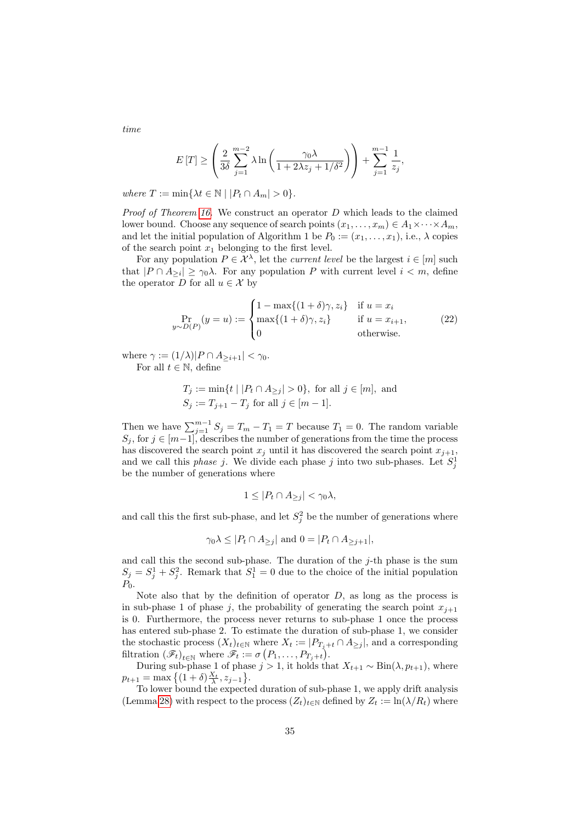$$
E[T] \ge \left(\frac{2}{3\delta} \sum_{j=1}^{m-2} \lambda \ln \left( \frac{\gamma_0 \lambda}{1 + 2\lambda z_j + 1/\delta^2} \right) \right) + \sum_{j=1}^{m-1} \frac{1}{z_j},
$$

where  $T := \min\{\lambda t \in \mathbb{N} \mid |P_t \cap A_m| > 0\}.$ 

*Proof of Theorem [16.](#page-33-1)* We construct an operator  $D$  which leads to the claimed lower bound. Choose any sequence of search points  $(x_1, \ldots, x_m) \in A_1 \times \cdots \times A_m$ , and let the initial population of Algorithm 1 be  $P_0 := (x_1, \ldots, x_1)$ , i.e.,  $\lambda$  copies of the search point  $x_1$  belonging to the first level.

For any population  $P \in \mathcal{X}^{\lambda}$ , let the *current level* be the largest  $i \in [m]$  such that  $|P \cap A_{\geq i}| \geq \gamma_0 \lambda$ . For any population P with current level  $i < m$ , define the operator D for all  $u \in \mathcal{X}$  by

$$
\Pr_{y \sim D(P)}(y = u) := \begin{cases} 1 - \max\{(1 + \delta)\gamma, z_i\} & \text{if } u = x_i \\ \max\{(1 + \delta)\gamma, z_i\} & \text{if } u = x_{i+1}, \\ 0 & \text{otherwise.} \end{cases}
$$
(22)

where  $\gamma := (1/\lambda)|P \cap A_{\geq i+1}| < \gamma_0$ . For all  $t \in \mathbb{N}$ , define

$$
T_j := \min\{t \mid |P_t \cap A_{\ge j}| > 0\}, \text{ for all } j \in [m], \text{ and}
$$
  

$$
S_j := T_{j+1} - T_j \text{ for all } j \in [m-1].
$$

Then we have  $\sum_{j=1}^{m-1} S_j = T_m - T_1 = T$  because  $T_1 = 0$ . The random variable  $S_j$ , for  $j \in [m-1]$ , describes the number of generations from the time the process has discovered the search point  $x_j$  until it has discovered the search point  $x_{j+1}$ , and we call this *phase* j. We divide each phase j into two sub-phases. Let  $S_j^1$ be the number of generations where

$$
1 \le |P_t \cap A_{\ge j}| < \gamma_0 \lambda,
$$

and call this the first sub-phase, and let  $S_j^2$  be the number of generations where

$$
\gamma_0 \lambda \leq |P_t \cap A_{\geq j}|
$$
 and  $0 = |P_t \cap A_{\geq j+1}|$ ,

and call this the second sub-phase. The duration of the  $j$ -th phase is the sum  $S_j = S_j^1 + S_j^2$ . Remark that  $S_1^1 = 0$  due to the choice of the initial population  $P_0$ .

Note also that by the definition of operator  $D$ , as long as the process is in sub-phase 1 of phase j, the probability of generating the search point  $x_{i+1}$ is 0. Furthermore, the process never returns to sub-phase 1 once the process has entered sub-phase 2. To estimate the duration of sub-phase 1, we consider the stochastic process  $(X_t)_{t\in\mathbb{N}}$  where  $X_t := |P_{T_j+t} \cap A_{\geq j}|$ , and a corresponding filtration  $(\mathscr{F}_t)_{t\in\mathbb{N}}$  where  $\mathscr{F}_t := \sigma(P_1,\ldots,P_{T_j+t}).$ 

During sub-phase 1 of phase  $j > 1$ , it holds that  $X_{t+1} \sim Bin(\lambda, p_{t+1})$ , where  $p_{t+1} = \max\{(1+\delta)\frac{X_t}{\lambda}, z_{j-1}\}.$ 

To lower bound the expected duration of sub-phase 1, we apply drift analysis (Lemma [28\)](#page-42-0) with respect to the process  $(Z_t)_{t\in\mathbb{N}}$  defined by  $Z_t := \ln(\lambda/R_t)$  where

time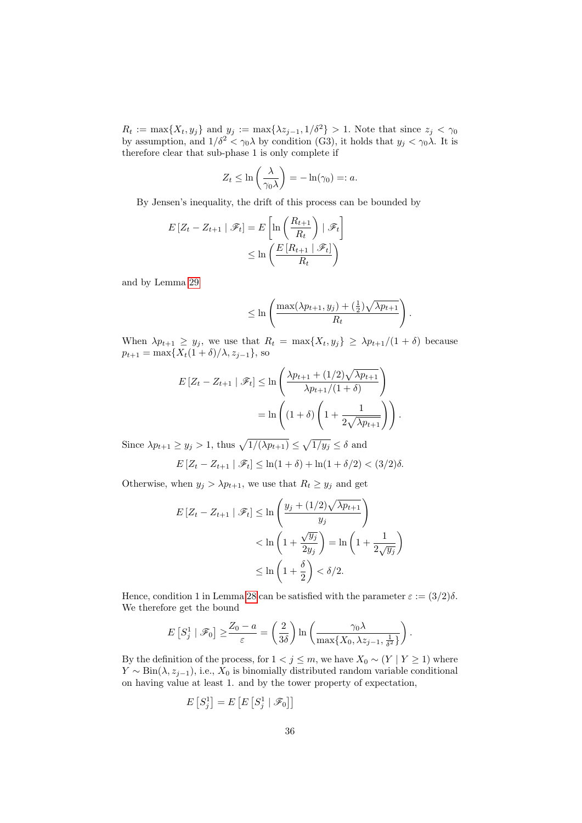$R_t := \max\{X_t, y_j\}$  and  $y_j := \max\{\lambda z_{j-1}, 1/\delta^2\} > 1$ . Note that since  $z_j < \gamma_0$ by assumption, and  $1/\delta^2 < \gamma_0 \lambda$  by condition (G3), it holds that  $y_j < \gamma_0 \lambda$ . It is therefore clear that sub-phase 1 is only complete if

$$
Z_t \leq \ln\left(\frac{\lambda}{\gamma_0 \lambda}\right) = -\ln(\gamma_0) =: a.
$$

By Jensen's inequality, the drift of this process can be bounded by

$$
E\left[Z_t - Z_{t+1} \mid \mathscr{F}_t\right] = E\left[\ln\left(\frac{R_{t+1}}{R_t}\right) \mid \mathscr{F}_t\right]
$$

$$
\leq \ln\left(\frac{E\left[R_{t+1} \mid \mathscr{F}_t\right]}{R_t}\right)
$$

and by Lemma [29](#page-42-1)

$$
\leq \ln \left( \frac{\max(\lambda p_{t+1}, y_j) + (\frac{1}{2})\sqrt{\lambda p_{t+1}}}{R_t} \right).
$$

When  $\lambda p_{t+1} \geq y_j$ , we use that  $R_t = \max\{X_t, y_j\} \geq \lambda p_{t+1}/(1+\delta)$  because  $p_{t+1} = \max\{X_t(1+\delta)/\lambda, z_{j-1}\}\$ , so

$$
E\left[Z_t - Z_{t+1} \mid \mathscr{F}_t\right] \le \ln\left(\frac{\lambda p_{t+1} + (1/2)\sqrt{\lambda p_{t+1}}}{\lambda p_{t+1}/(1+\delta)}\right)
$$

$$
= \ln\left((1+\delta)\left(1 + \frac{1}{2\sqrt{\lambda p_{t+1}}}\right)\right).
$$

Since  $\lambda p_{t+1} \ge y_j > 1$ , thus  $\sqrt{1/(\lambda p_{t+1})} \le \sqrt{1/y_j} \le \delta$  and

$$
E[Z_t - Z_{t+1} | \mathscr{F}_t] \le \ln(1+\delta) + \ln(1+\delta/2) < (3/2)\delta.
$$

Otherwise, when  $y_j > \lambda p_{t+1}$ , we use that  $R_t \ge y_j$  and get

$$
E\left[Z_t - Z_{t+1} \mid \mathscr{F}_t\right] \le \ln\left(\frac{y_j + (1/2)\sqrt{\lambda p_{t+1}}}{y_j}\right)
$$
  

$$
< \ln\left(1 + \frac{\sqrt{y_j}}{2y_j}\right) = \ln\left(1 + \frac{1}{2\sqrt{y_j}}\right)
$$
  

$$
\le \ln\left(1 + \frac{\delta}{2}\right) < \delta/2.
$$

Hence, condition 1 in Lemma [28](#page-42-0) can be satisfied with the parameter  $\varepsilon := (3/2)\delta$ . We therefore get the bound

$$
E\left[S_j^1 \mid \mathscr{F}_0\right] \ge \frac{Z_0 - a}{\varepsilon} = \left(\frac{2}{3\delta}\right) \ln \left(\frac{\gamma_0 \lambda}{\max\{X_0, \lambda z_{j-1}, \frac{1}{\delta^2}\}}\right).
$$

By the definition of the process, for  $1 < j \le m$ , we have  $X_0 \sim (Y | Y \ge 1)$  where  $Y \sim Bin(\lambda, z_{i-1}),$  i.e.,  $X_0$  is binomially distributed random variable conditional on having value at least 1. and by the tower property of expectation,

$$
E[S_j^1] = E\left[E\left[S_j^1 \mid \mathcal{F}_0\right]\right]
$$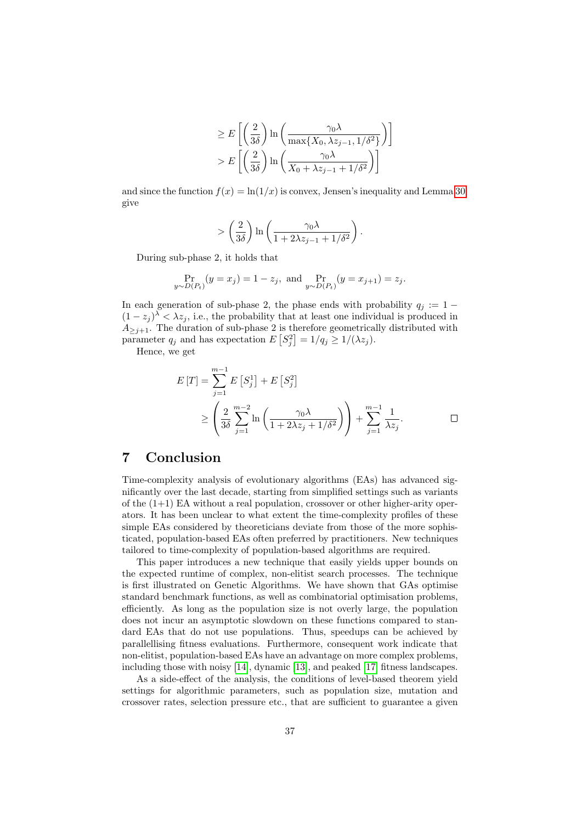$$
\geq E\left[\left(\frac{2}{3\delta}\right)\ln\left(\frac{\gamma_0\lambda}{\max\{X_0, \lambda z_{j-1}, 1/\delta^2\}}\right)\right]
$$

$$
> E\left[\left(\frac{2}{3\delta}\right)\ln\left(\frac{\gamma_0\lambda}{X_0 + \lambda z_{j-1} + 1/\delta^2}\right)\right]
$$

and since the function  $f(x) = \ln(1/x)$  is convex, Jensen's inequality and Lemma [30](#page-43-8) give

$$
> \left(\frac{2}{3\delta}\right) \ln\left(\frac{\gamma_0 \lambda}{1 + 2\lambda z_{j-1} + 1/\delta^2}\right).
$$

During sub-phase 2, it holds that

$$
\Pr_{y \sim D(P_t)}(y = x_j) = 1 - z_j, \text{ and } \Pr_{y \sim D(P_t)}(y = x_{j+1}) = z_j.
$$

In each generation of sub-phase 2, the phase ends with probability  $q_i := 1 (1-z_j)^{\lambda} < \lambda z_j$ , i.e., the probability that at least one individual is produced in  $A_{\geq j+1}$ . The duration of sub-phase 2 is therefore geometrically distributed with parameter  $q_j$  and has expectation  $E\left[S_j^2\right] = 1/q_j \geq 1/(\lambda z_j)$ .

Hence, we get

$$
E[T] = \sum_{j=1}^{m-1} E[S_j^1] + E[S_j^2]
$$
  
\n
$$
\geq \left(\frac{2}{3\delta} \sum_{j=1}^{m-2} \ln\left(\frac{\gamma_0 \lambda}{1 + 2\lambda z_j + 1/\delta^2}\right)\right) + \sum_{j=1}^{m-1} \frac{1}{\lambda z_j}.
$$

## <span id="page-36-0"></span>7 Conclusion

Time-complexity analysis of evolutionary algorithms (EAs) has advanced significantly over the last decade, starting from simplified settings such as variants of the  $(1+1)$  EA without a real population, crossover or other higher-arity operators. It has been unclear to what extent the time-complexity profiles of these simple EAs considered by theoreticians deviate from those of the more sophisticated, population-based EAs often preferred by practitioners. New techniques tailored to time-complexity of population-based algorithms are required.

This paper introduces a new technique that easily yields upper bounds on the expected runtime of complex, non-elitist search processes. The technique is first illustrated on Genetic Algorithms. We have shown that GAs optimise standard benchmark functions, as well as combinatorial optimisation problems, efficiently. As long as the population size is not overly large, the population does not incur an asymptotic slowdown on these functions compared to standard EAs that do not use populations. Thus, speedups can be achieved by parallellising fitness evaluations. Furthermore, consequent work indicate that non-elitist, population-based EAs have an advantage on more complex problems, including those with noisy [\[14\]](#page-44-8), dynamic [\[13\]](#page-44-9), and peaked [\[17\]](#page-44-12) fitness landscapes.

As a side-effect of the analysis, the conditions of level-based theorem yield settings for algorithmic parameters, such as population size, mutation and crossover rates, selection pressure etc., that are sufficient to guarantee a given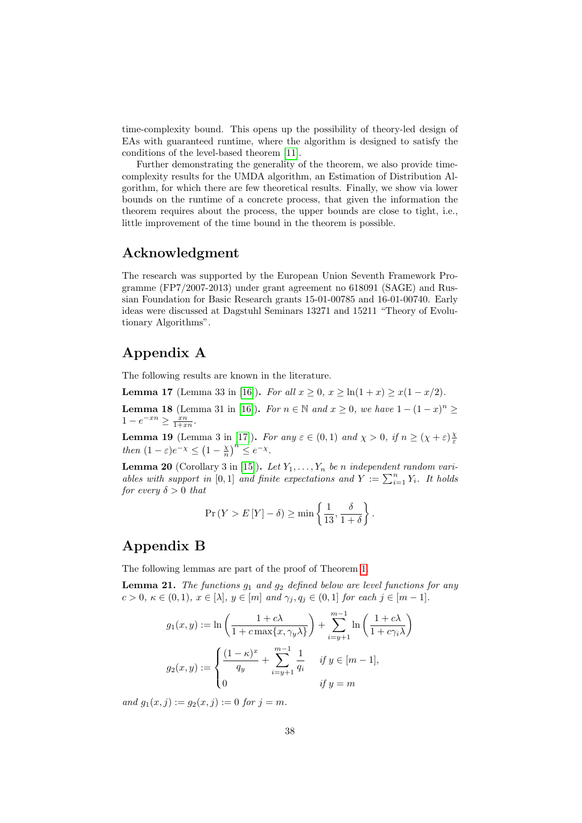time-complexity bound. This opens up the possibility of theory-led design of EAs with guaranteed runtime, where the algorithm is designed to satisfy the conditions of the level-based theorem [\[11\]](#page-44-10).

Further demonstrating the generality of the theorem, we also provide timecomplexity results for the UMDA algorithm, an Estimation of Distribution Algorithm, for which there are few theoretical results. Finally, we show via lower bounds on the runtime of a concrete process, that given the information the theorem requires about the process, the upper bounds are close to tight, i.e., little improvement of the time bound in the theorem is possible.

## Acknowledgment

The research was supported by the European Union Seventh Framework Programme (FP7/2007-2013) under grant agreement no 618091 (SAGE) and Russian Foundation for Basic Research grants 15-01-00785 and 16-01-00740. Early ideas were discussed at Dagstuhl Seminars 13271 and 15211 "Theory of Evolutionary Algorithms".

## Appendix A

The following results are known in the literature.

<span id="page-37-4"></span>**Lemma 17** (Lemma 33 in [\[16\]](#page-44-7)). For all  $x > 0$ ,  $x > \ln(1+x) > x(1-x/2)$ .

<span id="page-37-1"></span>**Lemma 18** (Lemma 31 in [\[16\]](#page-44-7)). For  $n \in \mathbb{N}$  and  $x \ge 0$ , we have  $1 - (1 - x)^n \ge$  $1 - e^{-x} \geq \frac{x}{1 + x}$ .

<span id="page-37-2"></span>**Lemma 19** (Lemma 3 in [\[17\]](#page-44-12)). For any  $\varepsilon \in (0,1)$  and  $\chi > 0$ , if  $n \geq (\chi + \varepsilon) \frac{\chi}{\varepsilon}$ then  $(1 - \varepsilon)e^{-\chi} \le (1 - \frac{\chi}{n})^n \le e^{-\chi}.$ 

<span id="page-37-3"></span>**Lemma 20** (Corollary 3 in [\[15\]](#page-44-11)). Let  $Y_1, \ldots, Y_n$  be n independent random variables with support in [0,1] and finite expectations and  $Y := \sum_{i=1}^{n} Y_i$ . It holds for every  $\delta > 0$  that

$$
\Pr(Y > E[Y] - \delta) \ge \min\left\{\frac{1}{13}, \frac{\delta}{1+\delta}\right\}.
$$

## Appendix B

The following lemmas are part of the proof of Theorem [1.](#page-5-0)

<span id="page-37-0"></span>**Lemma 21.** The functions  $g_1$  and  $g_2$  defined below are level functions for any  $c > 0, \ \kappa \in (0, 1), \ x \in [\lambda], \ y \in [m] \ \text{and} \ \gamma_j, q_j \in (0, 1] \ \text{for each } j \in [m - 1].$ 

$$
g_1(x, y) := \ln\left(\frac{1+c\lambda}{1+c\max\{x, \gamma_y \lambda\}}\right) + \sum_{i=y+1}^{m-1} \ln\left(\frac{1+c\lambda}{1+c\gamma_i \lambda}\right)
$$

$$
g_2(x, y) := \begin{cases} \frac{(1-\kappa)^x}{q_y} + \sum_{i=y+1}^{m-1} \frac{1}{q_i} & \text{if } y \in [m-1],\\ 0 & \text{if } y = m \end{cases}
$$

and  $g_1(x, i) := g_2(x, i) := 0$  for  $i = m$ .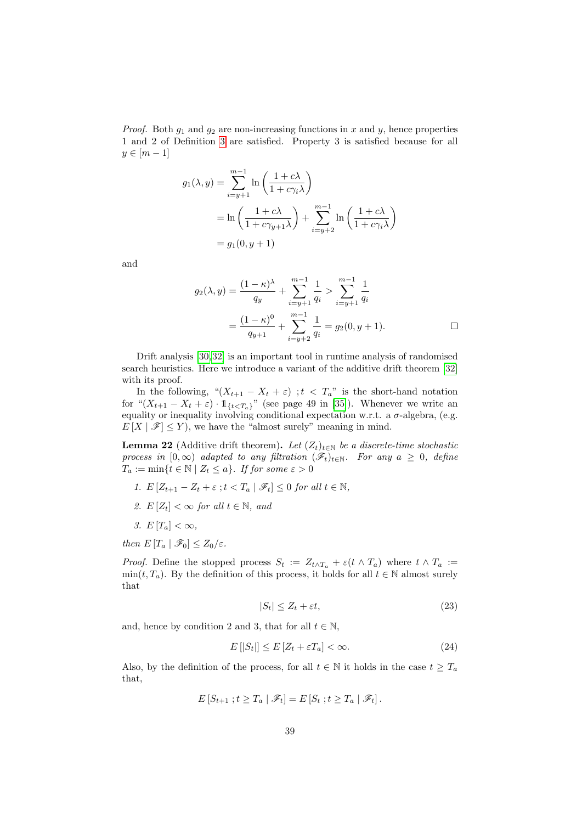*Proof.* Both  $g_1$  and  $g_2$  are non-increasing functions in x and y, hence properties 1 and 2 of Definition [3](#page-8-0) are satisfied. Property 3 is satisfied because for all  $y \in [m-1]$ 

$$
g_1(\lambda, y) = \sum_{i=y+1}^{m-1} \ln\left(\frac{1+c\lambda}{1+c\gamma_i\lambda}\right)
$$
  
=  $\ln\left(\frac{1+c\lambda}{1+c\gamma_{y+1}\lambda}\right) + \sum_{i=y+2}^{m-1} \ln\left(\frac{1+c\lambda}{1+c\gamma_i\lambda}\right)$   
=  $g_1(0, y+1)$ 

and

$$
g_2(\lambda, y) = \frac{(1 - \kappa)^{\lambda}}{q_y} + \sum_{i = y+1}^{m-1} \frac{1}{q_i} > \sum_{i = y+1}^{m-1} \frac{1}{q_i}
$$
  
= 
$$
\frac{(1 - \kappa)^0}{q_{y+1}} + \sum_{i = y+2}^{m-1} \frac{1}{q_i} = g_2(0, y+1).
$$

Drift analysis [\[30,](#page-45-3)[32\]](#page-45-13) is an important tool in runtime analysis of randomised search heuristics. Here we introduce a variant of the additive drift theorem [\[32\]](#page-45-13) with its proof.

In the following, " $(X_{t+1} - X_t + \varepsilon)$ ;  $t < T_a$ " is the short-hand notation for " $(X_{t+1} - X_t + \varepsilon) \cdot 1_{\{t < T_a\}}$ " (see page 49 in [\[35\]](#page-45-14)). Whenever we write an equality or inequality involving conditional expectation w.r.t. a  $\sigma$ -algebra, (e.g.  $E[X | \mathcal{F}] \leq Y$ , we have the "almost surely" meaning in mind.

<span id="page-38-0"></span>**Lemma 22** (Additive drift theorem). Let  $(Z_t)_{t \in \mathbb{N}}$  be a discrete-time stochastic process in  $[0, \infty)$  adapted to any filtration  $(\mathscr{F}_t)_{t \in \mathbb{N}}$ . For any  $a \geq 0$ , define  $T_a := \min\{t \in \mathbb{N} \mid Z_t \leq a\}.$  If for some  $\varepsilon > 0$ 

- 1.  $E[Z_{t+1} Z_t + \varepsilon : t < T_a | \mathcal{F}_t] \leq 0$  for all  $t \in \mathbb{N}$ ,
- 2.  $E[Z_t] < \infty$  for all  $t \in \mathbb{N}$ , and
- 3.  $E[T_a]<\infty$ ,
- then  $E[T_a | \mathcal{F}_0] \leq Z_0/\varepsilon$ .

*Proof.* Define the stopped process  $S_t := Z_{t \wedge T_a} + \varepsilon(t \wedge T_a)$  where  $t \wedge T_a :=$  $min(t, T_a)$ . By the definition of this process, it holds for all  $t \in \mathbb{N}$  almost surely that

<span id="page-38-2"></span><span id="page-38-1"></span>
$$
|S_t| \le Z_t + \varepsilon t,\tag{23}
$$

and, hence by condition 2 and 3, that for all  $t \in \mathbb{N}$ ,

$$
E\left[|S_t|\right] \le E\left[Z_t + \varepsilon T_a\right] < \infty. \tag{24}
$$

Also, by the definition of the process, for all  $t \in \mathbb{N}$  it holds in the case  $t \geq T_a$ that,

$$
E[S_{t+1} ; t \geq T_a | \mathcal{F}_t] = E[S_t ; t \geq T_a | \mathcal{F}_t].
$$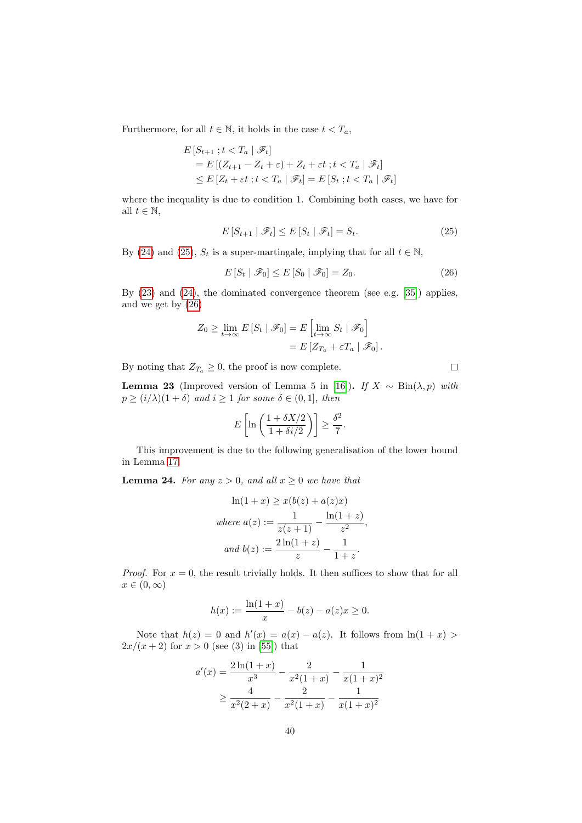Furthermore, for all  $t \in \mathbb{N}$ , it holds in the case  $t < T_a$ ,

$$
E\left[S_{t+1} \; ; t < T_a \mid \mathscr{F}_t\right]
$$
\n
$$
= E\left[(Z_{t+1} - Z_t + \varepsilon) + Z_t + \varepsilon t \; ; t < T_a \mid \mathscr{F}_t\right]
$$
\n
$$
\leq E\left[Z_t + \varepsilon t \; ; t < T_a \mid \mathscr{F}_t\right] = E\left[S_t \; ; t < T_a \mid \mathscr{F}_t\right]
$$

where the inequality is due to condition 1. Combining both cases, we have for all  $t \in \mathbb{N}$ ,

$$
E\left[S_{t+1} \mid \mathcal{F}_t\right] \le E\left[S_t \mid \mathcal{F}_t\right] = S_t. \tag{25}
$$

By [\(24\)](#page-38-1) and [\(25\)](#page-39-1),  $S_t$  is a super-martingale, implying that for all  $t \in \mathbb{N}$ ,

$$
E\left[S_t \mid \mathcal{F}_0\right] \le E\left[S_0 \mid \mathcal{F}_0\right] = Z_0. \tag{26}
$$

By [\(23\)](#page-38-2) and [\(24\)](#page-38-1), the dominated convergence theorem (see e.g. [\[35\]](#page-45-14)) applies, and we get by [\(26\)](#page-39-2)

$$
Z_0 \ge \lim_{t \to \infty} E\left[S_t \mid \mathscr{F}_0\right] = E\left[\lim_{t \to \infty} S_t \mid \mathscr{F}_0\right]
$$

$$
= E\left[Z_{T_a} + \varepsilon T_a \mid \mathscr{F}_0\right].
$$

By noting that  $Z_{T_a} \geq 0$ , the proof is now complete.

<span id="page-39-0"></span>Lemma 23 (Improved version of Lemma 5 in [\[16\]](#page-44-7)). If  $X \sim \text{Bin}(\lambda, p)$  with  $p \geq (i/\lambda)(1+\delta)$  and  $i \geq 1$  for some  $\delta \in (0,1]$ , then

$$
E\left[\ln\left(\frac{1+\delta X/2}{1+\delta i/2}\right)\right] \ge \frac{\delta^2}{7}.
$$

This improvement is due to the following generalisation of the lower bound in Lemma [17.](#page-37-4)

<span id="page-39-3"></span>**Lemma 24.** For any  $z > 0$ , and all  $x \geq 0$  we have that

$$
\ln(1+x) \ge x(b(z) + a(z)x)
$$
  
where  $a(z) := \frac{1}{z(z+1)} - \frac{\ln(1+z)}{z^2}$ ,  
and  $b(z) := \frac{2\ln(1+z)}{z} - \frac{1}{1+z}$ .

*Proof.* For  $x = 0$ , the result trivially holds. It then suffices to show that for all  $x \in (0, \infty)$ 

$$
h(x) := \frac{\ln(1+x)}{x} - b(z) - a(z)x \ge 0.
$$

Note that  $h(z) = 0$  and  $h'(x) = a(x) - a(z)$ . It follows from  $\ln(1+x)$  $2x/(x+2)$  for  $x > 0$  (see (3) in [\[55\]](#page-47-6)) that

$$
a'(x) = \frac{2\ln(1+x)}{x^3} - \frac{2}{x^2(1+x)} - \frac{1}{x(1+x)^2}
$$

$$
\geq \frac{4}{x^2(2+x)} - \frac{2}{x^2(1+x)} - \frac{1}{x(1+x)^2}
$$

<span id="page-39-2"></span><span id="page-39-1"></span> $\Box$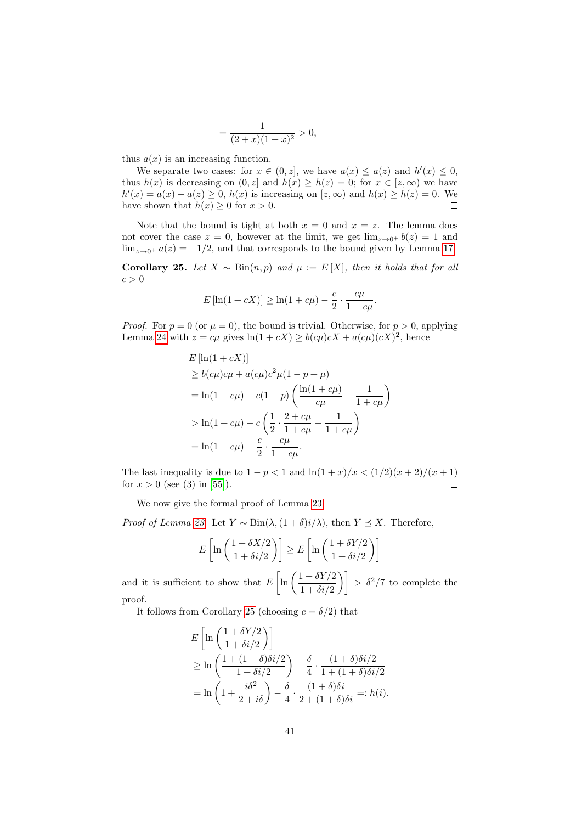$$
=\frac{1}{(2+x)(1+x)^2} > 0,
$$

thus  $a(x)$  is an increasing function.

We separate two cases: for  $x \in (0, z]$ , we have  $a(x) \leq a(z)$  and  $h'(x) \leq 0$ , thus  $h(x)$  is decreasing on  $(0, z]$  and  $h(x) \geq h(z) = 0$ ; for  $x \in [z, \infty)$  we have  $h'(x) = a(x) - a(z) \geq 0$ ,  $h(x)$  is increasing on  $[z, \infty)$  and  $h(x) \geq h(z) = 0$ . We have shown that  $h(x) \geq 0$  for  $x > 0$ .  $\Box$ 

Note that the bound is tight at both  $x = 0$  and  $x = z$ . The lemma does not cover the case  $z = 0$ , however at the limit, we get  $\lim_{z\to 0^+} b(z) = 1$  and  $\lim_{z\to 0^+} a(z) = -1/2$ , and that corresponds to the bound given by Lemma [17.](#page-37-4)

<span id="page-40-0"></span>Corollary 25. Let  $X \sim Bin(n, p)$  and  $\mu := E[X]$ , then it holds that for all  $c > 0$ 

$$
E[\ln(1 + cX)] \ge \ln(1 + c\mu) - \frac{c}{2} \cdot \frac{c\mu}{1 + c\mu}.
$$

*Proof.* For  $p = 0$  (or  $\mu = 0$ ), the bound is trivial. Otherwise, for  $p > 0$ , applying Lemma [24](#page-39-3) with  $z = c\mu$  gives  $\ln(1 + cX) \ge b(c\mu)cX + a(c\mu)(cX)^2$ , hence

$$
E [\ln(1 + cX)]
$$
  
\n
$$
\ge b(c\mu)c\mu + a(c\mu)c^2\mu(1 - p + \mu)
$$
  
\n
$$
= \ln(1 + c\mu) - c(1 - p) \left( \frac{\ln(1 + c\mu)}{c\mu} - \frac{1}{1 + c\mu} \right)
$$
  
\n
$$
> \ln(1 + c\mu) - c \left( \frac{1}{2} \cdot \frac{2 + c\mu}{1 + c\mu} - \frac{1}{1 + c\mu} \right)
$$
  
\n
$$
= \ln(1 + c\mu) - \frac{c}{2} \cdot \frac{c\mu}{1 + c\mu}.
$$

The last inequality is due to  $1 - p < 1$  and  $\ln(1 + x)/x < (1/2)(x + 2)/(x + 1)$ for  $x > 0$  (see (3) in [\[55\]](#page-47-6)).  $\Box$ 

We now give the formal proof of Lemma [23.](#page-39-0)

*Proof of Lemma [23.](#page-39-0)* Let  $Y \sim Bin(\lambda, (1+\delta)i/\lambda)$ , then  $Y \preceq X$ . Therefore,

$$
E\left[\ln\left(\frac{1+\delta X/2}{1+\delta i/2}\right)\right] \ge E\left[\ln\left(\frac{1+\delta Y/2}{1+\delta i/2}\right)\right]
$$

and it is sufficient to show that  $E\left[\ln\left(\frac{1+\delta Y/2}{1+\delta Y/2}\right)\right]$  $\left(\frac{1+\delta Y/2}{1+\delta i/2}\right)\right] > \delta^2/7$  to complete the proof.

It follows from Corollary [25](#page-40-0) (choosing  $c = \delta/2$ ) that

$$
E\left[\ln\left(\frac{1+\delta Y/2}{1+\delta i/2}\right)\right]
$$
  
\n
$$
\geq \ln\left(\frac{1+(1+\delta)\delta i/2}{1+\delta i/2}\right) - \frac{\delta}{4} \cdot \frac{(1+\delta)\delta i/2}{1+(1+\delta)\delta i/2}
$$
  
\n
$$
= \ln\left(1+\frac{i\delta^2}{2+i\delta}\right) - \frac{\delta}{4} \cdot \frac{(1+\delta)\delta i}{2+(1+\delta)\delta i} =: h(i).
$$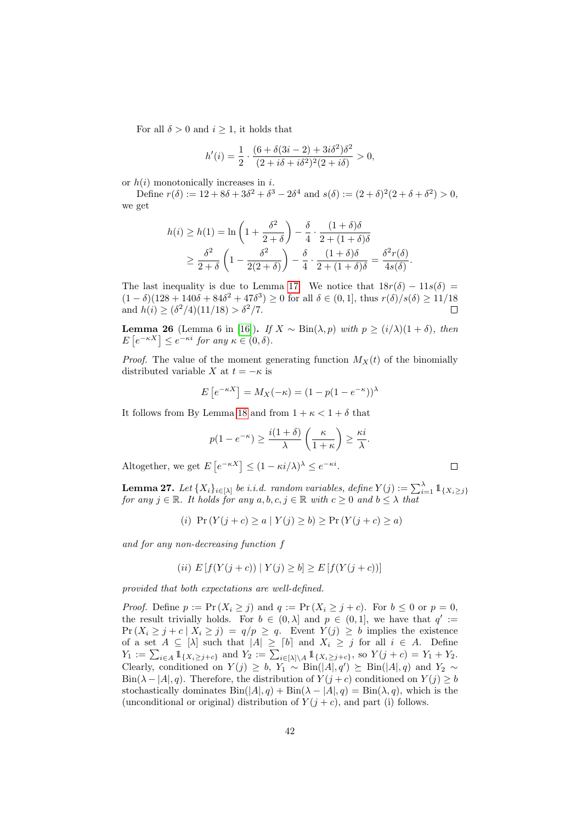For all  $\delta > 0$  and  $i \geq 1$ , it holds that

$$
h'(i) = \frac{1}{2} \cdot \frac{(6 + \delta(3i - 2) + 3i\delta^2)\delta^2}{(2 + i\delta + i\delta^2)^2(2 + i\delta)} > 0,
$$

or  $h(i)$  monotonically increases in i.

Define  $r(\delta) := 12 + 8\delta + 3\delta^2 + \delta^3 - 2\delta^4$  and  $s(\delta) := (2 + \delta)^2 (2 + \delta + \delta^2) > 0$ , we get

$$
h(i) \ge h(1) = \ln\left(1 + \frac{\delta^2}{2 + \delta}\right) - \frac{\delta}{4} \cdot \frac{(1 + \delta)\delta}{2 + (1 + \delta)\delta}
$$
  
 
$$
\ge \frac{\delta^2}{2 + \delta} \left(1 - \frac{\delta^2}{2(2 + \delta)}\right) - \frac{\delta}{4} \cdot \frac{(1 + \delta)\delta}{2 + (1 + \delta)\delta} = \frac{\delta^2 r(\delta)}{4s(\delta)}.
$$

The last inequality is due to Lemma [17.](#page-37-4) We notice that  $18r(\delta) - 11s(\delta) =$  $(1 - \delta)(128 + 140\delta + 84\delta^2 + 47\delta^3) \ge 0$  for all  $\delta \in (0, 1]$ , thus  $r(\delta)/s(\delta) \ge 11/18$ and  $h(i) \geq (\delta^2/4)(11/18) > \delta^2/7$ .  $\Box$ 

<span id="page-41-1"></span>Lemma 26 (Lemma 6 in [\[16\]](#page-44-7)). If  $X \sim \text{Bin}(\lambda, p)$  with  $p ≥ (i/\lambda)(1 + \delta)$ , then  $E\left[e^{-\kappa X}\right] \leq e^{-\kappa i}$  for any  $\kappa \in (0,\delta)$ .

*Proof.* The value of the moment generating function  $M_X(t)$  of the binomially distributed variable X at  $t = -\kappa$  is

$$
E\left[e^{-\kappa X}\right] = M_X(-\kappa) = (1 - p(1 - e^{-\kappa}))^{\lambda}
$$

It follows from By Lemma [18](#page-37-1) and from  $1 + \kappa < 1 + \delta$  that

$$
p(1 - e^{-\kappa}) \ge \frac{i(1+\delta)}{\lambda} \left(\frac{\kappa}{1+\kappa}\right) \ge \frac{\kappa i}{\lambda}.
$$

 $\Box$ 

Altogether, we get  $E\left[e^{-\kappa X}\right] \leq (1 - \kappa i/\lambda)^{\lambda} \leq e^{-\kappa i}$ .

<span id="page-41-0"></span>**Lemma 27.** Let  $\{X_i\}_{i\in[\lambda]}$  be i.i.d. random variables, define  $Y(j):=\sum_{i=1}^{\lambda} \mathbb{1}_{\{X_i\geq j\}}$ for any  $j \in \mathbb{R}$ . It holds for any  $a, b, c, j \in \mathbb{R}$  with  $c \geq 0$  and  $b \leq \lambda$  that

(i) 
$$
\Pr(Y(j+c) \ge a | Y(j) \ge b) \ge \Pr(Y(j+c) \ge a)
$$

and for any non-decreasing function f

(*ii*) 
$$
E[f(Y(j + c)) | Y(j) \ge b] \ge E[f(Y(j + c))]
$$

provided that both expectations are well-defined.

*Proof.* Define  $p := \Pr(X_i \geq j)$  and  $q := \Pr(X_i \geq j + c)$ . For  $b \leq 0$  or  $p = 0$ , the result trivially holds. For  $b \in (0, \lambda]$  and  $p \in (0, 1]$ , we have that  $q' :=$  $Pr(X_i \geq j + c \mid X_i \geq j) = q/p \geq q$ . Event  $Y(j) \geq b$  implies the existence of a set  $A \subseteq [\lambda]$  such that  $|A| \geq [b]$  and  $X_i \geq j$  for all  $i \in A$ . Define  $Y_1 := \sum_{i \in A} 1\!\!1_{\{X_i \geq j+c\}}$  and  $Y_2 := \sum_{i \in [\lambda] \setminus A} 1\!\!1_{\{X_i \geq j+c\}},$  so  $Y(j+c) = Y_1 + Y_2$ . Clearly, conditioned on  $Y(j) \ge b$ ,  $Y_1 \sim Bin(|A|, q') \succeq Bin(|A|, q)$  and  $Y_2 \sim$ Bin( $\lambda - |A|, q$ ). Therefore, the distribution of  $Y(j+c)$  conditioned on  $Y(j) \ge b$ stochastically dominates  $\text{Bin}(|A|, q) + \text{Bin}(\lambda - |A|, q) = \text{Bin}(\lambda, q)$ , which is the (unconditional or original) distribution of  $Y(j+c)$ , and part (i) follows.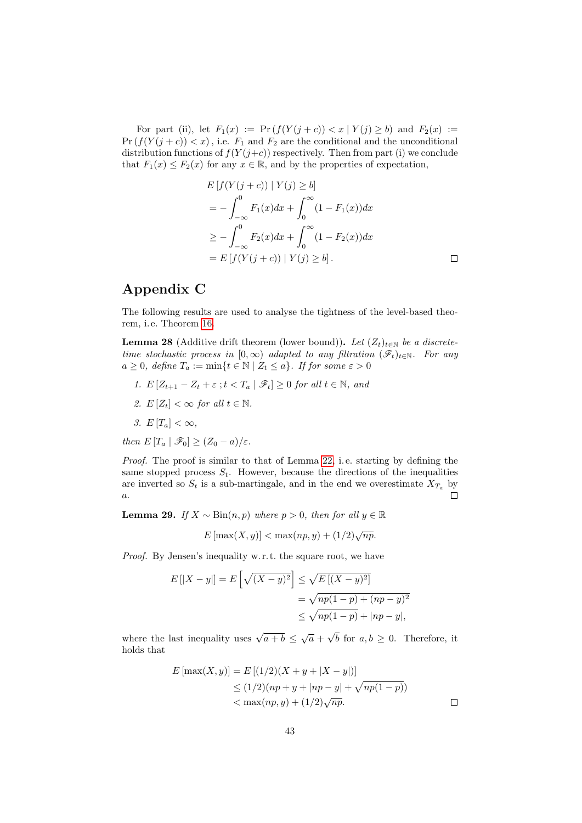For part (ii), let  $F_1(x) := Pr(f(Y(j + c)) < x | Y(j) \ge b)$  and  $F_2(x) :=$  $Pr(f(Y(j + c)) < x)$ , i.e.  $F_1$  and  $F_2$  are the conditional and the unconditional distribution functions of  $f(Y(j+c))$  respectively. Then from part (i) we conclude that  $F_1(x) \leq F_2(x)$  for any  $x \in \mathbb{R}$ , and by the properties of expectation,

$$
E[f(Y(j + c)) | Y(j) \ge b]
$$
  
=  $-\int_{-\infty}^{0} F_1(x)dx + \int_{0}^{\infty} (1 - F_1(x))dx$   
 $\ge -\int_{-\infty}^{0} F_2(x)dx + \int_{0}^{\infty} (1 - F_2(x))dx$   
=  $E[f(Y(j + c)) | Y(j) \ge b].$ 

 $\Box$ 

## Appendix C

The following results are used to analyse the tightness of the level-based theorem, i. e. Theorem [16.](#page-33-1)

<span id="page-42-0"></span>**Lemma 28** (Additive drift theorem (lower bound)). Let  $(Z_t)_{t \in \mathbb{N}}$  be a discretetime stochastic process in  $[0, \infty)$  adapted to any filtration  $(\mathscr{F}_t)_{t \in \mathbb{N}}$ . For any  $a \geq 0$ , define  $T_a := \min\{t \in \mathbb{N} \mid Z_t \leq a\}$ . If for some  $\varepsilon > 0$ 

- 1.  $E[Z_{t+1} Z_t + \varepsilon; t < T_a | \mathscr{F}_t] \geq 0$  for all  $t \in \mathbb{N}$ , and
- 2.  $E[Z_t] < \infty$  for all  $t \in \mathbb{N}$ .
- 3.  $E[T_a]<\infty$ ,

then  $E[T_a | \mathcal{F}_0] \geq (Z_0 - a)/\varepsilon$ .

Proof. The proof is similar to that of Lemma [22,](#page-38-0) i. e. starting by defining the same stopped process  $S_t$ . However, because the directions of the inequalities are inverted so  $S_t$  is a sub-martingale, and in the end we overestimate  $X_{T_a}$  by a. П

<span id="page-42-1"></span>**Lemma 29.** If  $X \sim Bin(n, p)$  where  $p > 0$ , then for all  $y \in \mathbb{R}$ 

$$
E\left[\max(X,y)\right] < \max(np,y) + (1/2)\sqrt{np}.
$$

Proof. By Jensen's inequality w. r. t. the square root, we have

$$
E[|X - y|] = E\left[\sqrt{(X - y)^2}\right] \le \sqrt{E[(X - y)^2]}
$$
  
=  $\sqrt{np(1 - p) + (np - y)^2}$   
 $\le \sqrt{np(1 - p)} + |np - y|,$ 

where the last inequality uses  $\sqrt{a+b} \leq \sqrt{a}$  + √ b for  $a, b \geq 0$ . Therefore, it holds that

$$
E\left[\max(X,y)\right] = E\left[(1/2)(X + y + |X - y|)\right]
$$
  
\n
$$
\leq (1/2)(np + y + |np - y| + \sqrt{np(1 - p)})
$$
  
\n
$$
< \max(np, y) + (1/2)\sqrt{np}.
$$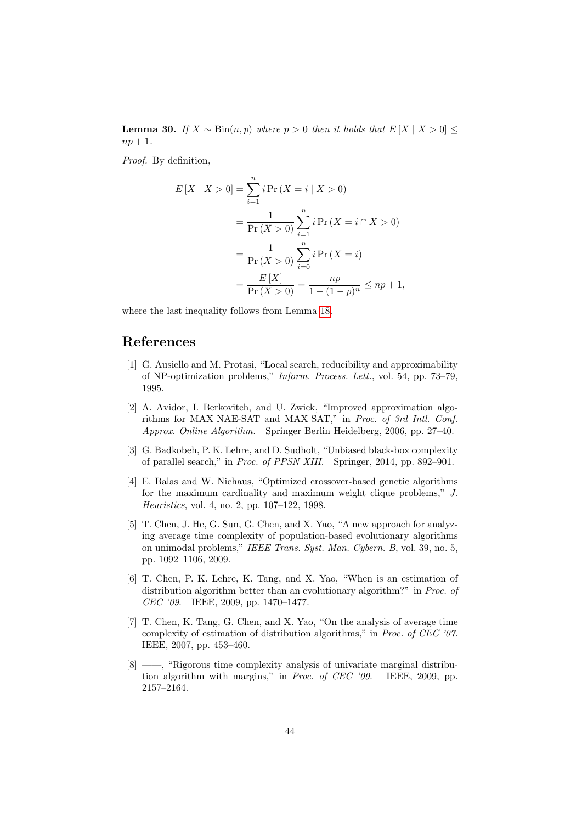<span id="page-43-8"></span>**Lemma 30.** If  $X \sim Bin(n, p)$  where  $p > 0$  then it holds that  $E[X | X > 0]$  ≤  $np+1$ .

Proof. By definition,

$$
E[X \mid X > 0] = \sum_{i=1}^{n} i \Pr(X = i \mid X > 0)
$$
  
= 
$$
\frac{1}{\Pr(X > 0)} \sum_{i=1}^{n} i \Pr(X = i \cap X > 0)
$$
  
= 
$$
\frac{1}{\Pr(X > 0)} \sum_{i=0}^{n} i \Pr(X = i)
$$
  
= 
$$
\frac{E[X]}{\Pr(X > 0)} = \frac{np}{1 - (1 - p)^n} \le np + 1,
$$

where the last inequality follows from Lemma [18.](#page-37-1)

 $\Box$ 

## References

- <span id="page-43-4"></span>[1] G. Ausiello and M. Protasi, "Local search, reducibility and approximability of NP-optimization problems," Inform. Process. Lett., vol. 54, pp. 73–79, 1995.
- <span id="page-43-6"></span>[2] A. Avidor, I. Berkovitch, and U. Zwick, "Improved approximation algorithms for MAX NAE-SAT and MAX SAT," in Proc. of 3rd Intl. Conf. Approx. Online Algorithm. Springer Berlin Heidelberg, 2006, pp. 27–40.
- <span id="page-43-7"></span>[3] G. Badkobeh, P. K. Lehre, and D. Sudholt, "Unbiased black-box complexity of parallel search," in Proc. of PPSN XIII. Springer, 2014, pp. 892–901.
- <span id="page-43-5"></span>[4] E. Balas and W. Niehaus, "Optimized crossover-based genetic algorithms for the maximum cardinality and maximum weight clique problems," J. Heuristics, vol. 4, no. 2, pp. 107–122, 1998.
- <span id="page-43-0"></span>[5] T. Chen, J. He, G. Sun, G. Chen, and X. Yao, "A new approach for analyzing average time complexity of population-based evolutionary algorithms on unimodal problems," IEEE Trans. Syst. Man. Cybern. B, vol. 39, no. 5, pp. 1092–1106, 2009.
- <span id="page-43-1"></span>[6] T. Chen, P. K. Lehre, K. Tang, and X. Yao, "When is an estimation of distribution algorithm better than an evolutionary algorithm?" in *Proc. of* CEC '09. IEEE, 2009, pp. 1470–1477.
- <span id="page-43-2"></span>[7] T. Chen, K. Tang, G. Chen, and X. Yao, "On the analysis of average time complexity of estimation of distribution algorithms," in Proc. of CEC '07. IEEE, 2007, pp. 453–460.
- <span id="page-43-3"></span>[8] ——, "Rigorous time complexity analysis of univariate marginal distribution algorithm with margins," in Proc. of CEC '09. IEEE, 2009, pp. 2157–2164.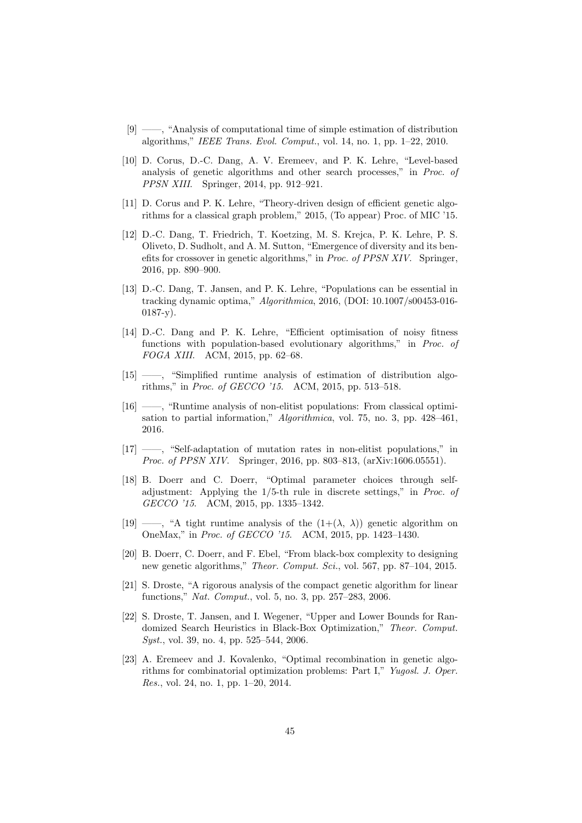- <span id="page-44-5"></span>[9] ——, "Analysis of computational time of simple estimation of distribution algorithms," IEEE Trans. Evol. Comput., vol. 14, no. 1, pp. 1–22, 2010.
- <span id="page-44-6"></span>[10] D. Corus, D.-C. Dang, A. V. Eremeev, and P. K. Lehre, "Level-based analysis of genetic algorithms and other search processes," in Proc. of PPSN XIII. Springer, 2014, pp. 912–921.
- <span id="page-44-10"></span>[11] D. Corus and P. K. Lehre, "Theory-driven design of efficient genetic algorithms for a classical graph problem," 2015, (To appear) Proc. of MIC '15.
- <span id="page-44-3"></span>[12] D.-C. Dang, T. Friedrich, T. Koetzing, M. S. Krejca, P. K. Lehre, P. S. Oliveto, D. Sudholt, and A. M. Sutton, "Emergence of diversity and its benefits for crossover in genetic algorithms," in Proc. of PPSN XIV. Springer, 2016, pp. 890–900.
- <span id="page-44-9"></span>[13] D.-C. Dang, T. Jansen, and P. K. Lehre, "Populations can be essential in tracking dynamic optima," Algorithmica, 2016, (DOI: 10.1007/s00453-016- 0187-y).
- <span id="page-44-8"></span>[14] D.-C. Dang and P. K. Lehre, "Efficient optimisation of noisy fitness functions with population-based evolutionary algorithms," in Proc. of FOGA XIII. ACM, 2015, pp. 62–68.
- <span id="page-44-11"></span>[15] ——, "Simplified runtime analysis of estimation of distribution algorithms," in Proc. of GECCO '15. ACM, 2015, pp. 513–518.
- <span id="page-44-7"></span>[16] ——, "Runtime analysis of non-elitist populations: From classical optimisation to partial information," Algorithmica, vol. 75, no. 3, pp. 428–461, 2016.
- <span id="page-44-12"></span>[17] ——, "Self-adaptation of mutation rates in non-elitist populations," in Proc. of PPSN XIV. Springer, 2016, pp. 803–813, (arXiv:1606.05551).
- <span id="page-44-1"></span>[18] B. Doerr and C. Doerr, "Optimal parameter choices through selfadjustment: Applying the 1/5-th rule in discrete settings," in Proc. of GECCO '15. ACM, 2015, pp. 1335–1342.
- <span id="page-44-2"></span>[19] ——, "A tight runtime analysis of the  $(1+(\lambda, \lambda))$  genetic algorithm on OneMax," in Proc. of GECCO '15. ACM, 2015, pp. 1423–1430.
- <span id="page-44-0"></span>[20] B. Doerr, C. Doerr, and F. Ebel, "From black-box complexity to designing new genetic algorithms," Theor. Comput. Sci., vol. 567, pp. 87–104, 2015.
- <span id="page-44-4"></span>[21] S. Droste, "A rigorous analysis of the compact genetic algorithm for linear functions," Nat. Comput., vol. 5, no. 3, pp. 257–283, 2006.
- <span id="page-44-14"></span>[22] S. Droste, T. Jansen, and I. Wegener, "Upper and Lower Bounds for Randomized Search Heuristics in Black-Box Optimization," Theor. Comput. Syst., vol. 39, no. 4, pp. 525–544, 2006.
- <span id="page-44-13"></span>[23] A. Eremeev and J. Kovalenko, "Optimal recombination in genetic algorithms for combinatorial optimization problems: Part I," Yugosl. J. Oper. Res., vol. 24, no. 1, pp. 1–20, 2014.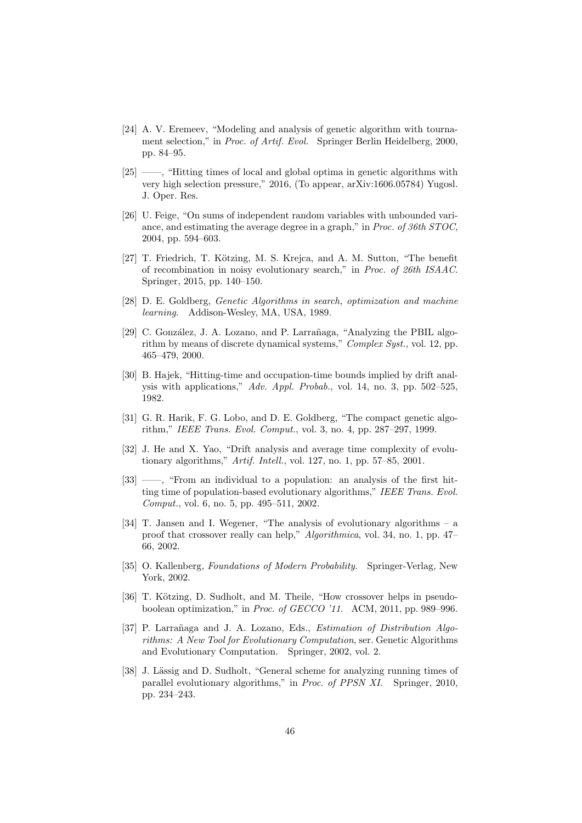- <span id="page-45-0"></span>[24] A. V. Eremeev, "Modeling and analysis of genetic algorithm with tournament selection," in Proc. of Artif. Evol. Springer Berlin Heidelberg, 2000, pp. 84–95.
- <span id="page-45-11"></span>[25] ——, "Hitting times of local and global optima in genetic algorithms with very high selection pressure," 2016, (To appear, arXiv:1606.05784) Yugosl. J. Oper. Res.
- <span id="page-45-12"></span>[26] U. Feige, "On sums of independent random variables with unbounded variance, and estimating the average degree in a graph," in Proc. of 36th STOC, 2004, pp. 594–603.
- <span id="page-45-9"></span>[27] T. Friedrich, T. Kötzing, M. S. Krejca, and A. M. Sutton, "The benefit of recombination in noisy evolutionary search," in Proc. of 26th ISAAC. Springer, 2015, pp. 140–150.
- <span id="page-45-10"></span>[28] D. E. Goldberg, Genetic Algorithms in search, optimization and machine learning. Addison-Wesley, MA, USA, 1989.
- <span id="page-45-7"></span>[29] C. González, J. A. Lozano, and P. Larrañaga, "Analyzing the PBIL algorithm by means of discrete dynamical systems," Complex Syst., vol. 12, pp. 465–479, 2000.
- <span id="page-45-3"></span>[30] B. Hajek, "Hitting-time and occupation-time bounds implied by drift analysis with applications,"  $Adv.$  Appl. Probab., vol. 14, no. 3, pp. 502–525, 1982.
- <span id="page-45-8"></span>[31] G. R. Harik, F. G. Lobo, and D. E. Goldberg, "The compact genetic algorithm," IEEE Trans. Evol. Comput., vol. 3, no. 4, pp. 287–297, 1999.
- <span id="page-45-13"></span>[32] J. He and X. Yao, "Drift analysis and average time complexity of evolutionary algorithms," Artif. Intell., vol. 127, no. 1, pp. 57–85, 2001.
- <span id="page-45-1"></span>[33] ——, "From an individual to a population: an analysis of the first hitting time of population-based evolutionary algorithms," IEEE Trans. Evol. Comput., vol. 6, no. 5, pp. 495–511, 2002.
- <span id="page-45-4"></span>[34] T. Jansen and I. Wegener, "The analysis of evolutionary algorithms – a proof that crossover really can help," Algorithmica, vol. 34, no. 1, pp. 47– 66, 2002.
- <span id="page-45-14"></span>[35] O. Kallenberg, Foundations of Modern Probability. Springer-Verlag, New York, 2002.
- <span id="page-45-5"></span>[36] T. Kötzing, D. Sudholt, and M. Theile, "How crossover helps in pseudoboolean optimization," in Proc. of GECCO '11. ACM, 2011, pp. 989–996.
- <span id="page-45-6"></span>[37] P. Larrañaga and J. A. Lozano, Eds., *Estimation of Distribution Algo*rithms: A New Tool for Evolutionary Computation, ser. Genetic Algorithms and Evolutionary Computation. Springer, 2002, vol. 2.
- <span id="page-45-2"></span>[38] J. Lässig and D. Sudholt, "General scheme for analyzing running times of parallel evolutionary algorithms," in Proc. of PPSN XI. Springer, 2010, pp. 234–243.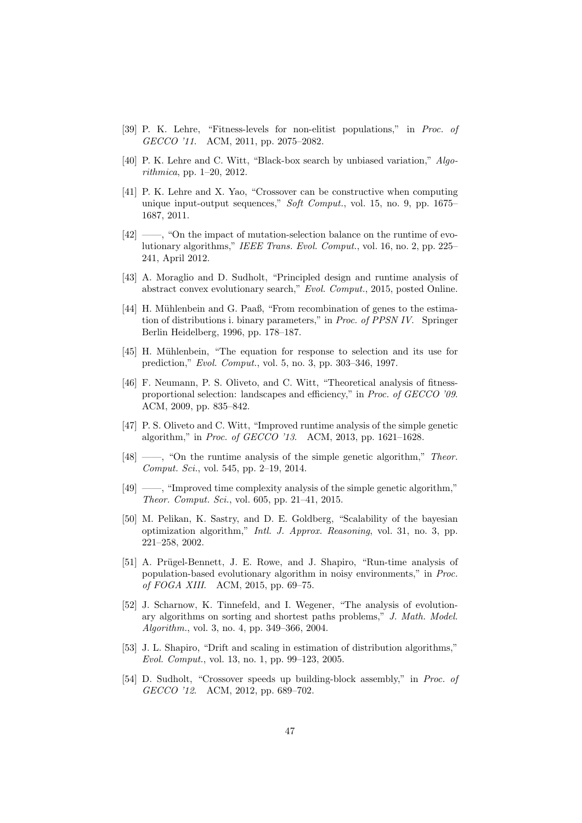- <span id="page-46-1"></span>[39] P. K. Lehre, "Fitness-levels for non-elitist populations," in Proc. of GECCO '11. ACM, 2011, pp. 2075–2082.
- <span id="page-46-15"></span>[40] P. K. Lehre and C. Witt, "Black-box search by unbiased variation," Algorithmica, pp. 1–20, 2012.
- <span id="page-46-4"></span>[41] P. K. Lehre and X. Yao, "Crossover can be constructive when computing unique input-output sequences," Soft Comput., vol. 15, no. 9, pp. 1675– 1687, 2011.
- <span id="page-46-12"></span>[42] ——, "On the impact of mutation-selection balance on the runtime of evolutionary algorithms," IEEE Trans. Evol. Comput., vol. 16, no. 2, pp. 225– 241, April 2012.
- <span id="page-46-7"></span>[43] A. Moraglio and D. Sudholt, "Principled design and runtime analysis of abstract convex evolutionary search," Evol. Comput., 2015, posted Online.
- <span id="page-46-11"></span>[44] H. Mühlenbein and G. Paaß, "From recombination of genes to the estimation of distributions i. binary parameters," in Proc. of PPSN IV. Springer Berlin Heidelberg, 1996, pp. 178–187.
- <span id="page-46-8"></span>[45] H. Mühlenbein, "The equation for response to selection and its use for prediction," Evol. Comput., vol. 5, no. 3, pp. 303–346, 1997.
- <span id="page-46-0"></span>[46] F. Neumann, P. S. Oliveto, and C. Witt, "Theoretical analysis of fitnessproportional selection: landscapes and efficiency," in Proc. of GECCO '09. ACM, 2009, pp. 835–842.
- <span id="page-46-13"></span>[47] P. S. Oliveto and C. Witt, "Improved runtime analysis of the simple genetic algorithm," in Proc. of GECCO '13. ACM, 2013, pp. 1621–1628.
- <span id="page-46-2"></span>[48] ——, "On the runtime analysis of the simple genetic algorithm," Theor. Comput. Sci., vol. 545, pp. 2–19, 2014.
- <span id="page-46-3"></span>[49] ——, "Improved time complexity analysis of the simple genetic algorithm," Theor. Comput. Sci., vol. 605, pp. 21–41, 2015.
- <span id="page-46-9"></span>[50] M. Pelikan, K. Sastry, and D. E. Goldberg, "Scalability of the bayesian optimization algorithm," Intl. J. Approx. Reasoning, vol. 31, no. 3, pp. 221–258, 2002.
- <span id="page-46-6"></span>[51] A. Prügel-Bennett, J. E. Rowe, and J. Shapiro, "Run-time analysis of population-based evolutionary algorithm in noisy environments," in Proc. of FOGA XIII. ACM, 2015, pp. 69–75.
- <span id="page-46-14"></span>[52] J. Scharnow, K. Tinnefeld, and I. Wegener, "The analysis of evolutionary algorithms on sorting and shortest paths problems," J. Math. Model. Algorithm., vol. 3, no. 4, pp. 349–366, 2004.
- <span id="page-46-10"></span>[53] J. L. Shapiro, "Drift and scaling in estimation of distribution algorithms," Evol. Comput., vol. 13, no. 1, pp. 99–123, 2005.
- <span id="page-46-5"></span>[54] D. Sudholt, "Crossover speeds up building-block assembly," in Proc. of GECCO '12. ACM, 2012, pp. 689–702.